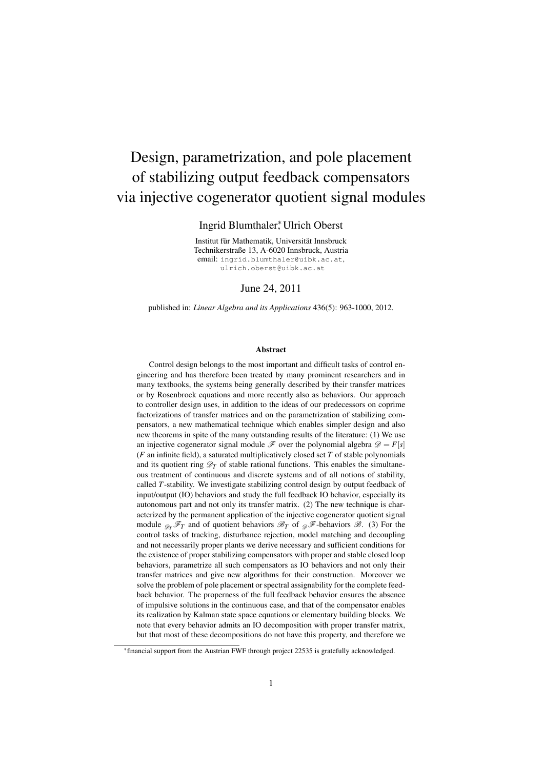# <span id="page-0-0"></span>Design, parametrization, and pole placement of stabilizing output feedback compensators via injective cogenerator quotient signal modules

Ingrid Blumthaler<sup>∗</sup> , Ulrich Oberst

Institut für Mathematik, Universität Innsbruck Technikerstraße 13, A-6020 Innsbruck, Austria email: ingrid.blumthaler@uibk.ac.at, ulrich.oberst@uibk.ac.at

June 24, 2011

published in: *Linear Algebra and its Applications* 436(5): 963-1000, 2012.

#### Abstract

Control design belongs to the most important and difficult tasks of control engineering and has therefore been treated by many prominent researchers and in many textbooks, the systems being generally described by their transfer matrices or by Rosenbrock equations and more recently also as behaviors. Our approach to controller design uses, in addition to the ideas of our predecessors on coprime factorizations of transfer matrices and on the parametrization of stabilizing compensators, a new mathematical technique which enables simpler design and also new theorems in spite of the many outstanding results of the literature: (1) We use an injective cogenerator signal module  $\mathcal F$  over the polynomial algebra  $\mathcal D = F[s]$ (*F* an infinite field), a saturated multiplicatively closed set *T* of stable polynomials and its quotient ring  $\mathcal{D}_T$  of stable rational functions. This enables the simultaneous treatment of continuous and discrete systems and of all notions of stability, called *T*-stability. We investigate stabilizing control design by output feedback of input/output (IO) behaviors and study the full feedback IO behavior, especially its autonomous part and not only its transfer matrix. (2) The new technique is characterized by the permanent application of the injective cogenerator quotient signal module  $\mathscr{D}_T \mathscr{F}_T$  and of quotient behaviors  $\mathscr{B}_T$  of  $\mathscr{D}_T \mathscr{F}$ -behaviors  $\mathscr{B}$ . (3) For the control tasks of tracking, disturbance rejection, model matching and decoupling and not necessarily proper plants we derive necessary and sufficient conditions for the existence of proper stabilizing compensators with proper and stable closed loop behaviors, parametrize all such compensators as IO behaviors and not only their transfer matrices and give new algorithms for their construction. Moreover we solve the problem of pole placement or spectral assignability for the complete feedback behavior. The properness of the full feedback behavior ensures the absence of impulsive solutions in the continuous case, and that of the compensator enables its realization by Kalman state space equations or elementary building blocks. We note that every behavior admits an IO decomposition with proper transfer matrix, but that most of these decompositions do not have this property, and therefore we

<sup>∗</sup>financial support from the Austrian FWF through project 22535 is gratefully acknowledged.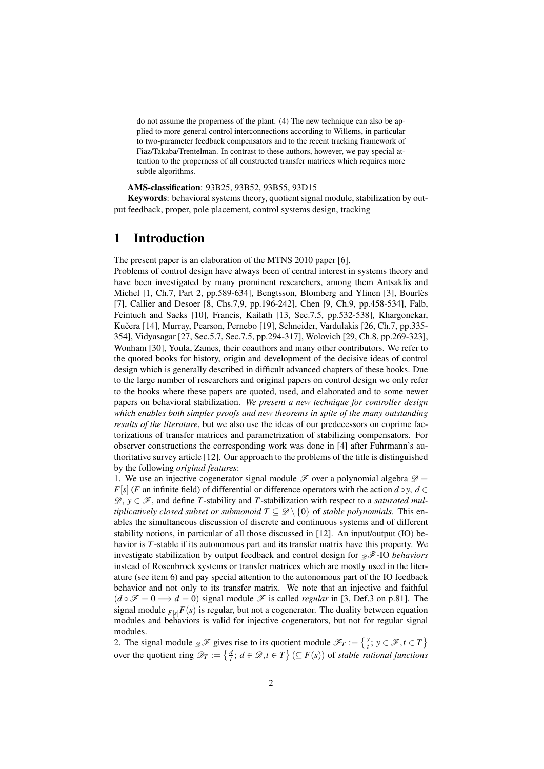do not assume the properness of the plant. (4) The new technique can also be applied to more general control interconnections according to Willems, in particular to two-parameter feedback compensators and to the recent tracking framework of Fiaz/Takaba/Trentelman. In contrast to these authors, however, we pay special attention to the properness of all constructed transfer matrices which requires more subtle algorithms.

AMS-classification: 93B25, 93B52, 93B55, 93D15

Keywords: behavioral systems theory, quotient signal module, stabilization by output feedback, proper, pole placement, control systems design, tracking

### 1 Introduction

The present paper is an elaboration of the MTNS 2010 paper [\[6\]](#page-38-0).

Problems of control design have always been of central interest in systems theory and have been investigated by many prominent researchers, among them Antsaklis and Michel [\[1,](#page-38-1) Ch.7, Part 2, pp.589-634], Bengtsson, Blomberg and Ylinen [\[3\]](#page-38-2), Bourlès [\[7\]](#page-38-3), Callier and Desoer [\[8,](#page-39-0) Chs.7,9, pp.196-242], Chen [\[9,](#page-39-1) Ch.9, pp.458-534], Falb, Feintuch and Saeks [\[10\]](#page-39-2), Francis, Kailath [\[13,](#page-39-3) Sec.7.5, pp.532-538], Khargonekar, Kučera [\[14\]](#page-39-4), Murray, Pearson, Pernebo [\[19\]](#page-39-5), Schneider, Vardulakis [\[26,](#page-39-6) Ch.7, pp.335-354], Vidyasagar [\[27,](#page-40-0) Sec.5.7, Sec.7.5, pp.294-317], Wolovich [\[29,](#page-40-1) Ch.8, pp.269-323], Wonham [\[30\]](#page-40-2), Youla, Zames, their coauthors and many other contributors. We refer to the quoted books for history, origin and development of the decisive ideas of control design which is generally described in difficult advanced chapters of these books. Due to the large number of researchers and original papers on control design we only refer to the books where these papers are quoted, used, and elaborated and to some newer papers on behavioral stabilization. *We present a new technique for controller design which enables both simpler proofs and new theorems in spite of the many outstanding results of the literature*, but we also use the ideas of our predecessors on coprime factorizations of transfer matrices and parametrization of stabilizing compensators. For observer constructions the corresponding work was done in [\[4\]](#page-38-4) after Fuhrmann's authoritative survey article [\[12\]](#page-39-7). Our approach to the problems of the title is distinguished by the following *original features*:

1. We use an injective cogenerator signal module  $\mathscr F$  over a polynomial algebra  $\mathscr D$  = *F*[ $s$ ] (*F* an infinite field) of differential or difference operators with the action  $d \circ y$ ,  $d \in$  $\mathscr{D}, y \in \mathscr{F}$ , and define *T*-stability and *T*-stabilization with respect to a *saturated multiplicatively closed subset or submonoid*  $T \subseteq \mathcal{D} \setminus \{0\}$  of *stable polynomials*. This enables the simultaneous discussion of discrete and continuous systems and of different stability notions, in particular of all those discussed in [\[12\]](#page-39-7). An input/output (IO) behavior is *T*-stable if its autonomous part and its transfer matrix have this property. We investigate stabilization by output feedback and control design for  $\mathscr{F}$ -IO *behaviors* instead of Rosenbrock systems or transfer matrices which are mostly used in the literature (see item 6) and pay special attention to the autonomous part of the IO feedback behavior and not only to its transfer matrix. We note that an injective and faithful  $(d \circ \mathcal{F} = 0 \Longrightarrow d = 0)$  signal module  $\mathcal F$  is called *regular* in [\[3,](#page-38-2) Def.3 on p.81]. The signal module  $_{F[s]}F(s)$  is regular, but not a cogenerator. The duality between equation modules and behaviors is valid for injective cogenerators, but not for regular signal modules.

2. The signal module  $\mathcal{F}$  gives rise to its quotient module  $\mathcal{F}_T := \{ \begin{bmatrix} y \\ t \end{bmatrix}; y \in \mathcal{F}, t \in T \}$ over the quotient ring  $\mathscr{D}_T := \left\{ \frac{d}{t} : d \in \mathscr{D}, t \in T \right\} (\subseteq F(s))$  of *stable rational functions*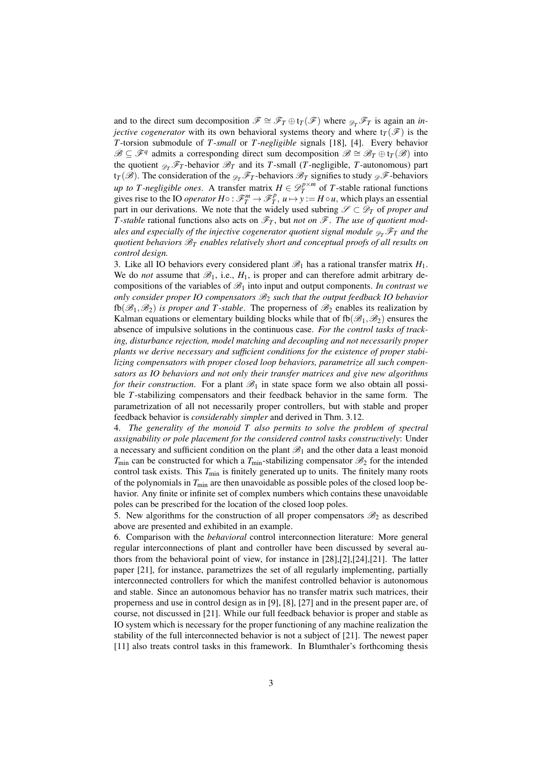and to the direct sum decomposition  $\mathscr{F} \cong \mathscr{F}_T \oplus \mathfrak{t}_T(\mathscr{F})$  where  $\mathscr{F}_T \mathscr{F}_T$  is again an *injective cogenerator* with its own behavioral systems theory and where  $t_T(\mathcal{F})$  is the *T*-torsion submodule of *T*-*small* or *T*-*negligible* signals [\[18\]](#page-39-8), [\[4\]](#page-38-4). Every behavior  $\mathscr{B} \subseteq \mathscr{F}$ <sup>q</sup> admits a corresponding direct sum decomposition  $\mathscr{B} \cong \mathscr{B}_T \oplus \mathfrak{t}_T(\mathscr{B})$  into the quotient  $\mathcal{D}_T \mathcal{F}_T$ -behavior  $\mathcal{B}_T$  and its *T*-small (*T*-negligible, *T*-autonomous) part  $tr_T(\mathscr{B})$ . The consideration of the  $\mathscr{D}_T \mathscr{F}_T$ -behaviors  $\mathscr{B}_T$  signifies to study  $\mathscr{D}$ -behaviors *up to T-negligible ones.* A transfer matrix  $H \in \mathcal{D}_T^{p \times m}$  of *T*-stable rational functions gives rise to the IO *operator*  $H \circ : \mathcal{F}_T^m \to \mathcal{F}_T^p$ ,  $u \mapsto y := H \circ u$ , which plays an essential part in our derivations. We note that the widely used subring  $\mathscr{S} \subset \mathscr{D}_T$  of *proper and T*-stable rational functions also acts on  $\mathscr{F}_T$ , but *not on*  $\mathscr{F}$ . The use of quotient mod*ules and especially of the injective cogenerator quotient signal module*  $\mathscr{D}_T \mathscr{F}_T$  *and the quotient behaviors* B*<sup>T</sup> enables relatively short and conceptual proofs of all results on control design.*

3. Like all IO behaviors every considered plant  $\mathscr{B}_1$  has a rational transfer matrix  $H_1$ . We do *not* assume that  $\mathcal{B}_1$ , i.e.,  $H_1$ , is proper and can therefore admit arbitrary decompositions of the variables of  $\mathcal{B}_1$  into input and output components. *In contrast we only consider proper IO compensators* B<sup>2</sup> *such that the output feedback IO behavior* fb( $\mathscr{B}_1,\mathscr{B}_2$ ) *is proper and T-stable*. The properness of  $\mathscr{B}_2$  enables its realization by Kalman equations or elementary building blocks while that of  $f_0(\mathscr{B}_1,\mathscr{B}_2)$  ensures the absence of impulsive solutions in the continuous case. *For the control tasks of tracking, disturbance rejection, model matching and decoupling and not necessarily proper plants we derive necessary and sufficient conditions for the existence of proper stabilizing compensators with proper closed loop behaviors, parametrize all such compensators as IO behaviors and not only their transfer matrices and give new algorithms for their construction*. For a plant  $\mathcal{B}_1$  in state space form we also obtain all possible *T*-stabilizing compensators and their feedback behavior in the same form. The parametrization of all not necessarily proper controllers, but with stable and proper feedback behavior is *considerably simpler* and derived in Thm. [3.12.](#page-12-0)

4. *The generality of the monoid T also permits to solve the problem of spectral assignability or pole placement for the considered control tasks constructively*: Under a necessary and sufficient condition on the plant  $\mathcal{B}_1$  and the other data a least monoid  $T_{\text{min}}$  can be constructed for which a  $T_{\text{min}}$ -stabilizing compensator  $\mathcal{B}_2$  for the intended control task exists. This  $T_{\text{min}}$  is finitely generated up to units. The finitely many roots of the polynomials in  $T_{\text{min}}$  are then unavoidable as possible poles of the closed loop behavior. Any finite or infinite set of complex numbers which contains these unavoidable poles can be prescribed for the location of the closed loop poles.

5. New algorithms for the construction of all proper compensators  $\mathcal{B}_2$  as described above are presented and exhibited in an example.

6. Comparison with the *behavioral* control interconnection literature: More general regular interconnections of plant and controller have been discussed by several authors from the behavioral point of view, for instance in  $[28]$ , $[2]$ , $[24]$ , $[21]$ . The latter paper [\[21\]](#page-39-10), for instance, parametrizes the set of all regularly implementing, partially interconnected controllers for which the manifest controlled behavior is autonomous and stable. Since an autonomous behavior has no transfer matrix such matrices, their properness and use in control design as in [\[9\]](#page-39-1), [\[8\]](#page-39-0), [\[27\]](#page-40-0) and in the present paper are, of course, not discussed in [\[21\]](#page-39-10). While our full feedback behavior is proper and stable as IO system which is necessary for the proper functioning of any machine realization the stability of the full interconnected behavior is not a subject of [\[21\]](#page-39-10). The newest paper [\[11\]](#page-39-11) also treats control tasks in this framework. In Blumthaler's forthcoming thesis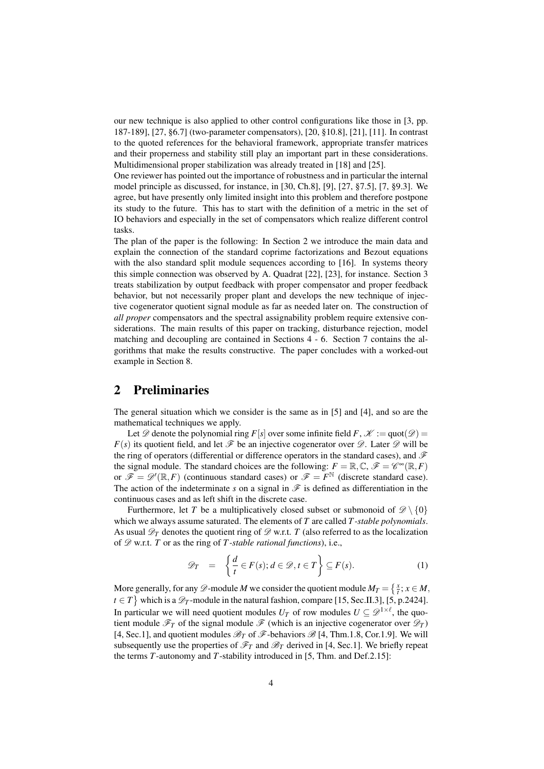our new technique is also applied to other control configurations like those in [\[3,](#page-38-2) pp. 187-189], [\[27,](#page-40-0) §6.7] (two-parameter compensators), [\[20,](#page-39-12) §10.8], [\[21\]](#page-39-10), [\[11\]](#page-39-11). In contrast to the quoted references for the behavioral framework, appropriate transfer matrices and their properness and stability still play an important part in these considerations. Multidimensional proper stabilization was already treated in [\[18\]](#page-39-8) and [\[25\]](#page-39-13).

One reviewer has pointed out the importance of robustness and in particular the internal model principle as discussed, for instance, in [\[30,](#page-40-2) Ch.8], [\[9\]](#page-39-1), [\[27,](#page-40-0) §7.5], [\[7,](#page-38-3) §9.3]. We agree, but have presently only limited insight into this problem and therefore postpone its study to the future. This has to start with the definition of a metric in the set of IO behaviors and especially in the set of compensators which realize different control tasks.

The plan of the paper is the following: In Section [2](#page-3-0) we introduce the main data and explain the connection of the standard coprime factorizations and Bezout equations with the also standard split module sequences according to [\[16\]](#page-39-14). In systems theory this simple connection was observed by A. Quadrat [\[22\]](#page-39-15), [\[23\]](#page-39-16), for instance. Section [3](#page-6-0) treats stabilization by output feedback with proper compensator and proper feedback behavior, but not necessarily proper plant and develops the new technique of injective cogenerator quotient signal module as far as needed later on. The construction of *all proper* compensators and the spectral assignability problem require extensive considerations. The main results of this paper on tracking, disturbance rejection, model matching and decoupling are contained in Sections [4](#page-22-0) - [6.](#page-32-0) Section [7](#page-32-1) contains the algorithms that make the results constructive. The paper concludes with a worked-out example in Section [8.](#page-35-0)

## <span id="page-3-0"></span>2 Preliminaries

The general situation which we consider is the same as in [\[5\]](#page-38-6) and [\[4\]](#page-38-4), and so are the mathematical techniques we apply.

Let  $\mathscr{D}$  denote the polynomial ring *F*[*s*] over some infinite field *F*,  $\mathscr{K} := \text{quot}(\mathscr{D}) =$  $F(s)$  its quotient field, and let  $\mathscr F$  be an injective cogenerator over  $\mathscr D$ . Later  $\mathscr D$  will be the ring of operators (differential or difference operators in the standard cases), and  $\mathscr F$ the signal module. The standard choices are the following:  $F = \mathbb{R}, \mathbb{C}, \mathscr{F} = \mathscr{C}^{\infty}(\mathbb{R}, F)$ or  $\mathscr{F} = \mathscr{D}'(\mathbb{R}, F)$  (continuous standard cases) or  $\mathscr{F} = F^{\mathbb{N}}$  (discrete standard case). The action of the indeterminate *s* on a signal in  $\mathscr F$  is defined as differentiation in the continuous cases and as left shift in the discrete case.

Furthermore, let *T* be a multiplicatively closed subset or submonoid of  $\mathscr{D}\setminus\{0\}$ which we always assume saturated. The elements of *T* are called *T -stable polynomials*. As usual  $\mathscr{D}_T$  denotes the quotient ring of  $\mathscr{D}$  w.r.t. *T* (also referred to as the localization of  $\mathscr{D}$  w.r.t. *T* or as the ring of *T*-stable rational functions), i.e.,

$$
\mathscr{D}_T = \left\{ \frac{d}{t} \in F(s); d \in \mathscr{D}, t \in T \right\} \subseteq F(s).
$$
 (1)

More generally, for any  $\mathscr{D}$ -module *M* we consider the quotient module  $M_T = \{\frac{x}{t}; x \in M,$  $t \in T$  which is a  $\mathscr{D}_T$ -module in the natural fashion, compare [\[15,](#page-39-17) Sec.II.3], [\[5,](#page-38-6) p.2424]. In particular we will need quotient modules  $U_T$  of row modules  $U \subseteq \mathscr{D}^{1 \times \ell}$ , the quotient module  $\mathcal{F}_T$  of the signal module  $\mathcal{F}$  (which is an injective cogenerator over  $\mathcal{D}_T$ ) [\[4,](#page-38-4) Sec.1], and quotient modules  $\mathcal{B}_T$  of  $\mathcal{F}$ -behaviors  $\mathcal{B}$  [4, Thm.1.8, Cor.1.9]. We will subsequently use the properties of  $\mathcal{F}_T$  and  $\mathcal{B}_T$  derived in [\[4,](#page-38-4) Sec.1]. We briefly repeat the terms *T*-autonomy and *T*-stability introduced in [\[5,](#page-38-6) Thm. and Def.2.15]: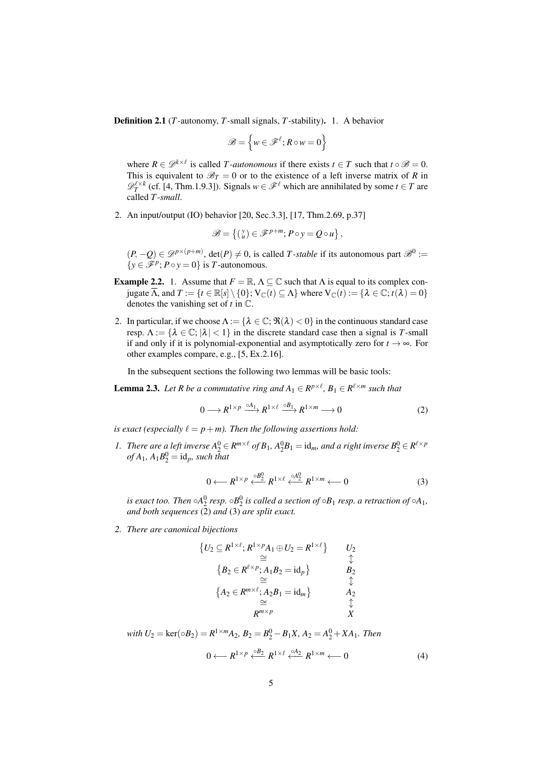Definition 2.1 (*T*-autonomy, *T*-small signals, *T*-stability). 1. A behavior

$$
\mathscr{B} = \left\{ w \in \mathscr{F}^\ell; R \circ w = 0 \right\}
$$

where  $R \in \mathcal{D}^{k \times \ell}$  is called *T*-autonomous if there exists  $t \in T$  such that  $t \circ \mathcal{B} = 0$ . This is equivalent to  $\mathcal{B}_T = 0$  or to the existence of a left inverse matrix of *R* in  $\mathscr{D}_T^{\ell \times k}$  (cf. [\[4,](#page-38-4) Thm.1.9.3]). Signals  $w \in \mathscr{F}^{\ell}$  which are annihilated by some  $t \in T$  are called *T -small*.

2. An input/output (IO) behavior [\[20,](#page-39-12) Sec.3.3], [\[17,](#page-39-18) Thm.2.69, p.37]

$$
\mathscr{B} = \left\{ \left( \begin{smallmatrix} y \\ u \end{smallmatrix} \right) \in \mathscr{F}^{p+m}; \, P \circ y = Q \circ u \right\},\,
$$

 $(P, -Q) \in \mathcal{D}^{p \times (p+m)}$ , det $(P) \neq 0$ , is called *T*-stable if its autonomous part  $\mathcal{B}^0 :=$  $\{y \in \mathcal{F}^p$ ;  $P \circ y = 0\}$  is *T*-autonomous.

- **Example 2.2.** 1. Assume that  $F = \mathbb{R}, \Lambda \subseteq \mathbb{C}$  such that  $\Lambda$  is equal to its complex conjugate  $\overline{\Lambda}$ , and  $T := \{t \in \mathbb{R}[s] \setminus \{0\}; V_{\mathbb{C}}(t) \subseteq \Lambda\}$  where  $V_{\mathbb{C}}(t) := \{\lambda \in \mathbb{C}; t(\lambda) = 0\}$ denotes the vanishing set of *t* in C.
- 2. In particular, if we choose  $\Lambda := {\lambda \in \mathbb{C}}; \Re(\lambda) < 0$  in the continuous standard case resp.  $\Lambda := {\lambda \in \mathbb{C}; |\lambda| < 1}$  in the discrete standard case then a signal is *T*-small if and only if it is polynomial-exponential and asymptotically zero for  $t \to \infty$ . For other examples compare, e.g., [\[5,](#page-38-6) Ex.2.16].

In the subsequent sections the following two lemmas will be basic tools:

<span id="page-4-4"></span>**Lemma 2.3.** Let R be a commutative ring and  $A_1 \in R^{p \times \ell}$ ,  $B_1 \in R^{\ell \times m}$  such that

<span id="page-4-0"></span>
$$
0 \longrightarrow R^{1 \times p} \xrightarrow{\circ A_1} R^{1 \times \ell} \xrightarrow{\circ B_1} R^{1 \times m} \longrightarrow 0 \tag{2}
$$

*is exact (especially*  $\ell = p+m$ *). Then the following assertions hold:* 

<span id="page-4-2"></span>*1. There are a left inverse*  $A_2^0 \in R^{m \times \ell}$  *of*  $B_1$ ,  $A_2^0B_1 = id_m$ , and a right inverse  $B_2^0 \in R^{\ell \times p}$  $of A_1, A_1B_2^0 = id_p$ *, such that* 

<span id="page-4-1"></span>
$$
0 \longleftarrow R^{1 \times p} \stackrel{\circ}{\longleftarrow}^{B_2^0} R^{1 \times \ell} \stackrel{\circ A_2^0}{\longleftarrow} R^{1 \times m} \longleftarrow 0 \tag{3}
$$

is exact too. Then  $\circ A^0_2$  resp.  $\circ B^0_2$  is called a section of  $\circ B_1$  resp. a retraction of  $\circ A_1$ , *and both sequences* [\(2\)](#page-4-0) *and* [\(3\)](#page-4-1) *are split exact.*

<span id="page-4-3"></span>*2. There are canonical bijections*

$$
{U_2 \subseteq R^{1 \times \ell}; R^{1 \times p}A_1 \oplus U_2 = R^{1 \times \ell}} \nsubseteq
$$
\n
$$
{B_2 \in R^{\ell \times p}; A_1 B_2 = id_p} \nsubseteq
$$
\n
$$
{A_2 \in R^{m \times \ell}; A_2 B_1 = id_m} \nsubseteq
$$
\n
$$
R^{m \times p} \nsubseteq
$$
\n
$$
X
$$

 $$ 

$$
0 \longleftarrow R^{1 \times p} \xleftarrow{\circ B_2} R^{1 \times \ell} \xleftarrow{\circ A_2} R^{1 \times m} \longleftarrow 0 \tag{4}
$$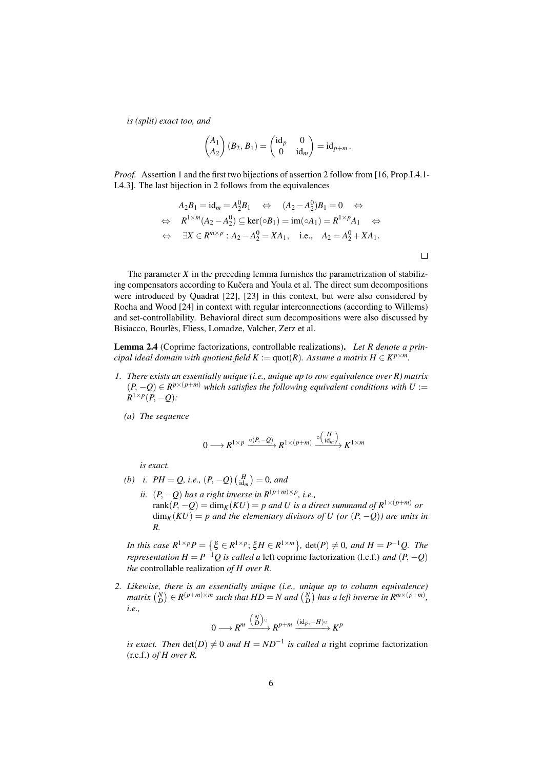*is (split) exact too, and*

$$
\begin{pmatrix} A_1 \ A_2 \end{pmatrix} (B_2, B_1) = \begin{pmatrix} \mathrm{id}_p & 0 \\ 0 & \mathrm{id}_m \end{pmatrix} = \mathrm{id}_{p+m}.
$$

*Proof.* Assertion [1](#page-4-2) and the first two bijections of assertion [2](#page-4-3) follow from [\[16,](#page-39-14) Prop.I.4.1- I.4.3]. The last bijection in [2](#page-4-3) follows from the equivalences

$$
A_2B_1 = id_m = A_2^0B_1 \Leftrightarrow (A_2 - A_2^0)B_1 = 0 \Leftrightarrow
$$
  
\n
$$
\Leftrightarrow R^{1 \times m}(A_2 - A_2^0) \subseteq \ker(\circ B_1) = \text{im}(\circ A_1) = R^{1 \times p}A_1 \Leftrightarrow
$$
  
\n
$$
\Leftrightarrow \exists X \in R^{m \times p} : A_2 - A_2^0 = XA_1, \quad \text{i.e.,} \quad A_2 = A_2^0 + XA_1.
$$

The parameter  $X$  in the preceding lemma furnishes the parametrization of stabilizing compensators according to Kučera and Youla et al. The direct sum decompositions were introduced by Quadrat [\[22\]](#page-39-15), [\[23\]](#page-39-16) in this context, but were also considered by Rocha and Wood [\[24\]](#page-39-9) in context with regular interconnections (according to Willems) and set-controllability. Behavioral direct sum decompositions were also discussed by Bisiacco, Bourlès, Fliess, Lomadze, Valcher, Zerz et al.

<span id="page-5-2"></span>Lemma 2.4 (Coprime factorizations, controllable realizations). *Let R denote a principal ideal domain with quotient field*  $K := \text{quot}(R)$ *. Assume a matrix*  $H \in K^{p \times m}$ *.* 

- <span id="page-5-0"></span>*1. There exists an essentially unique (i.e., unique up to row equivalence over R) matrix*  $(P, −Q)$  ∈  $R^{p×(p+m)}$  *which satisfies the following equivalent conditions with U* :=  $R^{1\times p}(P,-Q)$ :
	- *(a) The sequence*

$$
0 \longrightarrow R^{1 \times p} \xrightarrow{\circ (P, -Q)} R^{1 \times (p+m)} \xrightarrow{\circ \left(\text{id}_m\right)} K^{1 \times m}
$$

*is exact.*

- *(b) i.*  $PH = Q$ *, i.e.,*  $(P, -Q) \begin{pmatrix} H \\ id_m \end{pmatrix} = 0$ *, and* 
	- *ii.*  $(P, -Q)$  has a right inverse in  $R^{(p+m)\times p}$ , i.e., rank $(P, -Q) = \dim_K(KU) = p$  and U is a direct summand of  $R^{1 \times (p+m)}$  or  $\dim_K(KU) = p$  and the elementary divisors of U (or  $(P, -Q)$ ) are units in *R.*

*In this case*  $R^{1 \times p}P = \{\xi \in R^{1 \times p}; \xi H \in R^{1 \times m}\}, \det(P) \neq 0, \text{ and } H = P^{-1}Q.$  The *representation*  $H = P^{-1}Q$  *is called a* left coprime factorization (l.c.f.) *and*  $(P, -Q)$ *the* controllable realization *of H over R.*

<span id="page-5-1"></span>*2. Likewise, there is an essentially unique (i.e., unique up to column equivalence) matrix*  $\binom{N}{D} \in R^{(p+m)\times m}$  *such that*  $HD = N$  *and*  $\binom{N}{D}$  *has a left inverse in*  $R^{m\times (p+m)}$ *, i.e.,*

$$
0 \longrightarrow R^m \xrightarrow{\binom{N}{D}^\circ} R^{p+m} \xrightarrow{(\mathrm{id}_p, -H)^\circ} K^p
$$

*is exact. Then*  $det(D) \neq 0$  *and*  $H = ND^{-1}$  *is called a* right coprime factorization (r.c.f.) *of H over R.*

 $\Box$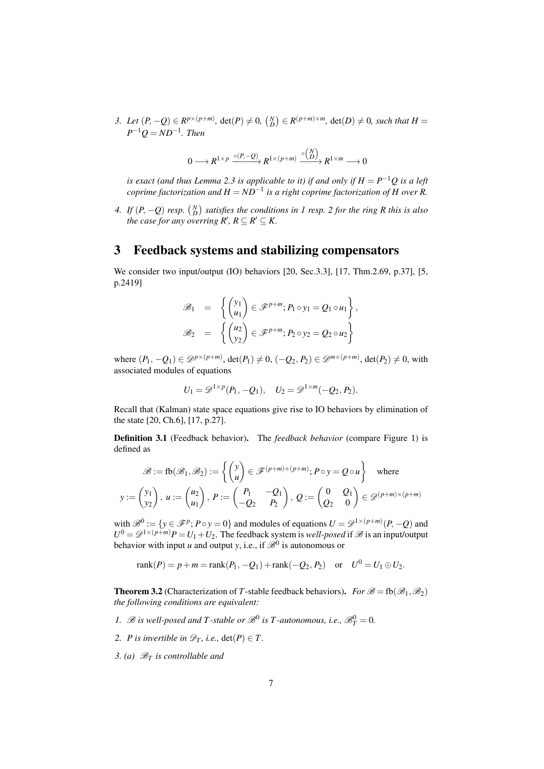3. Let  $(P, -Q) \in R^{p \times (p+m)}$ , det $(P) \neq 0$ ,  $\binom{N}{D} \in R^{(p+m)\times m}$ , det $(D) \neq 0$ , such that  $H =$  $P^{-1}Q = ND^{-1}$ *. Then* 

$$
0 \longrightarrow R^{1 \times p} \xrightarrow{\circ (P, -Q)} R^{1 \times (p+m)} \xrightarrow{\circ (N)} R^{1 \times m} \longrightarrow 0
$$

*is exact (and thus Lemma [2.3](#page-4-4) is applicable to it) if and only if*  $H = P^{-1}Q$  *is a left*  $coprime\, factorization$  and  $H = ND^{-1}$  is a right coprime factorization of  $H$  over  $R.$ 

<span id="page-6-5"></span>*4.* If  $(P, -Q)$  resp.  $\binom{N}{D}$  satisfies the conditions in [1](#page-5-0) resp. [2](#page-5-1) for the ring R this is also *the case for any overring R'*,  $R \subseteq R' \subseteq K$ .

#### <span id="page-6-0"></span>3 Feedback systems and stabilizing compensators

We consider two input/output (IO) behaviors [\[20,](#page-39-12) Sec.3.3], [\[17,](#page-39-18) Thm.2.69, p.37], [\[5,](#page-38-6) p.2419]

$$
\mathcal{B}_1 = \left\{ \begin{pmatrix} y_1 \\ u_1 \end{pmatrix} \in \mathcal{F}^{p+m}; P_1 \circ y_1 = Q_1 \circ u_1 \right\},
$$
  

$$
\mathcal{B}_2 = \left\{ \begin{pmatrix} u_2 \\ y_2 \end{pmatrix} \in \mathcal{F}^{p+m}; P_2 \circ y_2 = Q_2 \circ u_2 \right\}
$$

where  $(P_1, -Q_1) \in \mathcal{D}^{p \times (p+m)}$ , det $(P_1) \neq 0$ ,  $(-Q_2, P_2) \in \mathcal{D}^{m \times (p+m)}$ , det $(P_2) \neq 0$ , with associated modules of equations

$$
U_1 = \mathscr{D}^{1 \times p}(P_1, -Q_1), \quad U_2 = \mathscr{D}^{1 \times m}(-Q_2, P_2).
$$

Recall that (Kalman) state space equations give rise to IO behaviors by elimination of the state [\[20,](#page-39-12) Ch.6], [\[17,](#page-39-18) p.27].

Definition 3.1 (Feedback behavior). The *feedback behavior* (compare Figure [1\)](#page-7-0) is defined as

$$
\mathcal{B} := \text{fb}(\mathcal{B}_1, \mathcal{B}_2) := \left\{ \begin{pmatrix} y \\ u \end{pmatrix} \in \mathcal{F}^{(p+m)+(p+m)}; \, P \circ y = Q \circ u \right\} \quad \text{where}
$$
\n
$$
y := \begin{pmatrix} y_1 \\ y_2 \end{pmatrix}, \, u := \begin{pmatrix} u_2 \\ u_1 \end{pmatrix}, \, P := \begin{pmatrix} P_1 & -Q_1 \\ -Q_2 & P_2 \end{pmatrix}, \, Q := \begin{pmatrix} 0 & Q_1 \\ Q_2 & 0 \end{pmatrix} \in \mathcal{D}^{(p+m)\times(p+m)}
$$

with  $\mathscr{B}^0 := \{ y \in \mathscr{F}^p : P \circ y = 0 \}$  and modules of equations  $U = \mathscr{D}^{1 \times (p+m)}(P, -Q)$  and  $U^0 = \mathscr{D}^{1 \times (p+m)}P = U_1 + U_2$ . The feedback system is *well-posed* if  $\mathscr{B}$  is an input/output behavior with input *u* and output *y*, i.e., if  $\mathscr{B}^0$  is autonomous or

 $rank(P) = p + m = rank(P_1, -Q_1) + rank(-Q_2, P_2)$  or  $U^0 = U_1 \oplus U_2$ .

<span id="page-6-4"></span>**Theorem 3.2** (Characterization of *T*-stable feedback behaviors). *For*  $\mathscr{B} =$  fb( $\mathscr{B}_1, \mathscr{B}_2$ ) *the following conditions are equivalent:*

- <span id="page-6-1"></span>1.  $\mathscr{B}$  *is well-posed and T-stable or*  $\mathscr{B}^0$  *is T-autonomous, i.e.,*  $\mathscr{B}_T^0 = 0$ *.*
- <span id="page-6-2"></span>*2. P is invertible in*  $\mathcal{D}_T$ *, i.e.,* det(*P*)  $\in$  *T.*
- <span id="page-6-3"></span>*3. (a)* B*<sup>T</sup> is controllable and*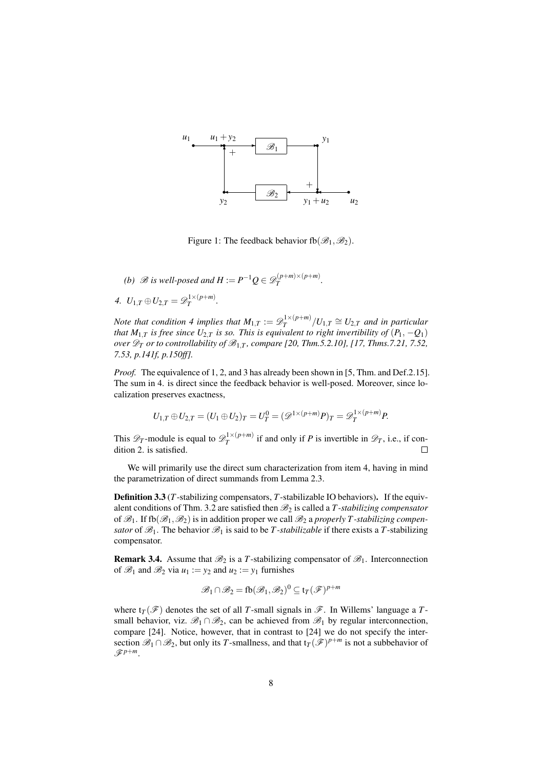

<span id="page-7-0"></span>Figure 1: The feedback behavior fb $(\mathscr{B}_1,\mathscr{B}_2)$ .

*(b)*  $\mathscr{B}$  *is well-posed and*  $H := P^{-1}Q \in \mathscr{D}_T^{(p+m)\times (p+m)}$  $T^{(p+m)\times (p+m)}$ .

*.*

<span id="page-7-1"></span>4. 
$$
U_{1,T} \oplus U_{2,T} = \mathscr{D}_T^{1 \times (p+m)}
$$

*Note that condition [4](#page-7-1) implies that*  $M_{1,T} := \mathscr{D}_T^{1 \times (p+m)}$  $\int_{T}^{1 \times (p+m)} / U_{1,T} \cong U_{2,T}$  *and in particular that*  $M_{1,T}$  *is free since*  $U_{2,T}$  *is so. This is equivalent to right invertibility of*  $(P_1, -Q_1)$ *over*  $\mathscr{D}_T$  *or to controllability of*  $\mathscr{B}_{1,T}$ *, compare [\[20,](#page-39-12) Thm.5.2.10], [\[17,](#page-39-18) Thms.7.21, 7.52, 7.53, p.141f, p.150ff].*

*Proof.* The equivalence of [1,](#page-6-1) [2,](#page-6-2) and [3](#page-6-3) has already been shown in [\[5,](#page-38-6) Thm. and Def.2.15]. The sum in [4.](#page-7-1) is direct since the feedback behavior is well-posed. Moreover, since localization preserves exactness,

$$
U_{1,T} \oplus U_{2,T} = (U_1 \oplus U_2)_T = U_T^0 = (\mathscr{D}^{1 \times (p+m)}P)_T = \mathscr{D}_T^{1 \times (p+m)}P.
$$

This  $\mathscr{D}_T$ -module is equal to  $\mathscr{D}_T^{1 \times (p+m)}$  $T^{(1 \times (p+m))}$  if and only if *P* is invertible in  $\mathscr{D}_T$ , i.e., if condition [2.](#page-6-2) is satisfied.  $\Box$ 

We will primarily use the direct sum characterization from item [4,](#page-7-1) having in mind the parametrization of direct summands from Lemma [2.3.](#page-4-4)

<span id="page-7-2"></span>Definition 3.3 (*T*-stabilizing compensators, *T*-stabilizable IO behaviors). If the equiv-alent conditions of Thm. [3.2](#page-6-4) are satisfied then  $\mathcal{B}_2$  is called a *T*-stabilizing compensator of  $\mathscr{B}_1$ . If fb $(\mathscr{B}_1, \mathscr{B}_2)$  is in addition proper we call  $\mathscr{B}_2$  a *properly T*-stabilizing compen*sator* of  $\mathcal{B}_1$ . The behavior  $\mathcal{B}_1$  is said to be *T*-stabilizable if there exists a *T*-stabilizing compensator.

**Remark 3.4.** Assume that  $\mathcal{B}_2$  is a *T*-stabilizing compensator of  $\mathcal{B}_1$ . Interconnection of  $\mathcal{B}_1$  and  $\mathcal{B}_2$  via  $u_1 := y_2$  and  $u_2 := y_1$  furnishes

$$
\mathscr{B}_1 \cap \mathscr{B}_2 = \text{fb}(\mathscr{B}_1, \mathscr{B}_2)^0 \subseteq \text{tr}(\mathscr{F})^{p+m}
$$

where  $t_T(\mathscr{F})$  denotes the set of all *T*-small signals in  $\mathscr{F}$ . In Willems' language a *T*small behavior, viz.  $\mathscr{B}_1 \cap \mathscr{B}_2$ , can be achieved from  $\mathscr{B}_1$  by regular interconnection, compare [\[24\]](#page-39-9). Notice, however, that in contrast to [\[24\]](#page-39-9) we do not specify the intersection  $\mathscr{B}_1 \cap \mathscr{B}_2$ , but only its *T*-smallness, and that  $t_T(\mathscr{F})^{p+m}$  is not a subbehavior of  $\mathscr{F}^{p+m}$ .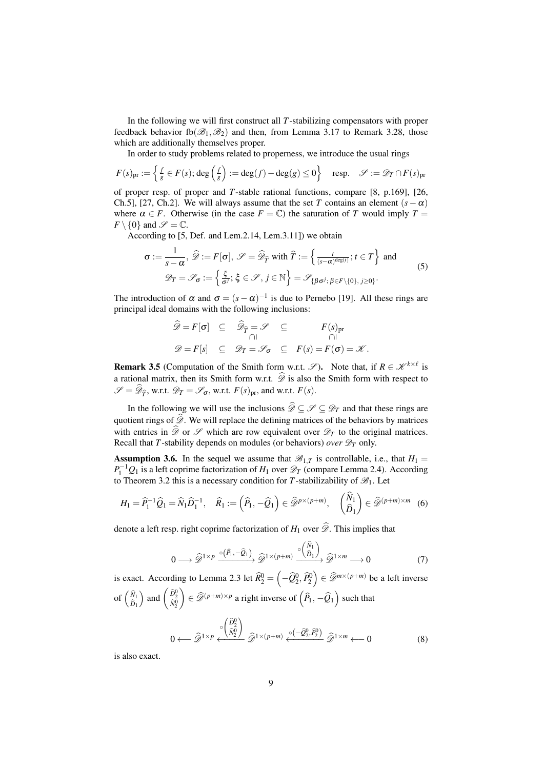In the following we will first construct all *T*-stabilizing compensators with proper feedback behavior fb $(\mathscr{B}_1,\mathscr{B}_2)$  and then, from Lemma [3.17](#page-15-0) to Remark [3.28,](#page-21-0) those which are additionally themselves proper.

In order to study problems related to properness, we introduce the usual rings

$$
F(s)_{\text{pr}} := \left\{ \frac{f}{g} \in F(s); \deg\left(\frac{f}{g}\right) := \deg(f) - \deg(g) \le 0 \right\} \quad \text{resp.} \quad \mathscr{S} := \mathscr{D}_T \cap F(s)_{\text{pr}}
$$

of proper resp. of proper and *T*-stable rational functions, compare [\[8,](#page-39-0) p.169], [\[26,](#page-39-6) Ch.5], [\[27,](#page-40-0) Ch.2]. We will always assume that the set *T* contains an element  $(s - \alpha)$ where  $\alpha \in F$ . Otherwise (in the case  $F = \mathbb{C}$ ) the saturation of *T* would imply  $T =$  $F \setminus \{0\}$  and  $\mathscr{S} = \mathbb{C}$ .

According to [\[5,](#page-38-6) Def. and Lem.2.14, Lem.3.11]) we obtain

<span id="page-8-4"></span>
$$
\sigma := \frac{1}{s - \alpha}, \ \widehat{\mathcal{D}} := F[\sigma], \ \mathcal{S} = \widehat{\mathcal{D}}_{\widehat{T}} \text{ with } \widehat{T} := \left\{ \frac{t}{(s - \alpha)^{\deg(t)}}; t \in T \right\} \text{ and } \tag{5}
$$
\n
$$
\mathcal{D}_T = \mathcal{S}_{\sigma} := \left\{ \frac{\xi}{\sigma^j}; \ \xi \in \mathcal{S}, j \in \mathbb{N} \right\} = \mathcal{S}_{\{\beta\sigma^j; \ \beta \in F \setminus \{0\}, \ j \ge 0\}}.
$$

The introduction of  $\alpha$  and  $\sigma = (s - \alpha)^{-1}$  is due to Pernebo [\[19\]](#page-39-5). All these rings are principal ideal domains with the following inclusions:

$$
\widehat{\mathscr{D}} = F[\sigma] \subseteq \widehat{\mathscr{D}}_{\widehat{T}} = \mathscr{S} \subseteq F(s)_{\text{pr}}
$$
  

$$
\mathscr{D} = F[s] \subseteq \mathscr{D}_{T} = \mathscr{S}_{\sigma} \subseteq F(s) = F(\sigma) = \mathscr{K}.
$$

**Remark 3.5** (Computation of the Smith form w.r.t.  $\mathscr{S}$ ). Note that, if  $R \in \mathscr{K}^{k \times \ell}$  is a rational matrix, then its Smith form w.r.t.  $\hat{\mathscr{D}}$  is also the Smith form with respect to  $\mathscr{S} = \mathscr{D}_{\widehat{T}}$ , w.r.t.  $\mathscr{D}_T = \mathscr{S}_{\sigma}$ , w.r.t. *F*(*s*)<sub>pr</sub>, and w.r.t. *F*(*s*).

In the following we will use the inclusions  $\widehat{\mathscr{D}} \subseteq \mathscr{S} \subseteq \mathscr{D}_T$  and that these rings are quotient rings of  $\widehat{\mathscr{D}}$ . We will replace the defining matrices of the behaviors by matrices with entries in  $\widehat{\mathscr{D}}$  or  $\mathscr{S}$  which are row equivalent over  $\mathscr{D}_T$  to the original matrices. Recall that *T*-stability depends on modules (or behaviors) *over*  $\mathscr{D}_T$  only.

<span id="page-8-0"></span>**Assumption 3.6.** In the sequel we assume that  $\mathcal{B}_{1,T}$  is controllable, i.e., that  $H_1 =$  $P_1^{-1}Q_1$  is a left coprime factorization of *H*<sub>1</sub> over  $\mathscr{D}_T$  (compare Lemma [2.4\)](#page-5-2). According to Theorem [3.2](#page-6-4) this is a necessary condition for T-stabilizability of  $\mathcal{B}_1$ . Let

<span id="page-8-1"></span>
$$
H_1 = \widehat{P}_1^{-1}\widehat{Q}_1 = \widehat{N}_1\widehat{D}_1^{-1}, \quad \widehat{R}_1 := \left(\widehat{P}_1, -\widehat{Q}_1\right) \in \widehat{\mathscr{D}}^{p \times (p+m)}, \quad \begin{pmatrix} \widehat{N}_1\\ \widehat{D}_1 \end{pmatrix} \in \widehat{\mathscr{D}}^{(p+m)\times m} \quad (6)
$$

denote a left resp. right coprime factorization of  $H_1$  over  $\hat{\mathscr{D}}$ . This implies that

<span id="page-8-3"></span>
$$
0 \longrightarrow \widehat{\mathscr{D}}^{1 \times p} \xrightarrow{\circ (\widehat{P}_1, -\widehat{Q}_1)} \widehat{\mathscr{D}}^{1 \times (p+m)} \xrightarrow{\circ (\widehat{N}_1)} \widehat{\mathscr{D}}^{1 \times m} \longrightarrow 0 \tag{7}
$$

is exact. According to Lemma [2.3](#page-4-4) let  $\widehat{R}_2^0 = \left(-\widehat{Q}_2^0, \widehat{P}_2^0\right) \in \widehat{\mathscr{D}}^{m \times (p+m)}$  be a left inverse of  $\begin{pmatrix} \widehat{N}_1 \\ \widehat{D}_1 \end{pmatrix}$ ) and  $\begin{pmatrix} \hat{D}_2^0 \\ \hat{N}_2^0 \end{pmatrix}$  $\left( \widehat{P}_1, -\widehat{Q}_1 \right)$  such that  $\left( \widehat{P}_1, -\widehat{Q}_1 \right)$  such that

<span id="page-8-2"></span>
$$
0 \longleftarrow \widehat{\mathscr{D}}^{1 \times p} \xleftarrow{\circ} \frac{\left(\widehat{D}_2^0\right)}{\widehat{N}_2^0} \widehat{\mathscr{D}}^{1 \times (p+m)} \xleftarrow{\circ} \frac{\left(-\widehat{Q}_2^0, \widehat{P}_2^0\right)}{\widehat{\mathscr{D}}^{1 \times m}} \widehat{\mathscr{D}}^{1 \times m} \longleftarrow 0 \tag{8}
$$

is also exact.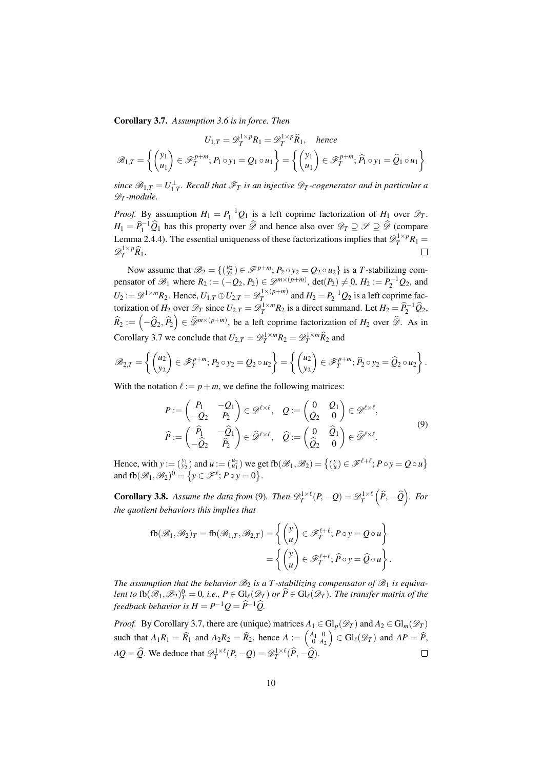<span id="page-9-0"></span>Corollary 3.7. *Assumption [3.6](#page-8-0) is in force. Then*

$$
U_{1,T} = \mathscr{D}_T^{1 \times p} R_1 = \mathscr{D}_T^{1 \times p} \widehat{R}_1, \quad \text{hence}
$$

$$
\mathscr{B}_{1,T} = \left\{ \begin{pmatrix} y_1 \\ u_1 \end{pmatrix} \in \mathscr{F}_T^{p+m}; P_1 \circ y_1 = Q_1 \circ u_1 \right\} = \left\{ \begin{pmatrix} y_1 \\ u_1 \end{pmatrix} \in \mathscr{F}_T^{p+m}; \widehat{P}_1 \circ y_1 = \widehat{Q}_1 \circ u_1 \right\}
$$

 $s$ ince  $\mathscr{B}_{1,T} = U_{1,T}^\perp$ . Recall that  $\mathscr{F}_T$  is an injective  $\mathscr{D}_T$ -cogenerator and in particular a D*<sup>T</sup> -module.*

*Proof.* By assumption  $H_1 = P_1^{-1}Q_1$  is a left coprime factorization of  $H_1$  over  $\mathscr{D}_T$ .  $H_1 = \widehat{P}_1^{-1} \widehat{Q}_1$  has this property over  $\widehat{\mathscr{D}}$  and hence also over  $\mathscr{D}_T \supseteq \mathscr{P} \supseteq \widehat{\mathscr{D}}$  (compare Lemma [2.4](#page-5-2)[.4\)](#page-6-5). The essential uniqueness of these factorizations implies that  $\mathcal{D}_T^{1 \times p} R_1 =$  $\mathscr{D}_T^{1\times p} \widehat{R}_1.$  $\Box$ 

Now assume that  $\mathscr{B}_2 = \{(\begin{smallmatrix} u_2 \\ y_2 \end{smallmatrix}) \in \mathscr{F}^{p+m}; P_2 \circ y_2 = Q_2 \circ u_2\}$  is a *T*-stabilizing compensator of  $\mathcal{B}_1$  where  $R_2 := (-Q_2, P_2) \in \mathcal{D}^{m \times (p+m)}$ ,  $\det(P_2) \neq 0$ ,  $H_2 := P_2^{-1}Q_2$ , and  $U_2 := \mathscr{D}^{1 \times m} R_2$ . Hence,  $U_{1,T} \oplus U_{2,T} = \mathscr{D}_T^{1 \times (p+m)}$  $T^{1 \times (p+m)}$  and  $H_2 = P_2^{-1} Q_2$  is a left coprime factorization of *H*<sub>2</sub> over  $\mathscr{D}_T$  since  $U_{2,T} = \mathscr{D}_T^{1 \times m} R_2$  is a direct summand. Let  $H_2 = \hat{P}_2^{-1} \hat{Q}_2$ ,  $\widehat{R}_2 := \left(-\widehat{Q}_2, \widehat{P}_2\right) \in \widehat{\mathscr{D}}^{m \times (p+m)}$ , be a left coprime factorization of  $H_2$  over  $\widehat{\mathscr{D}}$ . As in Corollary [3.7](#page-9-0) we conclude that  $U_{2,T} = \mathscr{D}_T^{1 \times m} R_2 = \mathscr{D}_T^{1 \times m} \widehat{R}_2$  and

$$
\mathscr{B}_{2,T}=\left\{\begin{pmatrix}u_2\\y_2\end{pmatrix}\in\mathscr{F}_T^{p+m}; P_2\circ y_2=Q_2\circ u_2\right\}=\left\{\begin{pmatrix}u_2\\y_2\end{pmatrix}\in\mathscr{F}_T^{p+m}; \widehat{P}_2\circ y_2=\widehat{Q}_2\circ u_2\right\}.
$$

With the notation  $\ell := p + m$ , we define the following matrices:

<span id="page-9-1"></span>
$$
P := \begin{pmatrix} P_1 & -Q_1 \\ -Q_2 & P_2 \end{pmatrix} \in \mathscr{D}^{\ell \times \ell}, \quad Q := \begin{pmatrix} 0 & Q_1 \\ Q_2 & 0 \end{pmatrix} \in \mathscr{D}^{\ell \times \ell},
$$
  

$$
\widehat{P} := \begin{pmatrix} \widehat{P}_1 & -\widehat{Q}_1 \\ -\widehat{Q}_2 & \widehat{P}_2 \end{pmatrix} \in \widehat{\mathscr{D}}^{\ell \times \ell}, \quad \widehat{Q} := \begin{pmatrix} 0 & \widehat{Q}_1 \\ \widehat{Q}_2 & 0 \end{pmatrix} \in \widehat{\mathscr{D}}^{\ell \times \ell}.
$$

$$
(9)
$$

Hence, with  $y := \begin{pmatrix} y_1 \\ y_2 \end{pmatrix}$  and  $u := \begin{pmatrix} u_2 \\ u_1 \end{pmatrix}$  we get fb $(\mathscr{B}_1, \mathscr{B}_2) = \begin{cases} \begin{pmatrix} y \\ u \end{pmatrix} \in \mathscr{F}^{\ell+\ell}; P \circ y = Q \circ u \end{cases}$ and  $\text{fb}(\mathcal{B}_1, \mathcal{B}_2)^0 = \{y \in \mathcal{F}^\ell; P \circ y = 0\}.$ 

**Corollary 3.8.** Assume the data from [\(9\)](#page-9-1). Then  $\mathscr{D}_T^{1\times \ell}(P,-Q)=\mathscr{D}_T^{1\times \ell}(\widehat{P},-\widehat{Q})$ . For *the quotient behaviors this implies that*

$$
\text{fb}(\mathscr{B}_1, \mathscr{B}_2)_T = \text{fb}(\mathscr{B}_{1,T}, \mathscr{B}_{2,T}) = \left\{ \begin{pmatrix} y \\ u \end{pmatrix} \in \mathscr{F}_T^{\ell+\ell}; P \circ y = Q \circ u \right\}
$$

$$
= \left\{ \begin{pmatrix} y \\ u \end{pmatrix} \in \mathscr{F}_T^{\ell+\ell}; \widehat{P} \circ y = \widehat{Q} \circ u \right\}.
$$

The assumption that the behavior  $\mathcal{B}_2$  is a T-stabilizing compensator of  $\mathcal{B}_1$  is equiva*lent to*  $fb(\mathscr{B}_1, \mathscr{B}_2)_T^0 = 0$ , *i.e.*,  $P \in Gl_\ell(\mathscr{D}_T)$  *or*  $\widehat{P} \in Gl_\ell(\mathscr{D}_T)$ *. The transfer matrix of the feedback behavior is*  $H = P^{-1}Q = \widehat{P}^{-1}\widehat{Q}.$ 

*Proof.* By Corollary [3.7,](#page-9-0) there are (unique) matrices  $A_1 \in Gl_p(\mathscr{D}_T)$  and  $A_2 \in Gl_m(\mathscr{D}_T)$ such that  $A_1R_1 = \hat{R}_1$  and  $A_2R_2 = \hat{R}_2$ , hence  $A := \begin{pmatrix} A_1 & 0 \\ 0 & A_2 \end{pmatrix} \in \text{Gl}_{\ell}(\mathscr{D}_T)$  and  $AP = \hat{P}_2$ ,  $AQ = \widehat{Q}$ . We deduce that  $\mathscr{D}_T^{1 \times \ell}(P, -Q) = \mathscr{D}_T^{1 \times \ell}(\widehat{P}, -\widehat{Q})$ .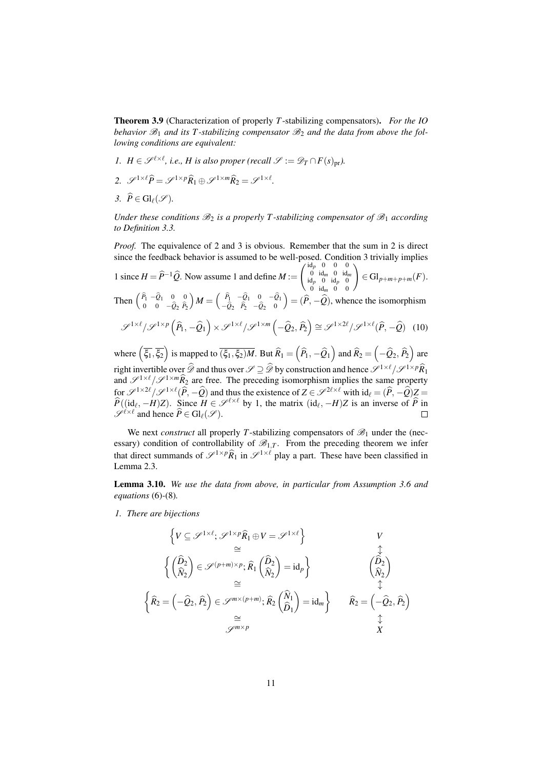<span id="page-10-5"></span>Theorem 3.9 (Characterization of properly *T*-stabilizing compensators). *For the IO* behavior  $\mathcal{B}_1$  and its T-stabilizing compensator  $\mathcal{B}_2$  and the data from above the fol*lowing conditions are equivalent:*

- <span id="page-10-2"></span>*1. H*  $\in \mathscr{S}^{\ell \times \ell}$ , *i.e., H is also proper (recall*  $\mathscr{S} := \mathscr{D}_T \cap F(s)_{pr}$ *).*
- <span id="page-10-0"></span>2.  $\mathscr{S}^{1\times l} \widehat{P} = \mathscr{S}^{1\times p} \widehat{R}_1 \oplus \mathscr{S}^{1\times m} \widehat{R}_2 = \mathscr{S}^{1\times l}$ .
- <span id="page-10-1"></span>*3.*  $\widehat{P} \in \mathrm{Gl}_{\ell}(\mathscr{S})$ *.*

*Under these conditions*  $\mathcal{B}_2$  *is a properly T-stabilizing compensator of*  $\mathcal{B}_1$  *according to Definition [3.3.](#page-7-2)*

*Proof.* The equivalence of [2](#page-10-0) and [3](#page-10-1) is obvious. Remember that the sum in [2](#page-10-0) is direct since the feedback behavior is assumed to be well-posed. Condition [3](#page-10-1) trivially implies

[1](#page-10-2) since  $H = \hat{P}^{-1}\hat{Q}$ . Now assume [1](#page-10-2) and define  $M :=$  $\begin{pmatrix} \mathrm{id}_p & 0 & 0 & 0 \\ 0 & \mathrm{id}_m & 0 & \mathrm{id}_m \\ \mathrm{id}_p & 0 & \mathrm{id}_p & 0 \end{pmatrix}$  $\begin{pmatrix} 0 & 0 & 0 \ 0 & \mathrm{id}_m & 0 & \mathrm{id}_m \ \mathrm{d}_p & 0 & \mathrm{id}_p & 0 \ 0 & \mathrm{id}_m & 0 & 0 \end{pmatrix}$  $\in$  Gl<sub>p+m+p+m</sub> $(F)$ .

Then  $\begin{pmatrix} \hat{P}_1 & -\hat{Q}_1 & 0 & 0 \\ 0 & 0 & \hat{Q}_1 & \hat{Q}_2 \end{pmatrix}$ 0 0  $-Q_2$   $P_2$  $M = \begin{pmatrix} \hat{P}_1 & -\hat{Q}_1 & 0 & -\hat{Q}_1 \\ -\hat{Q}_2 & \hat{P}_2 & -\hat{Q}_2 & 0 \end{pmatrix}$  $=$   $(\widehat{P}, -\widehat{Q})$ , whence the isomorphism

$$
\mathscr{S}^{1\times\ell}/\mathscr{S}^{1\times p}\left(\widehat{P}_1,-\widehat{Q}_1\right)\times\mathscr{S}^{1\times\ell}/\mathscr{S}^{1\times m}\left(-\widehat{Q}_2,\widehat{P}_2\right)\cong\mathscr{S}^{1\times2\ell}/\mathscr{S}^{1\times\ell}(\widehat{P},-\widehat{Q})\tag{10}
$$

where  $(\overline{\xi_1}, \overline{\xi_2})$  is mapped to  $\overline{(\xi_1, \xi_2)M}$ . But  $\widehat{R}_1 = (\widehat{P}_1, -\widehat{Q}_1)$  and  $\widehat{R}_2 = (-\widehat{Q}_2, \widehat{P}_2)$  are right invertible over  $\widehat{\mathscr{D}}$  and thus over  $\mathscr{S} \supseteq \widehat{\mathscr{D}}$  by construction and hence  $\widehat{\mathscr{S}}^{1\times \ell}/\widehat{\mathscr{S}}^{1\times p}\widehat{R}_1$ and  $\mathscr{S}^{1\times\ell}/\mathscr{S}^{1\times m}\widehat{R}_2$  are free. The preceding isomorphism implies the same property for  $\mathscr{S}^{1\times 2\ell}/\mathscr{S}^{1\times \ell}(\widehat{P}, -\widehat{Q})$  and thus the existence of  $Z \in \mathscr{S}^{2\ell \times \ell}$  with  $id_\ell = (\widehat{P}, -\widehat{Q})Z = \widehat{P}(\ell, 1, \ldots, N, Z)$ .  $\hat{P}((id_\ell, -H)Z)$ . Since  $H \in \mathscr{S}^{\ell \times \ell}$  by [1,](#page-10-2) the matrix  $(id_\ell, -H)Z$  is an inverse of  $\hat{P}$  in  $\mathscr{S}^{\ell \times \ell}$  and hence  $\widehat{P} \in \mathrm{Gl}_{\ell}(\mathscr{S})$ .

We next *construct* all properly T-stabilizing compensators of  $\mathcal{B}_1$  under the (necessary) condition of controllability of  $\mathcal{B}_{1,T}$ . From the preceding theorem we infer that direct summands of  $\mathscr{S}^{1\times p}$  $\widehat{R}_1$  in  $\mathscr{S}^{1\times \ell}$  play a part. These have been classified in Lemma [2.3.](#page-4-4)

<span id="page-10-4"></span>Lemma 3.10. *We use the data from above, in particular from Assumption [3.6](#page-8-0) and equations* [\(6\)](#page-8-1)*-*[\(8\)](#page-8-2)*.*

<span id="page-10-3"></span>*1. There are bijections*

$$
\begin{aligned}\n\left\{ V \subseteq \mathcal{S}^{1 \times \ell}; \mathcal{S}^{1 \times p} \hat{R}_1 \oplus V = \mathcal{S}^{1 \times \ell} \right\} & V \\
&\cong & \downarrow \downarrow \\
\left\{ \begin{pmatrix} \hat{D}_2 \\ \hat{N}_2 \end{pmatrix} \in \mathcal{S}^{(p+m) \times p}; \hat{R}_1 \begin{pmatrix} \hat{D}_2 \\ \hat{N}_2 \end{pmatrix} = id_p \right\} & \begin{pmatrix} \hat{D}_2 \\ \hat{N}_2 \end{pmatrix} \\
&\cong & \downarrow \downarrow \\
\left\{ \hat{R}_2 = \left( -\hat{Q}_2, \hat{P}_2 \right) \in \mathcal{S}^{m \times (p+m)}; \hat{R}_2 \begin{pmatrix} \hat{N}_1 \\ \hat{D}_1 \end{pmatrix} = id_m \right\} & \hat{R}_2 = \left( -\hat{Q}_2, \hat{P}_2 \right) \\
&\cong & \downarrow \downarrow \\
&\mathcal{S}^{m \times p} & \downarrow\n\end{aligned}
$$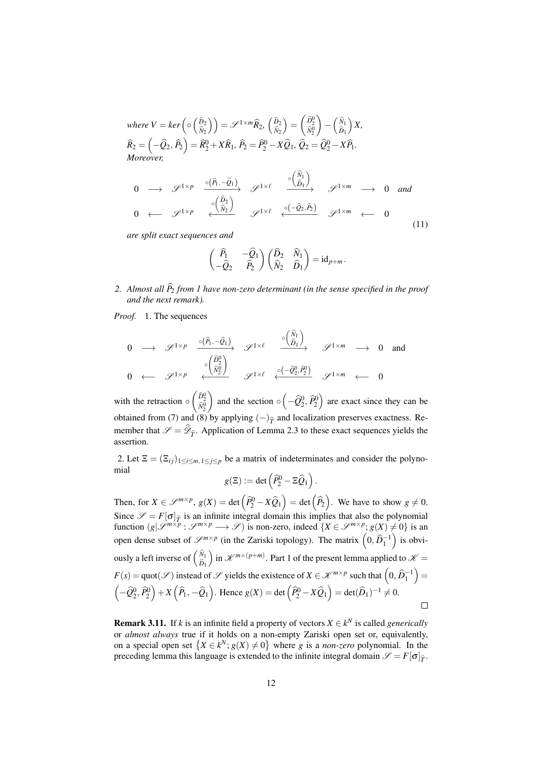where  $V = \text{ker}\left(\circ \left(\frac{\widehat{D}_2}{\widehat{N}_2}\right)\right) = \mathscr{S}^{1 \times m} \widehat{R}_2, \ \left(\frac{\widehat{D}_2}{\widehat{N}_2}\right)$  $\bigg) = \begin{pmatrix} \widehat{D}_2^0 \\ \widehat{N}_2^0 \end{pmatrix}$  $\bigg) - \bigg( \frac{\widehat{N}_1}{\widehat{D}_1}$  *X,*  $\widehat{R}_2 = \left(-\widehat{Q}_2, \widehat{P}_2\right) = \widehat{R}_2^0 + X\widehat{R}_1, \,\widehat{P}_2 = \widehat{P}_2^0 - X\widehat{Q}_1, \,\widehat{Q}_2 = \widehat{Q}_2^0 - X\widehat{P}_1.$ *Moreover,*

<span id="page-11-0"></span>
$$
0 \longrightarrow \mathscr{S}^{1 \times p} \xrightarrow{\circ (\widehat{P}_1, -\widehat{Q}_1)} \mathscr{S}^{1 \times \ell} \xrightarrow{\circ (\widehat{\widehat{D}_1})} \mathscr{S}^{1 \times m} \longrightarrow 0 \text{ and}
$$
  

$$
0 \longleftarrow \mathscr{S}^{1 \times p} \xleftarrow{\circ (\widehat{\widehat{D}_2})} \mathscr{S}^{1 \times \ell} \xleftarrow{\circ (-\widehat{Q}_2, \widehat{P}_2)} \mathscr{S}^{1 \times m} \longleftarrow 0
$$
 (11)

*are split exact sequences and*

$$
\begin{pmatrix}\n\widehat{P}_1 & -\widehat{Q}_1 \\
-\widehat{Q}_2 & \widehat{P}_2\n\end{pmatrix}\n\begin{pmatrix}\n\widehat{D}_2 & \widehat{N}_1 \\
\widehat{N}_2 & \widehat{D}_1\n\end{pmatrix} = id_{p+m}.
$$

2. Almost all  $\hat{P}_2$  *from* [1](#page-10-3) have non-zero determinant (in the sense specified in the proof *and the next remark).*

*Proof.* 1. The sequences

$$
0 \longrightarrow \mathscr{S}^{1 \times p} \xrightarrow{\circ (\widehat{P}_1, -\widehat{Q}_1)} \mathscr{S}^{1 \times \ell} \xrightarrow{\circ (\widehat{\widehat{P}_1})} \mathscr{S}^{1 \times m} \longrightarrow 0 \text{ and}
$$
  

$$
0 \longleftarrow \mathscr{S}^{1 \times p} \xleftarrow{\circ (\widehat{\widehat{N}_2^0})} \mathscr{S}^{1 \times \ell} \xleftarrow{\circ (-\widehat{Q}_2^0, \widehat{P}_2^0)} \mathscr{S}^{1 \times m} \longleftarrow 0
$$

with the retraction  $\circ$   $\begin{pmatrix} \hat{D}_2^0 \\ \hat{N}_2^0 \end{pmatrix}$ ) and the section  $\circ \left( -\hat{Q}_2^0, \hat{P}_2^0 \right)$  are exact since they can be obtained from [\(7\)](#page-8-3) and [\(8\)](#page-8-2) by applying  $(-)_{\hat{T}}$  and localization preserves exactness. Remember that  $\mathscr{S} = \mathscr{D}_{\hat{T}}$ . Application of Lemma [2.3](#page-4-4) to these exact sequences yields the assertion.

2. Let  $\Xi = (\Xi_{ij})_{1 \le i \le m, 1 \le j \le p}$  be a matrix of indeterminates and consider the polynomial

$$
g(\Xi):=\det\left(\widehat{P}_2^0-\Xi\widehat{Q}_1\right).
$$

Then, for  $X \in \mathcal{S}^{m \times p}$ ,  $g(X) = \det \left( \widehat{P}_2^0 - X \widehat{Q}_1 \right) = \det \left( \widehat{P}_2 \right)$ . We have to show  $g \neq 0$ . Since  $\mathcal{S} = F[\sigma]_{\hat{T}}$  is an infinite integral domain this implies that also the polynomial function  $(g|\mathcal{S}^{m \times p} : \mathcal{S}^{m \times p} \longrightarrow \mathcal{S})$  is non-zero, indeed  $\{X \in \mathcal{S}^{m \times p} : g(X) \neq 0\}$  is an open dense subset of  $\mathscr{S}^{m \times p}$  (in the Zariski topology). The matrix  $(0, \widehat{D}_1^{-1})$  is obviously a left inverse of  $\begin{pmatrix} \hat{N}_1 \\ \hat{D}_1 \end{pmatrix}$  $\lim_{k \to \infty}$  in  $\mathcal{K}^{m \times (p+m)}$ . Part [1](#page-10-3) of the present lemma applied to  $\mathcal{K} =$  $F(s) = \text{quot}(\mathscr{S})$  instead of  $\mathscr{S}$  yields the existence of  $X \in \mathscr{K}^{m \times p}$  such that  $\left(0, \widehat{D}_1^{-1}\right) =$  $\left(-\widehat{Q}_2^0, \widehat{P}_2^0\right) + X\left(\widehat{P}_1, -\widehat{Q}_1\right)$ . Hence  $g(X) = \det\left(\widehat{P}_2^0 - X\widehat{Q}_1\right) = \det(\widehat{D}_1)^{-1} \neq 0$ .  $\Box$ 

**Remark 3.11.** If *k* is an infinite field a property of vectors  $X \in k^N$  is called *generically* or *almost always* true if it holds on a non-empty Zariski open set or, equivalently, on a special open set  $\{X \in k^N; g(X) \neq 0\}$  where *g* is a *non-zero* polynomial. In the preceding lemma this language is extended to the infinite integral domain  $\mathscr{S} = F[\sigma]_{\hat{T}}$ .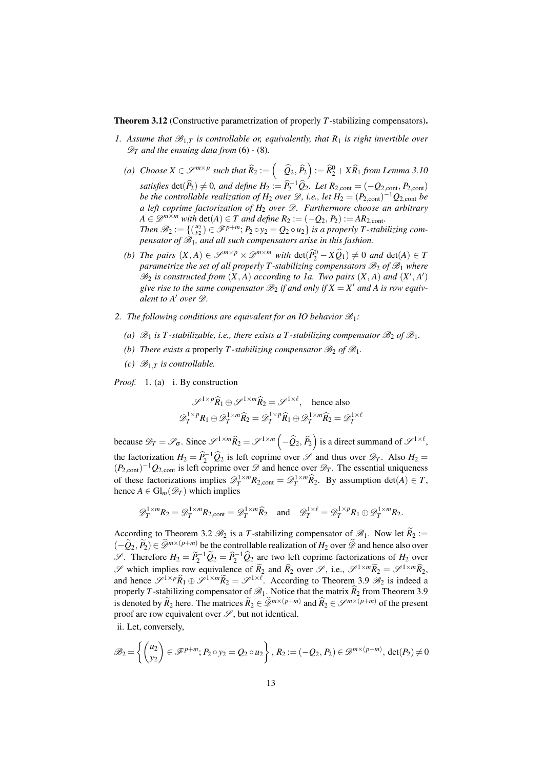<span id="page-12-0"></span>Theorem 3.12 (Constructive parametrization of properly *T*-stabilizing compensators).

- <span id="page-12-4"></span><span id="page-12-1"></span>*1.* Assume that  $\mathcal{B}_{1,T}$  is controllable or, equivalently, that  $R_1$  is right invertible over  $\mathscr{D}_T$  *and the ensuing data from* [\(6\)](#page-8-1) - [\(8\)](#page-8-2).
	- *(a) Choose*  $X \in \mathscr{S}^{m \times p}$  such that  $\widehat{R}_2 := \left(-\widehat{Q}_2, \widehat{P}_2\right) := \widehat{R}_2^0 + X \widehat{R}_1$  from Lemma [3.10](#page-10-4) *satisfies* det( $\hat{P}_2$ )  $\neq$  0, and define  $H_2 := \hat{P}_2^{-1} \hat{Q}_2$ . Let  $R_{2,\text{cont}} = (-Q_{2,\text{cont}}, P_{2,\text{cont}})$ *be the controllable realization of*  $H_2$  *over*  $\mathscr{D}$ *, i.e., let*  $H_2 = (P_{2,\text{cont}})^{-1} Q_{2,\text{cont}}$  *be a left coprime factorization of H*<sup>2</sup> *over* D*. Furthermore choose an arbitrary*  $A \in \mathscr{D}^{m \times m}$  *with*  $\det(A) \in T$  *and define*  $R_2 := (-Q_2, P_2) := AR_{2,\text{cont}}$ *. Then*  $\mathscr{B}_2 := \{(\begin{smallmatrix} u_2 \\ y_2 \end{smallmatrix}) \in \mathscr{F}^{p+m}; P_2 \circ y_2 = Q_2 \circ u_2\}$  *is a properly T-stabilizing compensator of* B1*, and all such compensators arise in this fashion.*
	- *(b) The pairs*  $(X, A) \in \mathcal{S}^{m \times p} \times \mathcal{D}^{m \times m}$  *with*  $\det(\widehat{P}_2^0 X\widehat{Q}_1) \neq 0$  *and*  $\det(A) \in T$ *parametrize the set of all properly T-stabilizing compensators*  $\mathcal{B}_2$  of  $\mathcal{B}_1$  *where*  $\mathscr{B}_2$  is constructed from  $(X, A)$  according to [1a.](#page-12-1) Two pairs  $(X, A)$  and  $(X', A')$ give rise to the same compensator  $\mathscr{B}_2$  if and only if  $X = X'$  and A is row equiv*alent to A' over*  $\mathscr{D}$ *.*
- 2. *The following conditions are equivalent for an IO behavior*  $\mathcal{B}_1$ *:* 
	- (a)  $\mathscr{B}_1$  *is T*-stabilizable, i.e., there exists a T-stabilizing compensator  $\mathscr{B}_2$  of  $\mathscr{B}_1$ .
	- *(b) There exists a* properly *T*-stabilizing compensator  $\mathcal{B}_2$  of  $\mathcal{B}_1$ .
	- *(c)*  $\mathcal{B}_{1,T}$  *is controllable.*

<span id="page-12-3"></span><span id="page-12-2"></span>*Proof.* 1. (a) i. By construction

$$
\mathscr{S}^{1 \times p} \widehat{R}_1 \oplus \mathscr{S}^{1 \times m} \widehat{R}_2 = \mathscr{S}^{1 \times \ell}, \text{ hence also}
$$
  

$$
\mathscr{D}_T^{1 \times p} R_1 \oplus \mathscr{D}_T^{1 \times m} \widehat{R}_2 = \mathscr{D}_T^{1 \times p} \widehat{R}_1 \oplus \mathscr{D}_T^{1 \times m} \widehat{R}_2 = \mathscr{D}_T^{1 \times \ell}
$$

because  $\mathscr{D}_T = \mathscr{S}_{\sigma}$ . Since  $\mathscr{S}^{1 \times m} \widehat{R}_2 = \mathscr{S}^{1 \times m} \left(-\widehat{Q}_2, \widehat{P}_2\right)$  is a direct summand of  $\mathscr{S}^{1 \times \ell}$ , the factorization  $H_2 = \hat{P}_2^{-1} \hat{Q}_2$  is left coprime over  $\mathscr{S}$  and thus over  $\mathscr{D}_T$ . Also  $H_2 = (P_1 - P_2)$  $(P_{2,\text{cont}})^{-1}Q_{2,\text{cont}}$  is left coprime over  $\mathscr{D}$  and hence over  $\mathscr{D}_T$ . The essential uniqueness of these factorizations implies  $\mathscr{D}_T^{1\times m}R_{2,\text{cont}} = \mathscr{D}_T^{1\times m}\widehat{R}_2$ . By assumption det(*A*) ∈ *T*, hence  $A \in \mathrm{Gl}_m(\mathscr{D}_T)$  which implies

$$
\mathscr{D}_T^{1 \times m} R_2 = \mathscr{D}_T^{1 \times m} R_{2,\text{cont}} = \mathscr{D}_T^{1 \times m} \widehat{R}_2 \quad \text{and} \quad \mathscr{D}_T^{1 \times \ell} = \mathscr{D}_T^{1 \times p} R_1 \oplus \mathscr{D}_T^{1 \times m} R_2.
$$

According to Theorem [3.2](#page-6-4)  $\mathcal{B}_2$  is a *T*-stabilizing compensator of  $\mathcal{B}_1$ . Now let  $\widetilde{R}_2$  :=  $(-\widetilde{Q}_2, \widetilde{P}_2) \in \widehat{\mathscr{D}}^{m \times (p+m)}$  be the controllable realization of  $H_2$  over  $\widehat{\mathscr{D}}$  and hence also over  $\mathscr{S}$ . Therefore  $H_2 = \widetilde{P}_2^{-1} \widetilde{Q}_2 = \widehat{P}_2^{-1} \widehat{Q}_2$  are two left coprime factorizations of  $H_2$  over S which implies row equivalence of  $\widetilde{R}_2$  and  $\widehat{R}_2$  over S, i.e.,  $\mathscr{S}^{1 \times m} \widetilde{R}_2 = \mathscr{S}^{1 \times m} \widehat{R}_2$ , and hence  $\mathscr{S}^{1 \times p} \widehat{R}_1 \oplus \mathscr{S}^{1 \times m} \widetilde{R}_2 = \mathscr{S}^{1 \times \ell}$ . According to Theorem [3.9](#page-10-5)  $\mathscr{B}_2$  is indeed a properly *T*-stabilizing compensator of  $\mathcal{B}_1$ . Notice that the matrix  $\hat{R}_2$  from Theorem [3.9](#page-10-5) is denoted by  $\widetilde{R}_2$  here. The matrices  $\widetilde{R}_2 \in \widehat{\mathscr{D}}^{m \times (p+m)}$  and  $\widehat{R}_2 \in \mathscr{D}^{m \times (p+m)}$  of the present proof are row equivalent over  $\mathscr{S}$ , but not identical.

ii. Let, conversely,

$$
\mathscr{B}_2 = \left\{ \begin{pmatrix} u_2 \\ y_2 \end{pmatrix} \in \mathscr{F}^{p+m}; P_2 \circ y_2 = Q_2 \circ u_2 \right\}, R_2 := (-Q_2, P_2) \in \mathscr{D}^{m \times (p+m)}, \det(P_2) \neq 0
$$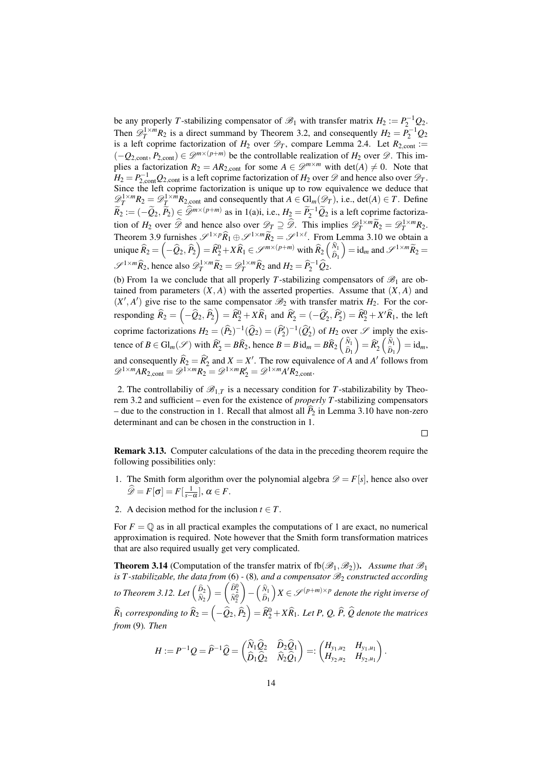be any properly *T*-stabilizing compensator of  $\mathcal{B}_1$  with transfer matrix  $H_2 := P_2^{-1} Q_2$ . Then  $\mathscr{D}_T^{1 \times m} R_2$  is a direct summand by Theorem [3.2,](#page-6-4) and consequently  $H_2 = P_2^{-1} Q_2$ is a left coprime factorization of  $H_2$  over  $\mathcal{D}_T$ , compare Lemma [2.4.](#page-5-2) Let  $R_{2,\text{cont}}$  :=  $(-Q_{2,\text{cont}}, P_{2,\text{cont}}) \in \mathcal{D}^{m \times (p+m)}$  be the controllable realization of  $H_2$  over  $\mathcal{D}$ . This implies a factorization  $R_2 = AR_{2,cont}$  for some  $A \in \mathcal{D}^{m \times m}$  with  $det(A) \neq 0$ . Note that  $H_2 = P_{2,\text{cont}}^{-1} Q_{2,\text{cont}}$  is a left coprime factorization of  $H_2$  over  $\mathscr{D}$  and hence also over  $\mathscr{D}_T$ . Since the left coprime factorization is unique up to row equivalence we deduce that  $\mathscr{D}_T^{1 \times m} R_2 = \mathscr{D}_T^{1 \times m} R_{2,\text{cont}}$  and consequently that  $A \in \text{Gl}_m(\mathscr{D}_T)$ , i.e., det(*A*)  $\in T$ . Define  $\widetilde{R}_2 := (-\widetilde{Q}_2, \widetilde{P}_2) \subseteq \widehat{\mathscr{D}}^{m \times (p+m)}$  as in [1\(a\)i,](#page-12-2) i.e.,  $H_2 = \widetilde{P}_2^{-1} \widetilde{Q}_2$  is a left coprime factorization of *H*<sub>2</sub> over  $\widehat{\mathscr{D}}$  and hence also over  $\mathscr{D}_T \supseteq \widehat{\mathscr{D}}$ . This implies  $\mathscr{D}_T^{1 \times m} \widetilde{R}_2 = \mathscr{D}_T^{1 \times m} R_2$ . Theorem [3.9](#page-10-5) furnishes  $\mathscr{S}^{1\times p}\hat{R}_1 \oplus \mathscr{S}^{1\times m}\hat{R}_2 = \mathscr{S}^{1\times \ell}$ . From Lemma [3.10](#page-10-4) we obtain a unique  $\widehat{R}_2 = \left(-\widehat{Q}_2, \widehat{P}_2\right) = \widehat{R}_2^0 + X\widehat{R}_1 \in \mathscr{S}^{m \times (p+m)}$  with  $\widehat{R}_2 \left(\widehat{R}_1\right)$  $=$  id<sub>*m*</sub> and  $\mathscr{S}^{1 \times m} \widetilde{R}_2 =$  $\mathscr{S}^{1 \times m} \widehat{R}_2$ , hence also  $\mathscr{D}_T^{1 \times m} \widetilde{R}_2 = \mathscr{D}_T^{1 \times m} \widehat{R}_2$  and  $H_2 = \widehat{P}_2^{-1} \widehat{Q}_2$ .

(b) From [1a](#page-12-3) we conclude that all properly *T*-stabilizing compensators of  $\mathscr{B}_1$  are obtained from parameters  $(X, A)$  with the asserted properties. Assume that  $(X, A)$  and  $(X', A')$  give rise to the same compensator  $\mathcal{B}_2$  with transfer matrix  $H_2$ . For the corresponding  $\widehat{R}_2 = \left(-\widehat{Q}_2, \widehat{P}_2\right) = \widehat{R}_2^0 + X\widehat{R}_1$  and  $\widehat{R}_2' = \left(-\widehat{Q}_2', \widehat{P}_2'\right) = \widehat{R}_2^0 + X'\widehat{R}_1$ , the left coprime factorizations  $H_2 = (\hat{P}_2)^{-1}(\hat{Q}_2) = (\hat{P}_2')^{-1}(\hat{Q}_2')$  of  $H_2$  over  $\mathscr{S}$  imply the existence of  $B \in \mathrm{Gl}_m(\mathscr{S})$  with  $\widehat{R}_2^{\prime} = B\widehat{R}_2$ , hence  $B = B \mathrm{id}_m = B\widehat{R}_2 \begin{pmatrix} \widehat{N}_1 \\ \widehat{D}_1 \end{pmatrix}$  $\bigg) = \widehat{R}'_2 \begin{pmatrix} \widehat{N}_1 \\ \widehat{D}_1 \end{pmatrix}$  $=$  id<sub>*m*</sub>, and consequently  $\widehat{R}_2 = \widehat{R}_2^t$  and  $X = X'$ . The row equivalence of *A* and *A'* follows from  $\mathscr{D}^{1 \times m}AR_{2,\text{cont}} = \mathscr{D}^{1 \times m}R_2 = \mathscr{D}^{1 \times m}R_2' = \mathscr{D}^{1 \times m}A'R_{2,\text{cont}}.$ 

2. The controllabiliy of  $\mathcal{B}_{1,T}$  is a necessary condition for T-stabilizability by Theorem [3.2](#page-6-4) and sufficient – even for the existence of *properly T*-stabilizing compensators – due to the construction in [1.](#page-12-4) Recall that almost all  $\tilde{P}_2$  in Lemma [3.10](#page-10-4) have non-zero determinant and can be chosen in the construction in [1.](#page-12-4)

 $\Box$ 

Remark 3.13. Computer calculations of the data in the preceding theorem require the following possibilities only:

- <span id="page-13-0"></span>1. The Smith form algorithm over the polynomial algebra  $\mathcal{D} = F[s]$ , hence also over  $\widehat{\mathscr{D}} = F[\sigma] = F[\frac{1}{s-\alpha}], \alpha \in F.$
- 2. A decision method for the inclusion  $t \in T$ .

For  $F = \mathbb{Q}$  as in all practical examples the computations of [1](#page-13-0) are exact, no numerical approximation is required. Note however that the Smith form transformation matrices that are also required usually get very complicated.

<span id="page-13-1"></span>**Theorem 3.14** (Computation of the transfer matrix of  $fb(\mathcal{B}_1,\mathcal{B}_2)$ ). Assume that  $\mathcal{B}_1$ *is T*-stabilizable, the data from [\(6\)](#page-8-1) - [\(8\)](#page-8-2), and a compensator  $\mathcal{B}_2$  constructed according *to Theorem [3.12.](#page-12-0) Let*  $\begin{pmatrix} \widehat{D}_2 \\ \widehat{N}_2 \end{pmatrix}$  $\bigg) = \begin{pmatrix} \widehat{D}_2^0 \\ \widehat{N}_2^0 \end{pmatrix}$  $\Bigg) - \Big( \frac{\widehat{N}_1}{\widehat{D}_1}$  $\left(X \in \mathscr{S}^{(p+m)\times p}$  *denote the right inverse of*  $\widehat R_1$  *corresponding to*  $\widehat R_2=\left(-\widehat Q_2,\widehat P_2\right)=\widehat R_2^0+X\widehat R_1.$  Let P, Q,  $\widehat P$ ,  $\widehat Q$  denote the matrices *from* [\(9\)](#page-9-1)*. Then*

$$
H := P^{-1} Q = \widehat{P}^{-1} \widehat{Q} = \begin{pmatrix} \widehat{N}_1 \widehat{Q}_2 & \widehat{D}_2 \widehat{Q}_1 \\ \widehat{D}_1 \widehat{Q}_2 & \widehat{N}_2 \widehat{Q}_1 \end{pmatrix} =: \begin{pmatrix} H_{y_1,u_2} & H_{y_1,u_1} \\ H_{y_2,u_2} & H_{y_2,u_1} \end{pmatrix}.
$$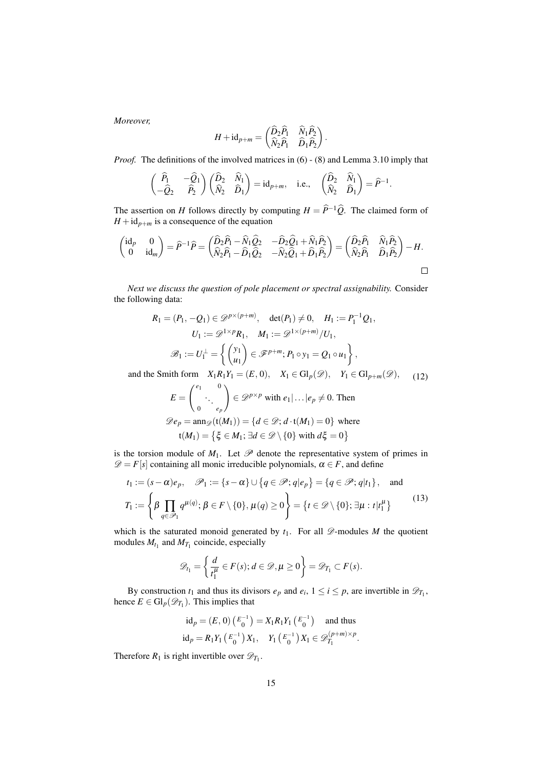*Moreover,*

$$
H + id_{p+m} = \begin{pmatrix} \widehat{D}_2 \widehat{P}_1 & \widehat{N}_1 \widehat{P}_2 \\ \widehat{N}_2 \widehat{P}_1 & \widehat{D}_1 \widehat{P}_2 \end{pmatrix}.
$$

*Proof.* The definitions of the involved matrices in [\(6\)](#page-8-1) - [\(8\)](#page-8-2) and Lemma [3.10](#page-10-4) imply that

$$
\begin{pmatrix}\n\widehat{P}_1 & -\widehat{Q}_1 \\
-\widehat{Q}_2 & \widehat{P}_2\n\end{pmatrix}\n\begin{pmatrix}\n\widehat{D}_2 & \widehat{N}_1 \\
\widehat{N}_2 & \widehat{D}_1\n\end{pmatrix} = id_{p+m}, \text{ i.e., } \begin{pmatrix}\n\widehat{D}_2 & \widehat{N}_1 \\
\widehat{N}_2 & \widehat{D}_1\n\end{pmatrix} = \widehat{P}^{-1}.
$$

The assertion on *H* follows directly by computing  $H = \hat{P}^{-1}\hat{Q}$ . The claimed form of  $H + id_{p+m}$  is a consequence of the equation

$$
\begin{pmatrix} \mathrm{id}_p & 0 \\ 0 & \mathrm{id}_m \end{pmatrix} = \widehat{P}^{-1}\widehat{P} = \begin{pmatrix} \widehat{D}_2\widehat{P}_1 - \widehat{N}_1\widehat{Q}_2 & -\widehat{D}_2\widehat{Q}_1 + \widehat{N}_1\widehat{P}_2 \\ \widehat{N}_2\widehat{P}_1 - \widehat{D}_1\widehat{Q}_2 & -\widehat{N}_2\widehat{Q}_1 + \widehat{D}_1\widehat{P}_2 \end{pmatrix} = \begin{pmatrix} \widehat{D}_2\widehat{P}_1 & \widehat{N}_1\widehat{P}_2 \\ \widehat{N}_2\widehat{P}_1 & \widehat{D}_1\widehat{P}_2 \end{pmatrix} - H.
$$

*Next we discuss the question of pole placement or spectral assignability.* Consider the following data:

$$
R_1 = (P_1, -Q_1) \in \mathcal{D}^{p \times (p+m)}, \quad \det(P_1) \neq 0, \quad H_1 := P_1^{-1} Q_1,
$$
  
\n
$$
U_1 := \mathcal{D}^{1 \times p} R_1, \quad M_1 := \mathcal{D}^{1 \times (p+m)} / U_1,
$$
  
\n
$$
\mathcal{B}_1 := U_1^{\perp} = \left\{ \begin{pmatrix} y_1 \\ u_1 \end{pmatrix} \in \mathcal{F}^{p+m}; P_1 \circ y_1 = Q_1 \circ u_1 \right\},
$$
  
\n
$$
\text{Smith form } X_1 R_1 Y_2 = (F_1 0) \quad X_2 \in \text{Gl} \quad (\mathcal{D}) \quad Y_3 \in \text{Gl} \quad (\mathcal{D})
$$

<span id="page-14-0"></span>and the Smith form  $X_1R_1Y_1 = (E, 0),$   $X_1 \in \mathrm{Gl}_p(\mathscr{D}),$   $Y_1 \in \mathrm{Gl}_{p+m}(\mathscr{D}),$ (12)

$$
E = \begin{pmatrix} e_1 & 0 \\ 0 & \cdot \\ e_p \end{pmatrix} \in \mathcal{D}^{p \times p} \text{ with } e_1 | \dots | e_p \neq 0. \text{ Then}
$$

$$
\mathcal{D}e_p = \text{ann}_{\mathcal{D}}(\mathbf{t}(M_1)) = \{ d \in \mathcal{D}; d \cdot \mathbf{t}(M_1) = 0 \} \text{ where}
$$

$$
\mathbf{t}(M_1) = \{ \xi \in M_1; \exists d \in \mathcal{D} \setminus \{ 0 \} \text{ with } d\xi = 0 \}
$$

is the torsion module of  $M_1$ . Let  $\mathscr P$  denote the representative system of primes in  $\mathscr{D} = F[s]$  containing all monic irreducible polynomials,  $\alpha \in F$ , and define

<span id="page-14-1"></span>
$$
t_1 := (s - \alpha)e_p, \quad \mathscr{P}_1 := \{s - \alpha\} \cup \{q \in \mathscr{P}; q|e_p\} = \{q \in \mathscr{P}; q|t_1\}, \quad \text{and}
$$
  

$$
T_1 := \left\{\beta \prod_{q \in \mathscr{P}_1} q^{\mu(q)}; \beta \in F \setminus \{0\}, \mu(q) \ge 0\right\} = \left\{t \in \mathscr{D} \setminus \{0\}; \exists \mu : t|t_1^{\mu}\right\} \tag{13}
$$

which is the saturated monoid generated by  $t_1$ . For all  $\mathscr{D}$ -modules *M* the quotient modules  $M_{t_1}$  and  $M_{T_1}$  coincide, especially

$$
\mathscr{D}_{t_1} = \left\{ \frac{d}{t_1^{\mu}} \in F(s); d \in \mathscr{D}, \mu \ge 0 \right\} = \mathscr{D}_{T_1} \subset F(s).
$$

By construction  $t_1$  and thus its divisors  $e_p$  and  $e_i$ ,  $1 \le i \le p$ , are invertible in  $\mathcal{D}_{T_1}$ , hence  $E \in \mathrm{Gl}_p(\mathscr{D}_{T_1})$ . This implies that

$$
id_p = (E, 0) \left( \begin{matrix} E^{-1} \\ 0 \end{matrix} \right) = X_1 R_1 Y_1 \left( \begin{matrix} E^{-1} \\ 0 \end{matrix} \right) \text{ and thus}
$$
  

$$
id_p = R_1 Y_1 \left( \begin{matrix} E^{-1} \\ 0 \end{matrix} \right) X_1, \quad Y_1 \left( \begin{matrix} E^{-1} \\ 0 \end{matrix} \right) X_1 \in \mathscr{D}_{T_1}^{(p+m)\times p}.
$$

Therefore  $R_1$  is right invertible over  $\mathscr{D}_{T_1}$ .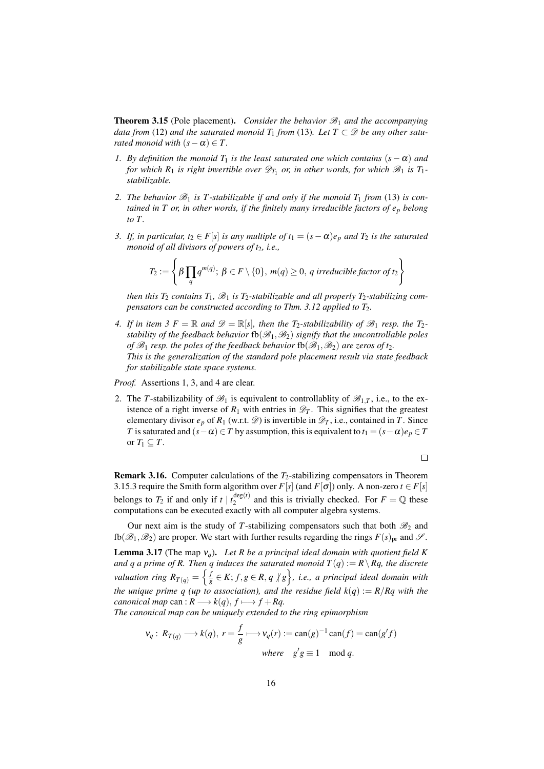<span id="page-15-4"></span>**Theorem 3.15** (Pole placement). *Consider the behavior*  $\mathcal{B}_1$  *and the accompanying data from* [\(12\)](#page-14-0) *and the saturated monoid*  $T_1$  *from* [\(13\)](#page-14-1)*. Let*  $T \subset \mathcal{D}$  *be any other saturated monoid with*  $(s - \alpha) \in T$ .

- <span id="page-15-2"></span>*1. By definition the monoid*  $T_1$  *is the least saturated one which contains*  $(s - \alpha)$  *and for which R*<sub>1</sub> *is right invertible over*  $\mathscr{D}_{T_1}$  *or, in other words, for which*  $\mathscr{B}_1$  *is T*<sub>1</sub>*stabilizable.*
- 2. The behavior  $\mathcal{B}_1$  is T-stabilizable if and only if the monoid  $T_1$  from [\(13\)](#page-14-1) is con*tained in T or, in other words, if the finitely many irreducible factors of e<sup>p</sup> belong to T .*
- <span id="page-15-1"></span>*3. If, in particular, t*<sub>2</sub> ∈ *F*[*s*] *is any multiple of t*<sub>1</sub> =  $(s - \alpha)e_p$  *and*  $T_2$  *is the saturated monoid of all divisors of powers of t*2*, i.e.,*

$$
T_2 := \left\{\beta \prod_q q^{m(q)}; \ \beta \in F \setminus \{0\}, \ m(q) \ge 0, \ q \ irreducible \ factor \ of \ t_2 \right\}
$$

*then this*  $T_2$  *contains*  $T_1$ *,*  $\mathcal{B}_1$  *is*  $T_2$ *-stabilizable and all properly*  $T_2$ *-stabilizing compensators can be constructed according to Thm.* [3.12](#page-12-0) *applied to T*<sub>2</sub>*.* 

<span id="page-15-3"></span>*4. If in item* [3](#page-15-1)  $F = \mathbb{R}$  *and*  $\mathcal{D} = \mathbb{R}[s]$ *, then the*  $T_2$ *-stabilizability of*  $\mathcal{B}_1$  *resp. the*  $T_2$ *stability of the feedback behavior*  $fb(\mathcal{B}_1,\mathcal{B}_2)$  *signify that the uncontrollable poles of*  $\mathscr{B}_1$  *resp. the poles of the feedback behavior*  $fb(\mathscr{B}_1,\mathscr{B}_2)$  *are zeros of t*. *This is the generalization of the standard pole placement result via state feedback for stabilizable state space systems.*

*Proof.* Assertions [1,](#page-15-2) [3,](#page-15-1) and [4](#page-15-3) are clear.

2. The *T*-stabilizability of  $\mathcal{B}_1$  is equivalent to controllability of  $\mathcal{B}_{1,T}$ , i.e., to the existence of a right inverse of  $R_1$  with entries in  $\mathcal{D}_T$ . This signifies that the greatest elementary divisor  $e_p$  of  $R_1$  (w.r.t.  $\mathscr{D}$ ) is invertible in  $\mathscr{D}_T$ , i.e., contained in *T*. Since *T* is saturated and  $(s - \alpha) \in T$  by assumption, this is equivalent to  $t_1 = (s - \alpha)e_p \in T$ or  $T_1 \subseteq T$ .

 $\Box$ 

Remark 3.16. Computer calculations of the *T*2-stabilizing compensators in Theorem [3.15.](#page-15-4)[3](#page-15-1) require the Smith form algorithm over  $F[s]$  (and  $F[\sigma]$ ) only. A non-zero  $t \in F[s]$ belongs to  $T_2$  if and only if  $t \mid t_2^{\deg(t)}$  $a_2^{\deg(t)}$  and this is trivially checked. For  $F = \mathbb{Q}$  these computations can be executed exactly with all computer algebra systems.

Our next aim is the study of *T*-stabilizing compensators such that both  $\mathcal{B}_2$  and fb( $\mathscr{B}_1,\mathscr{B}_2$ ) are proper. We start with further results regarding the rings  $F(s)_{\text{pr}}$  and  $\mathscr{S}$ .

<span id="page-15-0"></span>Lemma 3.17 (The map ν*q*). *Let R be a principal ideal domain with quotient field K and q a prime of R. Then q induces the saturated monoid*  $T(q) := R \setminus Rq$ *, the discrete valuation ring*  $R_{T(q)} = \left\{\frac{1}{6}\right\}$  $\frac{f}{g}$  ∈ *K*; *f*, *g* ∈ *R*, *q*  $\nmid$  *g*  $\}$ , *i.e.*, *a principal ideal domain with the unique prime q (up to association), and the residue field*  $k(q) := R/Rq$  *with the canonical map* can :  $R \rightarrow k(q), f \rightarrow f + Rq$ .

*The canonical map can be uniquely extended to the ring epimorphism*

$$
\mathbf{v}_q: R_{T(q)} \longrightarrow k(q), \ r = \frac{f}{g} \longmapsto \mathbf{v}_q(r) := \text{can}(g)^{-1} \text{can}(f) = \text{can}(g'f)
$$
  
where  $g'g \equiv 1 \mod q$ .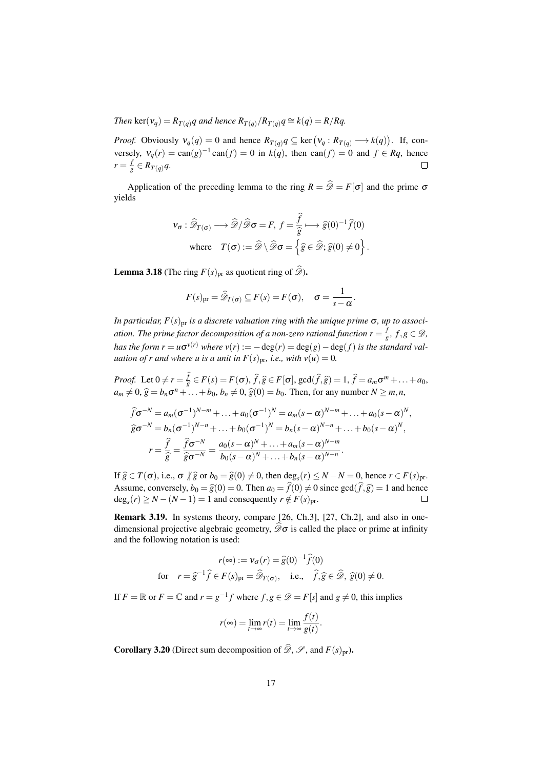*Then* ker( $v_q$ ) =  $R_{T(q)}q$  and hence  $R_{T(q)}/R_{T(q)}q \cong k(q) = R/Rq$ .

*Proof.* Obviously  $v_q(q) = 0$  and hence  $R_{T(q)}q \subseteq \text{ker} (v_q : R_{T(q)} \longrightarrow k(q))$ . If, conversely,  $v_q(r) = \text{can}(g)^{-1} \text{can}(f) = 0$  in  $k(q)$ , then  $\text{can}(f) = 0$  and  $f \in Rq$ , hence  $r = \frac{f}{a}$  $\frac{J}{g} \in R_{T(q)}q.$  $\Box$ 

Application of the preceding lemma to the ring  $R = \hat{\mathcal{D}} = F[\sigma]$  and the prime  $\sigma$ yields

$$
\mathbf{v}_{\sigma} : \widehat{\mathscr{D}}_{T(\sigma)} \longrightarrow \widehat{\mathscr{D}}/\widehat{\mathscr{D}} \sigma = F, \ f = \frac{\widehat{f}}{\widehat{g}} \longmapsto \widehat{g}(0)^{-1} \widehat{f}(0)
$$
\n
$$
\text{where} \quad T(\sigma) := \widehat{\mathscr{D}} \setminus \widehat{\mathscr{D}} \sigma = \left\{ \widehat{g} \in \widehat{\mathscr{D}}; \widehat{g}(0) \neq 0 \right\}.
$$

**Lemma 3.18** (The ring  $F(s)_{pr}$  as quotient ring of  $\widehat{\mathscr{D}}$ ).

$$
F(s)_{\text{pr}} = \widehat{\mathscr{D}}_{T(\sigma)} \subseteq F(s) = F(\sigma), \quad \sigma = \frac{1}{s - \alpha}.
$$

*In particular,*  $F(s)_{\text{pr}}$  *is a discrete valuation ring with the unique prime*  $\sigma$ *, up to association. The prime factor decomposition of a non-zero rational function*  $r = \frac{f}{c}$  $\frac{J}{g}$ *,*  $f,g \in \mathscr{D}$ *, has the form r* =  $u\sigma^{v(r)}$  *where v*(*r*) :=  $-\deg(r) = \deg(g) - \deg(f)$  *is the standard valuation of r and where u is a unit in*  $F(s)_{\text{pr}}, i.e., with  $v(u) = 0$ .$ 

*Proof.* Let  $0 \neq r = \frac{f}{\hat{g}}$  $g_{\overline{g}}^f \in F(s) = F(\sigma)$ ,  $\widehat{f}, \widehat{g} \in F[\sigma]$ , gcd $(\widehat{f}, \widehat{g}) = 1$ ,  $\widehat{f} = a_m \sigma^m + ... + a_0$ ,<br>  $h, h \neq 0$ ,  $\widehat{\sigma}(0) = h$ . Then for any number  $N > m$ ,  $a_m \neq 0$ ,  $\hat{g} = b_n \sigma^n + ... + b_0$ ,  $b_n \neq 0$ ,  $\hat{g}(0) = b_0$ . Then, for any number  $N \geq m, n$ ,

$$
\widehat{f}\sigma^{-N} = a_m(\sigma^{-1})^{N-m} + \dots + a_0(\sigma^{-1})^N = a_m(s - \alpha)^{N-m} + \dots + a_0(s - \alpha)^N,
$$
  
\n
$$
\widehat{g}\sigma^{-N} = b_n(\sigma^{-1})^{N-n} + \dots + b_0(\sigma^{-1})^N = b_n(s - \alpha)^{N-n} + \dots + b_0(s - \alpha)^N,
$$
  
\n
$$
r = \frac{\widehat{f}}{\widehat{g}} = \frac{\widehat{f}\sigma^{-N}}{\widehat{g}\sigma^{-N}} = \frac{a_0(s - \alpha)^N + \dots + a_m(s - \alpha)^{N-m}}{b_0(s - \alpha)^N + \dots + b_n(s - \alpha)^{N-n}}.
$$

If  $\hat{g} \in T(\sigma)$ , i.e.,  $\sigma \sqrt{\hat{g}}$  or  $b_0 = \hat{g}(0) \neq 0$ , then  $\deg_s(r) \leq N - N = 0$ , hence  $r \in F(s)$ pr. Assume, conversely,  $b_0 = \hat{g}(0) = 0$ . Then  $a_0 = \hat{f}(0) \neq 0$  since  $gcd(\hat{f}, \hat{g}) = 1$  and hence  $deg_e(r) > N - (N - 1) = 1$  and consequently  $r \notin F(s)_{pr}$ .  $deg_s(r) \ge N - (N - 1) = 1$  and consequently  $r \notin F(s)_{pr}$ .

Remark 3.19. In systems theory, compare [\[26,](#page-39-6) Ch.3], [\[27,](#page-40-0) Ch.2], and also in onedimensional projective algebraic geometry,  $\widehat{\mathscr{D}}\sigma$  is called the place or prime at infinity and the following notation is used:

$$
r(\infty) := \mathbf{v}_{\sigma}(r) = \widehat{g}(0)^{-1}\widehat{f}(0)
$$
  
for  $r = \widehat{g}^{-1}\widehat{f} \in F(s)_{pr} = \widehat{\mathscr{D}}_{T(\sigma)}, \text{ i.e., } \widehat{f}, \widehat{g} \in \widehat{\mathscr{D}}, \widehat{g}(0) \neq 0.$ 

If  $F = \mathbb{R}$  or  $F = \mathbb{C}$  and  $r = g^{-1}f$  where  $f, g \in \mathscr{D} = F[s]$  and  $g \neq 0$ , this implies

$$
r(\infty) = \lim_{t \to \infty} r(t) = \lim_{t \to \infty} \frac{f(t)}{g(t)}.
$$

**Corollary 3.20** (Direct sum decomposition of  $\widehat{\mathscr{D}}$ ,  $\mathscr{S}$ , and  $F(s)_{pr}$ ).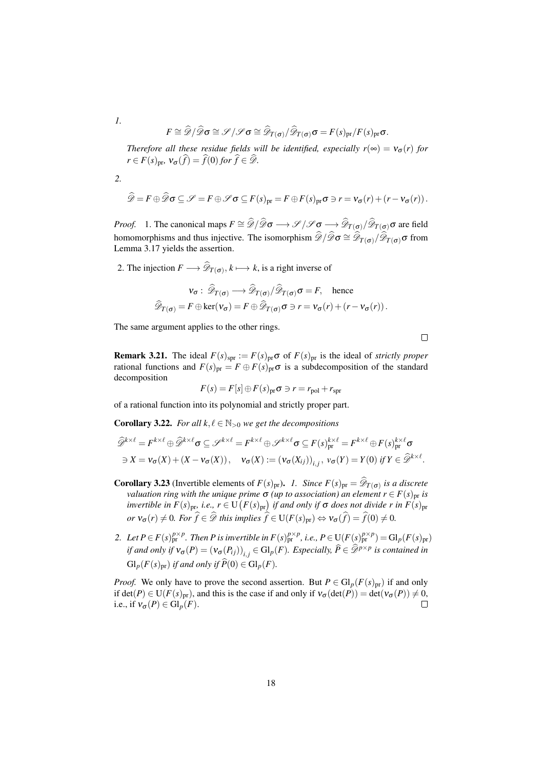$$
F \cong \widehat{\mathscr{D}}/\widehat{\mathscr{D}} \sigma \cong \mathscr{S}/\mathscr{S} \sigma \cong \widehat{\mathscr{D}}_{T(\sigma)}/\widehat{\mathscr{D}}_{T(\sigma)} \sigma = F(s)_{\text{pr}}/F(s)_{\text{pr}} \sigma.
$$

*Therefore all these residue fields will be identified, especially*  $r(\infty) = v_{\sigma}(r)$  *for*  $r \in F(s)$ <sub>pr</sub>,  $v_{\sigma}(\widehat{f}) = \widehat{f}(0)$  *for*  $\widehat{f} \in \widehat{\mathscr{D}}$ *.* 

*2.*

*1.*

$$
\widehat{\mathscr{D}} = F \oplus \widehat{\mathscr{D}} \sigma \subseteq \mathscr{S} = F \oplus \mathscr{S} \sigma \subseteq F(s)_{\text{pr}} = F \oplus F(s)_{\text{pr}} \sigma \ni r = v_{\sigma}(r) + (r - v_{\sigma}(r)).
$$

*Proof.* 1. The canonical maps  $F \cong \widehat{\mathscr{D}}/\widehat{\mathscr{D}}\sigma \longrightarrow \mathscr{S}/\mathscr{S} \longrightarrow \widehat{\mathscr{D}}_{T(\sigma)}/\widehat{\mathscr{D}}_{T(\sigma)}\sigma$  are field homomorphisms and thus injective. The isomorphism  $\widehat{\mathscr{D}}/\widehat{\mathscr{D}}\sigma \cong \widehat{\mathscr{D}}_{T(\sigma)}/\widehat{\mathscr{D}}_{T(\sigma)}\sigma$  from Lemma [3.17](#page-15-0) yields the assertion.

2. The injection  $F \longrightarrow \mathscr{D}_{T(\sigma)}, k \longmapsto k$ , is a right inverse of

$$
v_{\sigma}: \widehat{\mathscr{D}}_{T(\sigma)} \longrightarrow \widehat{\mathscr{D}}_{T(\sigma)}/\widehat{\mathscr{D}}_{T(\sigma)} \sigma = F, \text{ hence}
$$

$$
\widehat{\mathscr{D}}_{T(\sigma)} = F \oplus \ker(v_{\sigma}) = F \oplus \widehat{\mathscr{D}}_{T(\sigma)} \sigma \ni r = v_{\sigma}(r) + (r - v_{\sigma}(r)).
$$

The same argument applies to the other rings.

 $\Box$ 

**Remark 3.21.** The ideal  $F(s)_{spr} := F(s)_{pr} \sigma$  of  $F(s)_{pr}$  is the ideal of *strictly proper* rational functions and  $F(s)_{pr} = F \oplus F(s)_{pr} \sigma$  is a subdecomposition of the standard decomposition

$$
F(s) = F[s] \oplus F(s)_{\text{pr}} \sigma \ni r = r_{\text{pol}} + r_{\text{spr}}
$$

of a rational function into its polynomial and strictly proper part.

<span id="page-17-0"></span>**Corollary 3.22.** *For all*  $k, \ell \in \mathbb{N}_{>0}$  *we get the decompositions* 

$$
\widehat{\mathscr{D}}^{k \times \ell} = F^{k \times \ell} \oplus \widehat{\mathscr{D}}^{k \times \ell} \sigma \subseteq \mathscr{S}^{k \times \ell} = F^{k \times \ell} \oplus \mathscr{S}^{k \times \ell} \sigma \subseteq F(s)_{\text{pr}}^{k \times \ell} = F^{k \times \ell} \oplus F(s)_{\text{pr}}^{k \times \ell} \sigma
$$
  
\n
$$
\exists X = \nu_{\sigma}(X) + (X - \nu_{\sigma}(X)), \quad \nu_{\sigma}(X) := (\nu_{\sigma}(X_{ij}))_{i,j}, \quad \nu_{\sigma}(Y) = Y(0) \text{ if } Y \in \widehat{\mathscr{D}}^{k \times \ell}.
$$

- **Corollary 3.23** (Invertible elements of  $F(s)_{pr}$ ). *1. Since*  $F(s)_{pr} = \mathscr{D}_{T(\sigma)}$  *is a discrete*  $v$ aluation ring with the unique prime  $\sigma$  (up to association) an element  $r$   $\in$   $F(s)_{\text{pr}}$  is *invertible in*  $F(s)_{\text{pr}}$ *, i.e.,*  $r \in U(F(s)_{\text{pr}})$  *if and only if*  $\sigma$  *does not divide r in*  $F(s)_{\text{pr}}$ *or*  $v_{\sigma}(r) \neq 0$ *. For*  $\hat{f} \in \mathcal{D}$  *this implies*  $\hat{f} \in U(F(s)_{pr}) \Leftrightarrow v_{\sigma}(\hat{f}) = \hat{f}(0) \neq 0$ *.*
- 2. Let  $P \in F(s)_{\text{pr}}^{p \times p}$ . Then P is invertible in  $F(s)_{\text{pr}}^{p \times p}$ , i.e.,  $P \in U(F(s)_{\text{pr}}^{p \times p}) = \text{Gl}_p(F(s)_{\text{pr}})$ *if and only if*  $v_{\sigma}(P) = (v_{\sigma}(P_{ij}))_{i,j} \in Gl_p(F)$ *. Especially,*  $\widehat{P} \in \widehat{\mathscr{D}}^{p \times p}$  *is contained in*  $\operatorname{Gl}_p(F(s)_{\text{pr}})$  *if and only if*  $\widehat{P}(0) \in \operatorname{Gl}_p(F)$ *.*

*Proof.* We only have to prove the second assertion. But  $P \in Gl_p(F(s)_{pr})$  if and only if  $det(P) \in U(F(s)_{pr})$ , and this is the case if and only if  $v_{\sigma}(det(P)) = det(v_{\sigma}(P)) \neq 0$ , i.e., if  $v_{\sigma}(P) \in \mathrm{Gl}_p(F)$ .  $\Box$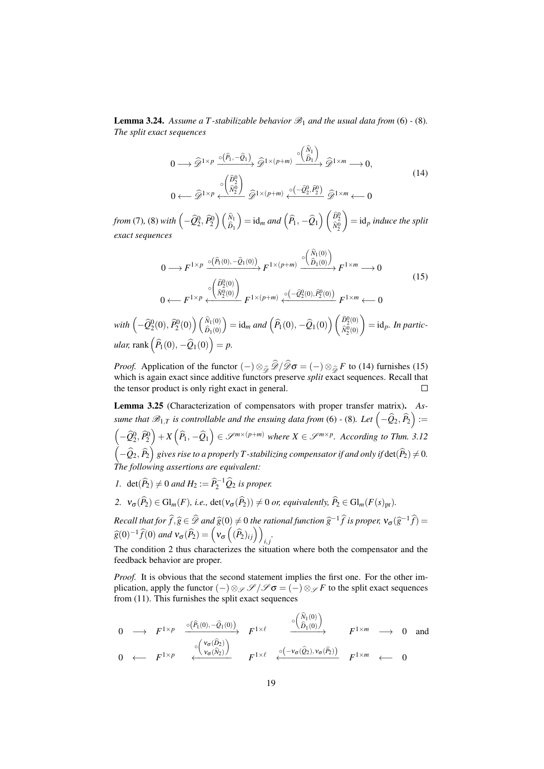**Lemma 3.24.** Assume a T-stabilizable behavior  $\mathcal{B}_1$  and the usual data from [\(6\)](#page-8-1) - [\(8\)](#page-8-2). *The split exact sequences*

<span id="page-18-0"></span>
$$
0 \longrightarrow \widehat{\mathscr{D}}^{1 \times p} \xrightarrow{\circ (\widehat{P}_1, -\widehat{Q}_1)} \widehat{\mathscr{D}}^{1 \times (p+m)} \xrightarrow{\circ (\widehat{N}_1) \atop \widehat{D}_1 \times \widehat{D}} \widehat{\mathscr{D}}^{1 \times m} \longrightarrow 0,
$$
\n
$$
0 \longleftarrow \widehat{\mathscr{D}}^{1 \times p} \xleftarrow{\circ (\widehat{N}_2^0)} \widehat{\mathscr{D}}^{1 \times (p+m)} \xleftarrow{\circ (-\widehat{Q}_2^0, \widehat{P}_2^0)} \widehat{\mathscr{D}}^{1 \times m} \longleftarrow 0
$$
\n
$$
(14)
$$

*from* [\(7\)](#page-8-3), [\(8\)](#page-8-2) *with*  $\left(-\widehat{Q}_2^0, \widehat{P}_2^0\right) \left(\frac{\widehat{N}_1}{\widehat{D}_1}\right)$  $\left( \right) = id_m$  *and*  $\left( \widehat{P}_1, -\widehat{Q}_1 \right) \left( \frac{\widehat{D}_2^0}{\widehat{N}_2^0} \right)$  $\bigg)$  = id<sub>p</sub> induce the split *exact sequences*

<span id="page-18-1"></span>
$$
0 \longrightarrow F^{1 \times p} \xrightarrow{\circ (\widehat{P}_1(0), -\widehat{Q}_1(0))} F^{1 \times (p+m)} \xrightarrow{\circ (\widehat{N}_1(0))} F^{1 \times m} \longrightarrow 0
$$
  
\n
$$
0 \longleftarrow F^{1 \times p} \xleftarrow{\circ (\widehat{N}_2^0(0)} F^{1 \times (p+m)} \xleftarrow{\circ (-\widehat{Q}_2^0(0), \widehat{P}_2^0(0))} F^{1 \times m} \longleftarrow 0
$$
\n(15)

 $\textit{with}\left(-\widehat{\mathcal{Q}}^0_2(0), \widehat{P}^0_2(0)\right)\left(\begin{smallmatrix} \widehat{N}_1(0) \ \widehat{D}_1(0) \end{smallmatrix}\right)$  $D_1(0)$  $\hat{D} = \text{id}_{m} \text{ and } \left( \widehat{P}_1(0), -\widehat{Q}_1(0) \right) \left( \frac{\widehat{D}_2^0(0)}{\widehat{N}_2^0(0)} \right)$  $\widehat{N}_2^0(0)$  $\bigg) = id_p$ *. In partic-* $\mu$ lar, rank  $(\widehat{P}_1(0), -\widehat{Q}_1(0)) = p.$ 

*Proof.* Application of the functor  $(-) \otimes_{\widehat{\mathcal{D}}} \mathcal{D}/\mathcal{D} \sigma = (-) \otimes_{\widehat{\mathcal{D}}} F$  to [\(14\)](#page-18-0) furnishes [\(15\)](#page-18-1) which is again exact since additive functors preserve *split* exact sequences. Recall that the tensor product is only right exact in general. Г

<span id="page-18-3"></span>Lemma 3.25 (Characterization of compensators with proper transfer matrix). *Assume that*  $\mathscr{B}_{1,T}$  *is controllable and the ensuing data from* [\(6\)](#page-8-1) - [\(8\)](#page-8-2)*.* Let  $\left(-\widehat{Q}_2,\widehat{P}_2\right)$  :=  $\left(-\widehat{Q}_2^0, \widehat{P}_2^0\right) + X\left(\widehat{P}_1, -\widehat{Q}_1\right) \in \mathscr{S}^{m \times (p+m)}$  where  $X \in \mathscr{S}^{m \times p}$ . According to Thm. [3.12](#page-12-0)  $\left(-\widehat{\mathcal{Q}}_2,\widehat{P}_2\right)$  gives rise to a properly T-stabilizing compensator if and only if  $\det(\widehat{P}_2)\neq 0$ . *The following assertions are equivalent:*

- *1.* det $(\widehat{P}_2) \neq 0$  *and*  $H_2 := \widehat{P}_2^{-1} \widehat{Q}_2$  *is proper.*
- <span id="page-18-2"></span>*2.*  $v_{\sigma}(\widehat{P}_{2}) \in \mathrm{Gl}_{m}(F)$ *, i.e.,*  $\det(v_{\sigma}(\widehat{P}_{2})) \neq 0$  *or, equivalently,*  $\widehat{P}_{2} \in \mathrm{Gl}_{m}(F(s)_{\text{pr}})$ *.*

*Recall that for*  $\widehat{f}, \widehat{g} \in \widehat{\mathscr{D}}$  *and*  $\widehat{g}(0) \neq 0$  *the rational function*  $\widehat{g}^{-1}\widehat{f}$  *is proper,*  $v_{\sigma}(\widehat{g}^{-1}\widehat{f}) =$ <br> $\widehat{g}(0) \rightarrow 1$  $\widehat{g}(0)^{-1}\widehat{f}(0)$  and  $v_{\sigma}(\widehat{P}_2) = \left(v_{\sigma}\left((\widehat{P}_2)_{ij}\right)\right)_{i,j}$ .

The condition [2](#page-18-2) thus characterizes the situation where both the compensator and the feedback behavior are proper.

*Proof.* It is obvious that the second statement implies the first one. For the other implication, apply the functor  $(-)\otimes_{\mathscr{S}} \mathscr{S}/\mathscr{S} \sigma = (-)\otimes_{\mathscr{S}} F$  to the split exact sequences from [\(11\)](#page-11-0). This furnishes the split exact sequences

$$
0 \longrightarrow F^{1 \times p} \xrightarrow{\circ (\widehat{P}_1(0), -\widehat{Q}_1(0))} F^{1 \times \ell} \longrightarrow F^{1 \times \ell} \longrightarrow 0 \text{ and}
$$
  

$$
0 \longleftarrow F^{1 \times p} \xleftarrow{\circ (\widehat{V}_{\sigma}(\widehat{N}_2))} F^{1 \times \ell} \longrightarrow F^{1 \times m} \longrightarrow 0 \text{ and}
$$
  

$$
0 \longleftarrow F^{1 \times p} \longrightarrow F^{1 \times \ell} \longrightarrow F^{1 \times \ell} \longrightarrow 0
$$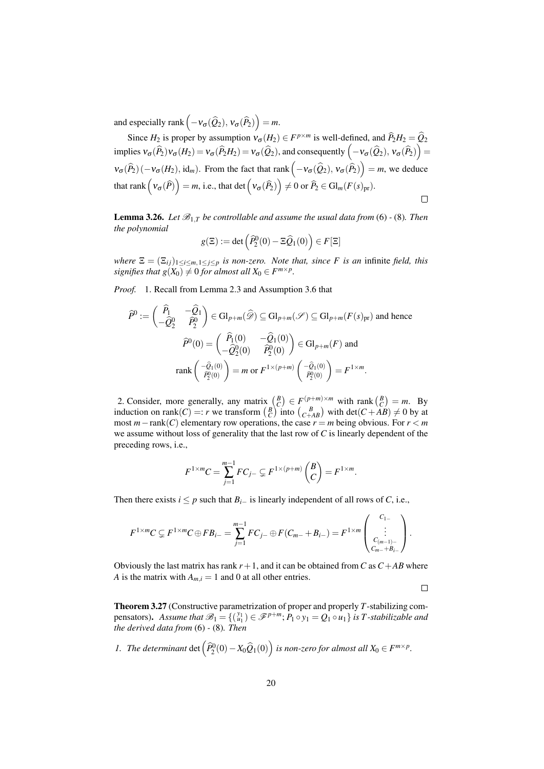and especially rank  $(-v_{\sigma}(\widehat{Q}_2), v_{\sigma}(\widehat{P}_2)) = m$ .

Since  $H_2$  is proper by assumption  $v_{\sigma}(H_2) \in F^{p \times m}$  is well-defined, and  $\hat{P}_2 H_2 = \hat{Q}_2$ implies  $v_{\sigma}(\widehat{P}_2)v_{\sigma}(H_2) = v_{\sigma}(\widehat{P}_2H_2) = v_{\sigma}(\widehat{Q}_2)$ , and consequently  $\left(-v_{\sigma}(\widehat{Q}_2), v_{\sigma}(\widehat{P}_2)\right) =$  $v_{\sigma}(\widehat{P}_2)(-v_{\sigma}(H_2), \mathrm{id}_m)$ . From the fact that rank  $(-v_{\sigma}(\widehat{Q}_2), v_{\sigma}(\widehat{P}_2)) = m$ , we deduce that rank  $(\mathsf{v}_{\sigma}(\widehat{P})\big)=m$ , i.e., that det  $(\mathsf{v}_{\sigma}(\widehat{P}_2)\big)\neq 0$  or  $\widehat{P}_2\in\mathrm{Gl}_m(F(s)_{\mathrm{pr}})$ .  $\Box$ 

<span id="page-19-1"></span>**Lemma 3.26.** Let  $\mathcal{B}_{1,T}$  be controllable and assume the usual data from [\(6\)](#page-8-1) - [\(8\)](#page-8-2). Then *the polynomial*

$$
g(\Xi) := \det \left( \widehat{P}_2^0(0) - \Xi \widehat{Q}_1(0) \right) \in F[\Xi]
$$

*where*  $\Xi = (\Xi_{ij})_{1 \leq i \leq m, 1 \leq j \leq p}$  *is non-zero. Note that, since F is an* infinite *field, this signifies that*  $g(X_0) \neq 0$  *for almost all*  $X_0 \in F^{m \times p}$ *.* 

*Proof.* 1. Recall from Lemma [2.3](#page-4-4) and Assumption [3.6](#page-8-0) that

$$
\widehat{P}^0 := \begin{pmatrix} \widehat{P}_1 & -\widehat{Q}_1 \\ -\widehat{Q}_2^0 & \widehat{P}_2^0 \end{pmatrix} \in \mathrm{Gl}_{p+m}(\widehat{\mathscr{D}}) \subseteq \mathrm{Gl}_{p+m}(\mathscr{S}) \subseteq \mathrm{Gl}_{p+m}(F(s)_{\mathrm{pr}}) \text{ and hence}
$$

$$
\widehat{P}^0(0) = \begin{pmatrix} \widehat{P}_1(0) & -\widehat{Q}_1(0) \\ -\widehat{Q}_2^0(0) & \widehat{P}_2^0(0) \end{pmatrix} \in \mathrm{Gl}_{p+m}(F) \text{ and}
$$

$$
\mathrm{rank}\begin{pmatrix} -\widehat{Q}_1(0) \\ \widehat{P}_2^0(0) \end{pmatrix} = m \text{ or } F^{1 \times (p+m)} \begin{pmatrix} -\widehat{Q}_1(0) \\ \widehat{P}_2^0(0) \end{pmatrix} = F^{1 \times m}.
$$

2. Consider, more generally, any matrix  $\begin{pmatrix} B \\ C \end{pmatrix} \in F(p+m) \times m$  with rank  $\begin{pmatrix} B \\ C \end{pmatrix} = m$ . By induction on rank $(C) =: r$  we transform  $\begin{pmatrix} B \\ C \end{pmatrix}$  into  $\begin{pmatrix} B \\ C+AB \end{pmatrix}$  with det $(C + AB) \neq 0$  by at most  $m$  – rank(*C*) elementary row operations, the case  $r = m$  being obvious. For  $r < m$ we assume without loss of generality that the last row of *C* is linearly dependent of the preceding rows, i.e.,

$$
F^{1 \times m}C = \sum_{j=1}^{m-1} FC_{j-} \subsetneq F^{1 \times (p+m)} \begin{pmatrix} B \\ C \end{pmatrix} = F^{1 \times m}.
$$

Then there exists *i*  $\leq p$  such that  $B_i$ <sup>−</sup> is linearly independent of all rows of *C*, i.e.,

$$
F^{1 \times m} C \subsetneq F^{1 \times m} C \oplus F B_{i-} = \sum_{j=1}^{m-1} F C_j \oplus F (C_{m-} + B_{i-}) = F^{1 \times m} \begin{pmatrix} C_{1-} \\ \vdots \\ C_{(m-1)-} \\ C_{m-} + B_{i-} \end{pmatrix}.
$$

Obviously the last matrix has rank  $r+1$ , and it can be obtained from *C* as  $C+AB$  where *A* is the matrix with  $A_{m,i} = 1$  and 0 at all other entries.

 $\Box$ 

<span id="page-19-2"></span>Theorem 3.27 (Constructive parametrization of proper and properly *T*-stabilizing compensators). Assume that  $\mathscr{B}_1 = \{(\begin{smallmatrix} y_1 \\ u_1 \end{smallmatrix}) \in \mathscr{F}^{p+m}$ ;  $P_1 \circ y_1 = Q_1 \circ u_1\}$  is T-stabilizable and *the derived data from* [\(6\)](#page-8-1) *-* [\(8\)](#page-8-2)*. Then*

<span id="page-19-0"></span>*1. The determinant* det  $(\widehat{P}_2^0(0) - X_0\widehat{Q}_1(0))$  *is non-zero for almost all*  $X_0 \in F^{m \times p}$ *.*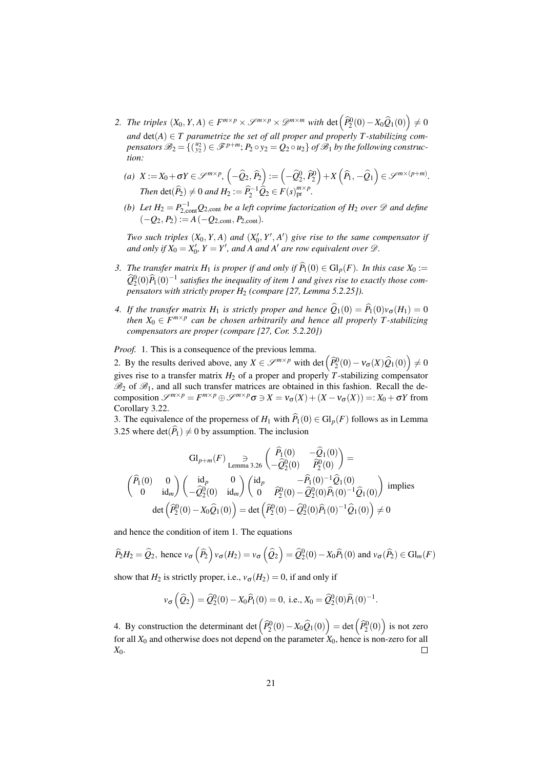- *2. The triples*  $(X_0, Y, A) \in F^{m \times p} \times \mathscr{S}^{m \times p} \times \mathscr{D}^{m \times m}$  *with* det  $(\widehat{P}_2^0(0) X_0\widehat{Q}_1(0)) \neq 0$ and  $det(A) \in T$  parametrize the set of all proper and properly T-stabilizing com $p$ ensators  $\mathscr{B}_2 = \{(\begin{smallmatrix} u_2\ y_2 \end{smallmatrix}) \in \mathscr{F}^{p+m}; P_2 \circ y_2 = Q_2 \circ u_2\}$  of  $\mathscr{B}_1$  by the following construc*tion:*
	- $(a)$   $X := X_0 + \sigma Y \in \mathscr{S}^{m \times p}, \left( -\widehat{Q}_2, \widehat{P}_2 \right) := \left( -\widehat{Q}_2^0, \widehat{P}_2^0 \right) + X \left( \widehat{P}_1, -\widehat{Q}_1 \right) \in \mathscr{S}^{m \times (p+m)}.$ *Then*  $\det(\widehat{P}_2) \neq 0$  *and*  $H_2 := \widehat{P}_2^{-1} \widehat{Q}_2 \in F(s)_{\text{pr}}^{m \times p}$ .
	- *(b)* Let  $H_2 = P_{2,\text{cont}}^{-1}Q_{2,\text{cont}}$  *be a left coprime factorization of*  $H_2$  *over*  $\mathscr D$  *and define*  $(-Q_2, P_2) := A(-Q_{2,\text{cont}}, P_{2,\text{cont}}).$

*Two such triples*  $(X_0, Y, A)$  *and*  $(X'_0, Y', A')$  *give rise to the same compensator if and only if*  $X_0 = X'_0$ ,  $Y = Y'$ , and A and A' are row equivalent over  $\mathcal{D}$ .

- *3. The transfer matrix*  $H_1$  *is proper if and only if*  $\widehat{P}_1(0) \in Gl_n(F)$ *. In this case*  $X_0 :=$  $\widehat{Q}_2^0(0)\widehat{P}_1(0)^{-1}$  satisfies the inequality of item [1](#page-19-0) and gives rise to exactly those com*pensators with strictly proper H*<sup>2</sup> *(compare [\[27,](#page-40-0) Lemma 5.2.25]).*
- <span id="page-20-0"></span>*4. If the transfer matrix*  $H_1$  *is strictly proper and hence*  $\hat{Q}_1(0) = \hat{P}_1(0)v_{\sigma}(H_1) = 0$ *then*  $X_0 \in F^{m \times p}$  can be chosen arbitrarily and hence all properly T-stabilizing *compensators are proper (compare [\[27,](#page-40-0) Cor. 5.2.20])*

*Proof.* 1. This is a consequence of the previous lemma.

2. By the results derived above, any  $X \in \mathcal{S}^{m \times p}$  with det  $(\widehat{P}_2^0(0) - v_{\sigma}(X)\widehat{Q}_1(0)) \neq 0$ gives rise to a transfer matrix  $H_2$  of a proper and properly  $T$ -stabilizing compensator  $\mathscr{B}_2$  of  $\mathscr{B}_1$ , and all such transfer matrices are obtained in this fashion. Recall the decomposition  $\mathscr{S}^{m \times p} = F^{m \times p} \oplus \mathscr{S}^{m \times p} \sigma \ni X = v_{\sigma}(X) + (X - v_{\sigma}(X)) =: X_0 + \sigma Y$  from Corollary [3.22.](#page-17-0)

3. The equivalence of the properness of  $H_1$  with  $\widehat{P}_1(0) \in \mathrm{Gl}_p(F)$  follows as in Lemma [3.25](#page-18-3) where  $\det(\widehat{P}_1) \neq 0$  by assumption. The inclusion

$$
Gl_{p+m}(F) \underset{\text{Lemma 3.26}}{\supset} \left( \begin{matrix} \hat{P}_1(0) & -\hat{Q}_1(0) \\ -\hat{Q}_2^0(0) & \hat{P}_2^0(0) \end{matrix} \right) =
$$
\n
$$
\left( \begin{matrix} \hat{P}_1(0) & 0 \\ 0 & \text{id}_m \end{matrix} \right) \left( \begin{matrix} \text{id}_p & 0 \\ -\hat{Q}_2^0(0) & \text{id}_m \end{matrix} \right) \left( \begin{matrix} \text{id}_p & -\hat{P}_1(0)^{-1} \hat{Q}_1(0) \\ 0 & \hat{P}_2^0(0) - \hat{Q}_2^0(0) \hat{P}_1(0)^{-1} \hat{Q}_1(0) \end{matrix} \right) \text{ implies}
$$
\n
$$
\det \left( \hat{P}_2^0(0) - X_0 \hat{Q}_1(0) \right) = \det \left( \hat{P}_2^0(0) - \hat{Q}_2^0(0) \hat{P}_1(0)^{-1} \hat{Q}_1(0) \right) \neq 0
$$

and hence the condition of item 1. The equations

$$
\widehat{P}_2H_2 = \widehat{Q}_2, \text{ hence } v_{\sigma}\left(\widehat{P}_2\right)v_{\sigma}(H_2) = v_{\sigma}\left(\widehat{Q}_2\right) = \widehat{Q}_2^0(0) - X_0\widehat{P}_1(0) \text{ and } v_{\sigma}(\widehat{P}_2) \in \mathrm{Gl}_m(F)
$$

show that  $H_2$  is strictly proper, i.e.,  $v_{\sigma}(H_2) = 0$ , if and only if

$$
v_{\sigma}(\hat{Q}_2) = \hat{Q}_2^0(0) - X_0\hat{P}_1(0) = 0
$$
, i.e.,  $X_0 = \hat{Q}_2^0(0)\hat{P}_1(0)^{-1}$ .

4. By construction the determinant det  $(\hat{P}_2^0(0) - X_0\hat{Q}_1(0)) = \det(\hat{P}_2^0(0))$  is not zero for all  $X_0$  and otherwise does not depend on the parameter  $X_0$ , hence is non-zero for all *X*0.  $\Box$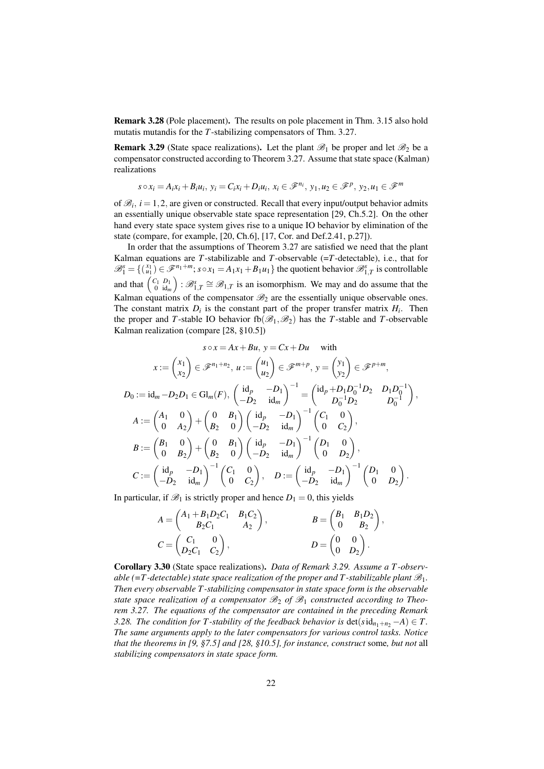<span id="page-21-0"></span>Remark 3.28 (Pole placement). The results on pole placement in Thm. [3.15](#page-15-4) also hold mutatis mutandis for the *T*-stabilizing compensators of Thm. [3.27.](#page-19-2)

<span id="page-21-1"></span>**Remark 3.29** (State space realizations). Let the plant  $\mathscr{B}_1$  be proper and let  $\mathscr{B}_2$  be a compensator constructed according to Theorem [3.27.](#page-19-2) Assume that state space (Kalman) realizations

$$
s \circ x_i = A_i x_i + B_i u_i, y_i = C_i x_i + D_i u_i, x_i \in \mathcal{F}^{n_i}, y_1, u_2 \in \mathcal{F}^p, y_2, u_1 \in \mathcal{F}^m
$$

of  $\mathcal{B}_i$ ,  $i = 1, 2$ , are given or constructed. Recall that every input/output behavior admits an essentially unique observable state space representation [\[29,](#page-40-1) Ch.5.2]. On the other hand every state space system gives rise to a unique IO behavior by elimination of the state (compare, for example, [\[20,](#page-39-12) Ch.6], [\[17,](#page-39-18) Cor. and Def.2.41, p.27]).

In order that the assumptions of Theorem [3.27](#page-19-2) are satisfied we need that the plant Kalman equations are *T*-stabilizable and *T*-observable  $(=T$ -detectable), i.e., that for  $\mathscr{B}_{1}^{s} = \{ \begin{pmatrix} x_{1} \\ u_{1} \end{pmatrix} \in \mathscr{F}^{n_{1}+m}$ ;  $s \circ x_{1} = A_{1}x_{1} + B_{1}u_{1} \}$  the quotient behavior  $\mathscr{B}_{1,T}^{s}$  is controllable and that  $\begin{pmatrix} C_1 & D_1 \\ 0 & \text{id}_m \end{pmatrix}$ :  $\mathcal{B}_{1,T}^s \cong \mathcal{B}_{1,T}$  is an isomorphism. We may and do assume that the Kalman equations of the compensator  $\mathcal{B}_2$  are the essentially unique observable ones. The constant matrix  $D_i$  is the constant part of the proper transfer matrix  $H_i$ . Then the proper and *T*-stable IO behavior  $fb(\mathcal{B}_1,\mathcal{B}_2)$  has the *T*-stable and *T*-observable Kalman realization (compare [\[28,](#page-40-3) §10.5])

$$
s \circ x = Ax + Bu, \ y = Cx + Du \quad \text{with}
$$

$$
x := \begin{pmatrix} x_1 \\ x_2 \end{pmatrix} \in \mathcal{F}^{n_1 + n_2}, \ u := \begin{pmatrix} u_1 \\ u_2 \end{pmatrix} \in \mathcal{F}^{m+p}, \ y = \begin{pmatrix} y_1 \\ y_2 \end{pmatrix} \in \mathcal{F}^{p+m},
$$

$$
D_0 := id_m - D_2 D_1 \in Gl_m(F), \ \begin{pmatrix} id_p & -D_1 \\ -D_2 & id_m \end{pmatrix}^{-1} = \begin{pmatrix} id_p + D_1 D_0^{-1} D_2 & D_1 D_0^{-1} \\ D_0^{-1} D_2 & D_0^{-1} \end{pmatrix},
$$

$$
A := \begin{pmatrix} A_1 & 0 \\ 0 & A_2 \end{pmatrix} + \begin{pmatrix} 0 & B_1 \\ B_2 & 0 \end{pmatrix} \begin{pmatrix} id_p & -D_1 \\ -D_2 & id_m \end{pmatrix}^{-1} \begin{pmatrix} C_1 & 0 \\ 0 & C_2 \end{pmatrix},
$$

$$
B := \begin{pmatrix} B_1 & 0 \\ 0 & B_2 \end{pmatrix} + \begin{pmatrix} 0 & B_1 \\ B_2 & 0 \end{pmatrix} \begin{pmatrix} id_p & -D_1 \\ -D_2 & id_m \end{pmatrix}^{-1} \begin{pmatrix} D_1 & 0 \\ 0 & D_2 \end{pmatrix},
$$

$$
C := \begin{pmatrix} id_p & -D_1 \\ -D_2 & id_m \end{pmatrix}^{-1} \begin{pmatrix} C_1 & 0 \\ 0 & C_2 \end{pmatrix}, \quad D := \begin{pmatrix} id_p & -D_1 \\ -D_2 & id_m \end{pmatrix}^{-1} \begin{pmatrix} D_1 & 0 \\ 0 & D_2 \end{pmatrix}.
$$

In particular, if  $\mathcal{B}_1$  is strictly proper and hence  $D_1 = 0$ , this yields

$$
A = \begin{pmatrix} A_1 + B_1 D_2 C_1 & B_1 C_2 \\ B_2 C_1 & A_2 \end{pmatrix}, \qquad B = \begin{pmatrix} B_1 & B_1 D_2 \\ 0 & B_2 \end{pmatrix}, \\ C = \begin{pmatrix} C_1 & 0 \\ D_2 C_1 & C_2 \end{pmatrix}, \qquad D = \begin{pmatrix} 0 & 0 \\ 0 & D_2 \end{pmatrix}.
$$

Corollary 3.30 (State space realizations). *Data of Remark [3.29.](#page-21-1) Assume a T -observable (=T -detectable) state space realization of the proper and T -stabilizable plant*  $\mathcal{B}_1$ *. Then every observable T -stabilizing compensator in state space form is the observable state space realization of a compensator*  $\mathcal{B}_2$  *of*  $\mathcal{B}_1$  *constructed according to Theorem [3.27.](#page-19-2) The equations of the compensator are contained in the preceding Remark [3.28.](#page-21-0) The condition for T*-stability of the feedback behavior is  $\det(\text{sid}_{n_1+n_2} - A) \in T$ . *The same arguments apply to the later compensators for various control tasks. Notice that the theorems in [\[9,](#page-39-1) §7.5] and [\[28,](#page-40-3) §10.5], for instance, construct* some*, but not* all *stabilizing compensators in state space form.*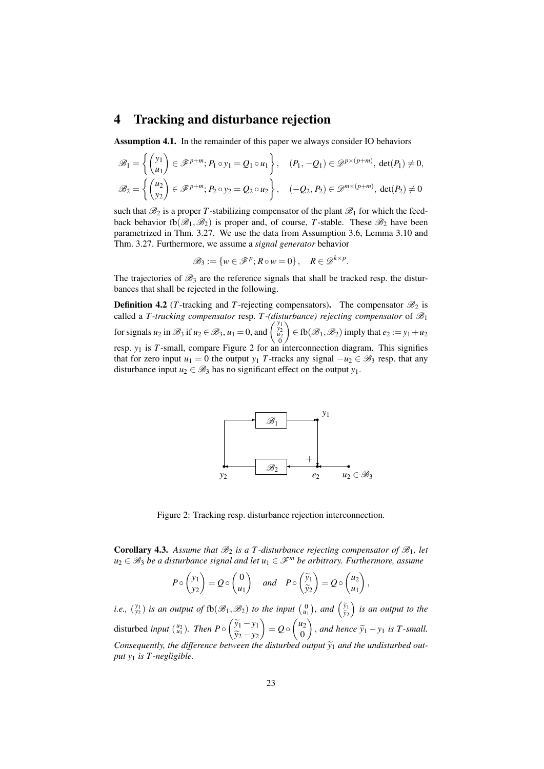#### <span id="page-22-0"></span>4 Tracking and disturbance rejection

<span id="page-22-2"></span>Assumption 4.1. In the remainder of this paper we always consider IO behaviors

$$
\mathscr{B}_1 = \left\{ \begin{pmatrix} y_1 \\ u_1 \end{pmatrix} \in \mathscr{F}^{p+m}; P_1 \circ y_1 = Q_1 \circ u_1 \right\}, \quad (P_1, -Q_1) \in \mathscr{D}^{p \times (p+m)}, \det(P_1) \neq 0,
$$
  

$$
\mathscr{B}_2 = \left\{ \begin{pmatrix} u_2 \\ y_2 \end{pmatrix} \in \mathscr{F}^{p+m}; P_2 \circ y_2 = Q_2 \circ u_2 \right\}, \quad (-Q_2, P_2) \in \mathscr{D}^{m \times (p+m)}, \det(P_2) \neq 0
$$

such that  $\mathcal{B}_2$  is a proper *T*-stabilizing compensator of the plant  $\mathcal{B}_1$  for which the feedback behavior fb $(\mathscr{B}_1,\mathscr{B}_2)$  is proper and, of course, T-stable. These  $\mathscr{B}_2$  have been parametrized in Thm. [3.27.](#page-19-2) We use the data from Assumption [3.6,](#page-8-0) Lemma [3.10](#page-10-4) and Thm. [3.27.](#page-19-2) Furthermore, we assume a *signal generator* behavior

$$
\mathscr{B}_3 := \{ w \in \mathscr{F}^p; R \circ w = 0 \}, \quad R \in \mathscr{D}^{k \times p}.
$$

The trajectories of  $\mathscr{B}_3$  are the reference signals that shall be tracked resp. the disturbances that shall be rejected in the following.

**Definition 4.2** (*T*-tracking and *T*-rejecting compensators). The compensator  $\mathcal{B}_2$  is called a *T*-tracking compensator resp. *T*-(disturbance) rejecting compensator of  $\mathcal{B}_1$ for signals  $u_2$  in  $\mathcal{B}_3$  if  $u_2 \in \mathcal{B}_3$ ,  $u_1 = 0$ , and  $\begin{pmatrix} y_1 \\ y_2 \\ u_2 \\ 0 \end{pmatrix}$  $\Big) \in$  fb( $\mathcal{B}_1, \mathcal{B}_2$ ) imply that  $e_2 := y_1 + u_2$ resp. *y*<sup>1</sup> is *T*-small, compare Figure [2](#page-22-1) for an interconnection diagram. This signifies that for zero input  $u_1 = 0$  the output  $y_1$  *T*-tracks any signal  $-u_2 \in \mathcal{B}_3$  resp. that any disturbance input  $u_2 \in \mathcal{B}_3$  has no significant effect on the output  $y_1$ .



<span id="page-22-1"></span>Figure 2: Tracking resp. disturbance rejection interconnection.

**Corollary 4.3.** Assume that  $\mathcal{B}_2$  is a T-disturbance rejecting compensator of  $\mathcal{B}_1$ , let  $u_2 \in \mathcal{B}_3$  *be a disturbance signal and let*  $u_1 \in \mathcal{F}^m$  *be arbitrary. Furthermore, assume* 

$$
P \circ \begin{pmatrix} y_1 \\ y_2 \end{pmatrix} = Q \circ \begin{pmatrix} 0 \\ u_1 \end{pmatrix}
$$
 and  $P \circ \begin{pmatrix} \widetilde{y}_1 \\ \widetilde{y}_2 \end{pmatrix} = Q \circ \begin{pmatrix} u_2 \\ u_1 \end{pmatrix}$ ,

*i.e.*,  $\binom{y_1}{y_2}$  *is an output of*  $fb(\mathcal{B}_1, \mathcal{B}_2)$  *to the input*  $\binom{0}{u_1}$ *, and*  $\binom{\tilde{y}_1}{\tilde{y}_2}$ *y*<sub>2</sub> *is an output to the* disturbed *input*  $\binom{u_2}{u_1}$ . *Then*  $P \circ \begin{pmatrix} \widetilde{y}_1 - y_1 \\ \widetilde{y}_2 - y_2 \end{pmatrix}$ *y*<sub>2</sub> − *y*<sub>2</sub><br>veen th  $= Q \circ \begin{pmatrix} u_2 \\ 0 \end{pmatrix}$ 0  $\left( \int$ , *and hence*  $\widetilde{y}_1 - y_1$  *is T -small. Consequently, the difference between the disturbed output*  $\widetilde{y}_1$  *and the undisturbed out-*<br>put *y<sub>i</sub>* is *T*, negligible *put y*<sup>1</sup> *is T -negligible.*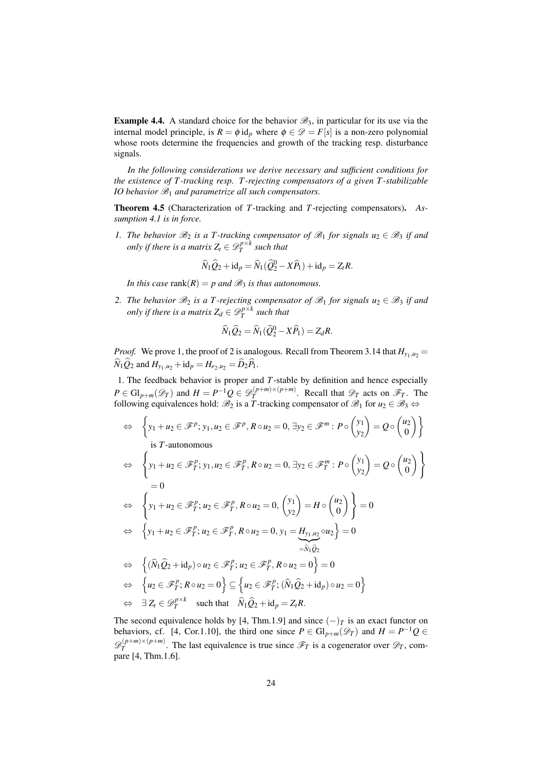<span id="page-23-2"></span>**Example 4.4.** A standard choice for the behavior  $\mathcal{B}_3$ , in particular for its use via the internal model principle, is  $R = \phi$  id<sub>p</sub> where  $\phi \in \mathcal{D} = F[s]$  is a non-zero polynomial whose roots determine the frequencies and growth of the tracking resp. disturbance signals.

*In the following considerations we derive necessary and sufficient conditions for the existence of T -tracking resp. T -rejecting compensators of a given T -stabilizable IO behavior*  $\mathcal{B}_1$  *and parametrize all such compensators.* 

<span id="page-23-3"></span>Theorem 4.5 (Characterization of *T*-tracking and *T*-rejecting compensators). *Assumption [4.1](#page-22-2) is in force.*

<span id="page-23-0"></span>*1. The behavior*  $\mathcal{B}_2$  *is a T*-tracking compensator of  $\mathcal{B}_1$  for signals  $u_2 \in \mathcal{B}_3$  *if and only if there is a matrix*  $Z_t \in \mathscr{D}^{p \times k}_T$  such that

$$
\widehat{N}_1\widehat{Q}_2 + \mathrm{id}_p = \widehat{N}_1(\widehat{Q}_2^0 - X\widehat{P}_1) + \mathrm{id}_p = Z_t R.
$$

*In this case*  $rank(R) = p$  *and*  $\mathcal{B}_3$  *is thus autonomous.* 

<span id="page-23-1"></span>2. *The behavior*  $\mathcal{B}_2$  *is a T-rejecting compensator of*  $\mathcal{B}_1$  *for signals*  $u_2 \in \mathcal{B}_3$  *if and only if there is a matrix*  $Z_d \in {\mathscr{D}_T^{p \times k}}$  *such that* 

$$
\widehat{N}_1 \widehat{Q}_2 = \widehat{N}_1 (\widehat{Q}_2^0 - X\widehat{P}_1) = Z_d R.
$$

*Proof.* We prove [1,](#page-23-0) the proof of [2](#page-23-1) is analogous. Recall from Theorem [3.14](#page-13-1) that  $H_{v_1,u_2} =$  $\widehat{N}_1 \widehat{Q}_2$  and  $H_{y_1,u_2} + id_p = H_{e_2,u_2} = \widehat{D}_2 \widehat{P}_1$ .

1. The feedback behavior is proper and *T*-stable by definition and hence especially  $P \in \mathrm{Gl}_{p+m}(\mathscr{D}_T)$  and  $H = P^{-1}Q \in \mathscr{D}_T^{(p+m)\times (p+m)}$  $T^{(p+m)\times (p+m)}$ . Recall that  $\mathscr{D}_T$  acts on  $\mathscr{F}_T$ . The following equivalences hold:  $\mathscr{B}_2$  is a *T*-tracking compensator of  $\mathscr{B}_1$  for  $u_2 \in \mathscr{B}_3 \Leftrightarrow$ 

$$
\Leftrightarrow \left\{ y_1 + u_2 \in \mathcal{F}^p; y_1, u_2 \in \mathcal{F}^p, R \circ u_2 = 0, \exists y_2 \in \mathcal{F}^m : P \circ \begin{pmatrix} y_1 \\ y_2 \end{pmatrix} = Q \circ \begin{pmatrix} u_2 \\ 0 \end{pmatrix} \right\}
$$
  
\nis *T*-autonomous  
\n
$$
\Leftrightarrow \left\{ y_1 + u_2 \in \mathcal{F}_T^p; y_1, u_2 \in \mathcal{F}_T^p, R \circ u_2 = 0, \exists y_2 \in \mathcal{F}_T^m : P \circ \begin{pmatrix} y_1 \\ y_2 \end{pmatrix} = Q \circ \begin{pmatrix} u_2 \\ 0 \end{pmatrix} \right\}
$$
  
\n
$$
= 0
$$
  
\n
$$
\Leftrightarrow \left\{ y_1 + u_2 \in \mathcal{F}_T^p; u_2 \in \mathcal{F}_T^p, R \circ u_2 = 0, \begin{pmatrix} y_1 \\ y_2 \end{pmatrix} = H \circ \begin{pmatrix} u_2 \\ 0 \end{pmatrix} \right\} = 0
$$
  
\n
$$
\Leftrightarrow \left\{ y_1 + u_2 \in \mathcal{F}_T^p; u_2 \in \mathcal{F}_T^p, R \circ u_2 = 0, y_1 = \underbrace{H_{y_1, u_2}}_{= \widehat{N}_1 \widehat{Q}_2} \circ u_2 \right\} = 0
$$
  
\n
$$
\Leftrightarrow \left\{ (\widehat{N}_1 \widehat{Q}_2 + \mathrm{id}_p) \circ u_2 \in \mathcal{F}_T^p; u_2 \in \mathcal{F}_T^p, R \circ u_2 = 0 \right\} = 0
$$
  
\n
$$
\Leftrightarrow \left\{ u_2 \in \mathcal{F}_T^p; R \circ u_2 = 0 \right\} \subseteq \left\{ u_2 \in \mathcal{F}_T^p; (\widehat{N}_1 \widehat{Q}_2 + \mathrm{id}_p) \circ u_2 = 0 \right\}
$$
  
\n
$$
\Leftrightarrow \exists Z_t \in \mathcal{D}_T^{p \times k} \text{ such that } \widehat{N}_1 \widehat{Q}_2 + \mathrm{id}_p = Z_t R.
$$

The second equivalence holds by [\[4,](#page-38-4) Thm.1.9] and since  $(-)_T$  is an exact functor on behaviors, cf. [\[4,](#page-38-4) Cor.1.10], the third one since  $P \in Gl_{p+m}(\mathscr{D}_T)$  and  $H = P^{-1}Q \in$  $\mathscr{D}_T^{(p+m)\times(p+m)}$  $T^{(p+m)\times (p+m)}$ . The last equivalence is true since  $\mathscr{F}_T$  is a cogenerator over  $\mathscr{D}_T$ , compare [\[4,](#page-38-4) Thm.1.6].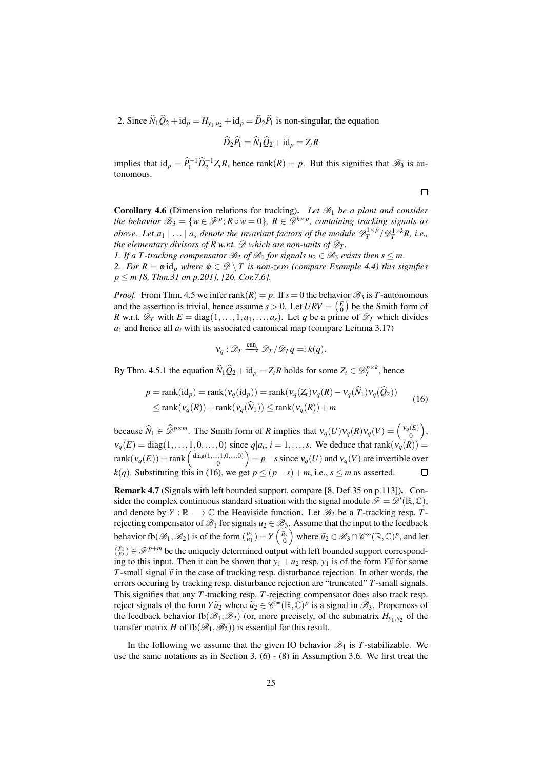2. Since  $\hat{N}_1 \hat{Q}_2 + id_p = H_{\nu_1, u_2} + id_p = \hat{D}_2 \hat{P}_1$  is non-singular, the equation

$$
\widehat{D}_2\widehat{P}_1=\widehat{N}_1\widehat{Q}_2+\mathrm{id}_p=Z_tR
$$

implies that  $id_p = \hat{P}_1^{-1} \hat{D}_2^{-1} Z_t R$ , hence rank $(R) = p$ . But this signifies that  $\mathcal{B}_3$  is autonomous.

 $\Box$ 

Corollary 4.6 (Dimension relations for tracking). Let  $\mathcal{B}_1$  be a plant and consider *the behavior*  $\mathscr{B}_3 = \{ w \in \mathscr{F}^p : R \circ w = 0 \}$ ,  $R \in \mathscr{D}^{k \times p}$ , containing tracking signals as *above. Let a*<sub>1</sub> | ... | *a*<sub>*s*</sub> *denote the invariant factors of the module*  $\mathscr{D}_T^{1\times p}/\mathscr{D}_T^{1\times k}$ *R, i.e., the elementary divisors of R w.r.t.*  $\mathscr{D}$  *which are non-units of*  $\mathscr{D}_T$ *.* 

*1.* If a T-tracking compensator  $\mathcal{B}_2$  of  $\mathcal{B}_1$  for signals  $u_2 \in \mathcal{B}_3$  exists then  $s \leq m$ . *2. For*  $R = \phi$  id<sub>p</sub> where  $\phi \in \mathcal{D} \setminus T$  is non-zero (compare Example [4.4\)](#page-23-2) this signifies *p* ≤ *m* [\[8,](#page-39-0) *Thm.31 on p.2011, [\[26,](#page-39-6) Cor.7.6].* 

*Proof.* From Thm. [4.5](#page-23-3) we infer rank $(R) = p$ . If  $s = 0$  the behavior  $\mathcal{B}_3$  is *T*-autonomous and the assertion is trivial, hence assume  $s > 0$ . Let  $URV = \begin{pmatrix} E \\ 0 \end{pmatrix}$  be the Smith form of *R* w.r.t.  $\mathscr{D}_T$  with  $E = \text{diag}(1, \ldots, 1, a_1, \ldots, a_s)$ . Let *q* be a prime of  $\mathscr{D}_T$  which divides  $a_1$  and hence all  $a_i$  with its associated canonical map (compare Lemma [3.17\)](#page-15-0)

$$
\mathsf{v}_q : \mathscr{D}_T \xrightarrow{\text{can}} \mathscr{D}_T / \mathscr{D}_T q =: k(q).
$$

By Thm. [4.5.](#page-23-3)[1](#page-23-0) the equation  $\widehat{N}_1 \widehat{Q}_2 + id_p = Z_t R$  holds for some  $Z_t \in \mathscr{D}_T^{p \times k}$ , hence

<span id="page-24-0"></span>
$$
p = \text{rank}(\text{id}_p) = \text{rank}(v_q(\text{id}_p)) = \text{rank}(v_q(Z_t)v_q(R) - v_q(\tilde{N}_1)v_q(Q_2))
$$
  
\n
$$
\leq \text{rank}(v_q(R)) + \text{rank}(v_q(\tilde{N}_1)) \leq \text{rank}(v_q(R)) + m
$$
\n(16)

because  $\widehat{N}_1 \in \widehat{\mathscr{D}}^{p \times m}$ . The Smith form of *R* implies that  $v_q(U)v_q(R)v_q(V) = \begin{pmatrix} v_q(E) \\ 0 \end{pmatrix}$  $\big),$  $\mathbf 0$  $v_q(E) = \text{diag}(1, \ldots, 1, 0, \ldots, 0)$  since  $q|a_i, i = 1, \ldots, s$ . We deduce that rank $(v_q(R))$  $rank(v_q(E)) = rank\left(\frac{diag(1,...,1,0,...,0)}{0}\right)$  $\binom{0,1,0,\ldots,0}{0}$  = *p* − *s* since  $V_q(U)$  and  $V_q(V)$  are invertible over *k*(*q*). Substituting this in [\(16\)](#page-24-0), we get  $p \le (p - s) + m$ , i.e.,  $s \le m$  as asserted.  $\Box$ 

<span id="page-24-1"></span>Remark 4.7 (Signals with left bounded support, compare [\[8,](#page-39-0) Def.35 on p.113]). Consider the complex continuous standard situation with the signal module  $\mathscr{F} = \mathscr{D}'(\mathbb{R}, \mathbb{C})$ , and denote by  $Y : \mathbb{R} \longrightarrow \mathbb{C}$  the Heaviside function. Let  $\mathcal{B}_2$  be a *T*-tracking resp. *T*rejecting compensator of  $\mathscr{B}_1$  for signals  $u_2 \in \mathscr{B}_3$ . Assume that the input to the feedback behavior fb $(\mathcal{B}_1, \mathcal{B}_2)$  is of the form  $\begin{pmatrix} u_2 \\ u_1 \end{pmatrix} = Y \begin{pmatrix} \tilde{u}_2 \\ 0 \end{pmatrix}$  where  $\tilde{u}_2 \in \mathcal{B}_3 \cap \mathscr{C}^{\infty}(\mathbb{R}, \mathbb{C})^p$ , and let  $\binom{y_1}{y_2} \in \mathscr{F}^{p+m}$  be the uniquely determined output with left bounded support corresponding to this input. Then it can be shown that  $y_1 + u_2$  resp.  $y_1$  is of the form  $Y\tilde{v}$  for some *T*-small signal  $\tilde{v}$  in the case of tracking resp. disturbance rejection. In other words, the errors occuring by tracking resp. disturbance rejection are "truncated" *T*-small signals. This signifies that any *T*-tracking resp. *T*-rejecting compensator does also track resp. reject signals of the form  $Y\widetilde{u}_2$  where  $\widetilde{u}_2 \in \mathscr{C}^{\infty}(\mathbb{R}, \mathbb{C})^p$  is a signal in  $\mathscr{B}_3$ . Properness of the feedback behavior  $fb(\mathcal{B}_1, \mathcal{B}_2)$  (or, more precisely, of the submatrix  $H_{y_1,u_2}$  of the transfer matrix *H* of fb( $\mathcal{B}_1, \mathcal{B}_2$ )) is essential for this result.

In the following we assume that the given IO behavior  $\mathcal{B}_1$  is *T*-stabilizable. We use the same notations as in Section [3,](#page-6-0) [\(6\)](#page-8-1) - [\(8\)](#page-8-2) in Assumption [3.6.](#page-8-0) We first treat the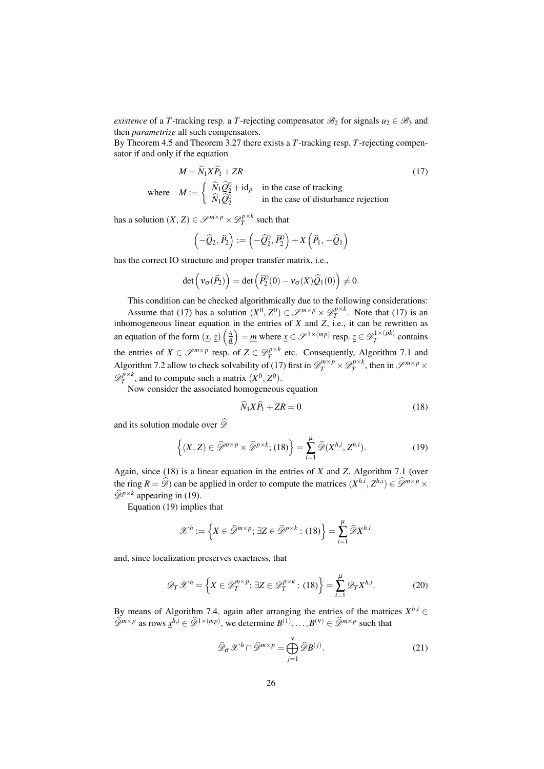*existence* of a *T*-tracking resp. a *T*-rejecting compensator  $\mathcal{B}_2$  for signals  $u_2 \in \mathcal{B}_3$  and then *parametrize* all such compensators.

By Theorem [4.5](#page-23-3) and Theorem [3.27](#page-19-2) there exists a *T*-tracking resp. *T*-rejecting compensator if and only if the equation

$$
M = \hat{N}_1 X \hat{P}_1 + ZR
$$
\n
$$
M := \begin{cases} \hat{N}_1 \hat{Q}_2^0 + id_p & \text{in the case of tracking} \\ \hat{N}_1 \hat{Q}_2^0 & \text{in the case of disturbance rejection} \end{cases}
$$
\n(17)

has a solution  $(X, Z) \in \mathcal{S}^{m \times p} \times \mathcal{D}_T^{p \times k}$  such that

 $w$  he

<span id="page-25-0"></span>
$$
\left(-\widehat{Q}_2,\widehat{P}_2\right):=\left(-\widehat{Q}_2^0,\widehat{P}_2^0\right)+X\left(\widehat{P}_1,-\widehat{Q}_1\right)
$$

has the correct IO structure and proper transfer matrix, i.e.,

$$
\det \left( \mathbf{v}_{\sigma}(\widehat{P}_2) \right) = \det \left( \widehat{P}_2^0(0) - \mathbf{v}_{\sigma}(X) \widehat{Q}_1(0) \right) \neq 0.
$$

This condition can be checked algorithmically due to the following considerations:

Assume that [\(17\)](#page-25-0) has a solution  $(X^0, Z^0) \in \mathcal{S}^{m \times p} \times \mathcal{D}_T^{p \times k}$ . Note that (17) is an inhomogeneous linear equation in the entries of *X* and *Z*, i.e., it can be rewritten as an equation of the form  $(\underline{x}, \underline{z})\left(\frac{A}{B}\right) = \underline{m}$  where  $\underline{x} \in \mathscr{S}^{1 \times (mp)}$  resp.  $\underline{z} \in \mathscr{D}_T^{1 \times (pk)}$  $T^{1 \wedge (\mu \kappa)}$  contains the entries of  $X \in \mathcal{S}^{m \times p}$  resp. of  $Z \in \mathcal{D}_T^{p \times k}$  etc. Consequently, Algorithm [7.1](#page-0-0) and Algorithm [7.2](#page-33-0) allow to check solvability of [\(17\)](#page-25-0) first in  $\mathscr{D}_T^{m \times p} \times \mathscr{D}_T^{p \times k}$ , then in  $\mathscr{S}^{m \times p} \times$  $\mathscr{D}_T^{p\times k}$ , and to compute such a matrix  $(X^0, Z^0)$ .

Now consider the associated homogeneous equation

<span id="page-25-1"></span>
$$
\hat{N}_1 X \hat{P}_1 + Z R = 0 \tag{18}
$$

and its solution module over  $\widehat{\mathscr{D}}$ 

<span id="page-25-2"></span>
$$
\left\{ (X,Z) \in \widehat{\mathscr{D}}^{m \times p} \times \widehat{\mathscr{D}}^{p \times k}; (18) \right\} = \sum_{i=1}^{\mu} \widehat{\mathscr{D}}(X^{h,i}, Z^{h,i}). \tag{19}
$$

Again, since [\(18\)](#page-25-1) is a linear equation in the entries of *X* and *Z*, Algorithm [7.1](#page-0-0) (over the ring  $R = \widehat{\mathscr{D}}$  can be applied in order to compute the matrices  $(X^{h,i}, Z^{h,i}) \in \widehat{\mathscr{D}}^{m \times p} \times \widehat{\mathscr{D}}^{m \times p}$  $\widehat{\mathscr{D}}^{p\times k}$  appearing in [\(19\)](#page-25-2).

Equation [\(19\)](#page-25-2) implies that

$$
\mathscr{X}^h := \left\{ X \in \widehat{\mathscr{D}}^{m \times p}; \, \exists Z \in \widehat{\mathscr{D}}^{p \times k} : (18) \right\} = \sum_{i=1}^{\mu} \widehat{\mathscr{D}} X^{h,i}
$$

and, since localization preserves exactness, that

$$
\mathcal{D}_T \mathcal{X}^h = \left\{ X \in \mathcal{D}_T^{m \times p}; \exists Z \in \mathcal{D}_T^{p \times k} : (18) \right\} = \sum_{i=1}^{\mu} \mathcal{D}_T X^{h,i}.
$$
 (20)

By means of Algorithm [7.4,](#page-35-1) again after arranging the entries of the matrices  $X^{h,i}$  ∈  $\widehat{\mathscr{D}}^{m \times p}$  as rows  $\underline{x}^{h,i} \in \widehat{\mathscr{D}}^{1 \times (mp)}$ , we determine  $B^{(1)}, \ldots, B^{(\nu)} \in \widehat{\mathscr{D}}^{m \times p}$  such that

<span id="page-25-4"></span><span id="page-25-3"></span>
$$
\widehat{\mathscr{D}}_{\sigma} \mathscr{X}^h \cap \widehat{\mathscr{D}}^{m \times p} = \bigoplus_{j=1}^{\nu} \widehat{\mathscr{D}} B^{(j)}.
$$
\n(21)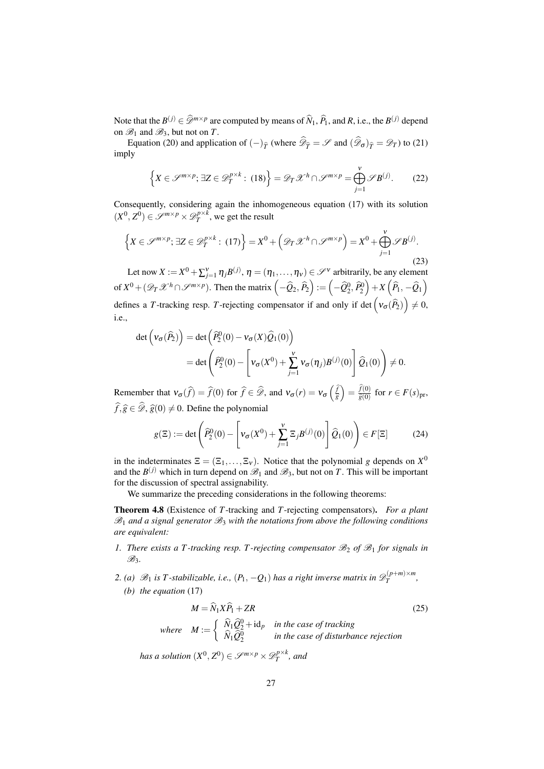Note that the  $B^{(j)} \in \mathcal{D}^{m \times p}$  are computed by means of  $\widehat{N}_1$ ,  $\widehat{P}_1$ , and *R*, i.e., the  $B^{(j)}$  depend on  $\mathcal{B}_1$  and  $\mathcal{B}_3$ , but not on *T*.

Equation [\(20\)](#page-25-3) and application of  $(-)_{\hat{T}}$  (where  $\mathscr{D}_{\hat{T}} = \mathscr{S}$  and  $(\mathscr{D}_{\sigma})_{\hat{T}} = \mathscr{D}_{T}$ ) to [\(21\)](#page-25-4) imply

$$
\left\{ X \in \mathcal{S}^{m \times p}; \exists Z \in \mathcal{D}_T^{p \times k} : (18) \right\} = \mathcal{D}_T \mathcal{X}^h \cap \mathcal{S}^{m \times p} = \bigoplus_{j=1}^{\nu} \mathcal{S} B^{(j)}.
$$
 (22)

Consequently, considering again the inhomogeneous equation [\(17\)](#page-25-0) with its solution  $(X^0, Z^0) \in \mathcal{S}^{m \times p} \times \mathcal{D}_T^{p \times k}$ , we get the result

$$
\left\{ X \in \mathcal{S}^{m \times p}; \exists Z \in \mathcal{D}_T^{p \times k} : (17) \right\} = X^0 + \left( \mathcal{D}_T \mathcal{X}^h \cap \mathcal{S}^{m \times p} \right) = X^0 + \bigoplus_{j=1}^{\nu} \mathcal{S} B^{(j)}.
$$
\n(23)

Let now  $X := X^0 + \sum_{j=1}^V \eta_j B^{(j)}$ ,  $\eta = (\eta_1, \dots, \eta_V) \in \mathscr{S}^\mathcal{V}$  arbitrarily, be any element of  $X^0 + (\mathscr{D}_T \mathscr{X}^h \cap \mathscr{S}^{m \times p})$ . Then the matrix  $\left(-\widehat{Q}_2, \widehat{P}_2\right) := \left(-\widehat{Q}_2^0, \widehat{P}_2^0\right) + X\left(\widehat{P}_1, -\widehat{Q}_1\right)$ defines a *T*-tracking resp. *T*-rejecting compensator if and only if det  $(\nu_{\sigma}(\widehat{P}_2)) \neq 0$ , i.e.,

$$
\det \left( v_{\sigma}(\widehat{P}_2) \right) = \det \left( \widehat{P}_2^0(0) - v_{\sigma}(X) \widehat{Q}_1(0) \right)
$$
  
= 
$$
\det \left( \widehat{P}_2^0(0) - \left[ v_{\sigma}(X^0) + \sum_{j=1}^{\nu} v_{\sigma}(\eta_j) B^{(j)}(0) \right] \widehat{Q}_1(0) \right) \neq 0.
$$

Remember that  $v_{\sigma}(\hat{f}) = \hat{f}(0)$  for  $\hat{f} \in \hat{\mathscr{D}}$ , and  $v_{\sigma}(r) = v_{\sigma}(\frac{\hat{f}}{\hat{g}})$  $\widehat{g}$  $= \frac{\widehat{f}(0)}{\widehat{g}(0)}$  $\frac{f(0)}{\widehat{g}(0)}$  for  $r \in F(s)$ <sub>pr</sub>,  $\widehat{f}, \widehat{g} \in \widehat{\mathscr{D}}, \widehat{g}(0) \neq 0$ . Define the polynomial

<span id="page-26-0"></span>
$$
g(\Xi) := \det \left( \widehat{P}_2^0(0) - \left[ \mathbf{v}_{\sigma}(X^0) + \sum_{j=1}^{\nu} \Xi_j B^{(j)}(0) \right] \widehat{Q}_1(0) \right) \in F[\Xi]
$$
 (24)

in the indeterminates  $\Xi = (\Xi_1, \dots, \Xi_v)$ . Notice that the polynomial *g* depends on  $X^0$ and the  $B^{(j)}$  which in turn depend on  $\mathscr{B}_1$  and  $\mathscr{B}_3$ , but not on *T*. This will be important for the discussion of spectral assignability.

We summarize the preceding considerations in the following theorems:

<span id="page-26-1"></span>Theorem 4.8 (Existence of *T*-tracking and *T*-rejecting compensators). *For a plant*  $\mathscr{B}_1$  and a signal generator  $\mathscr{B}_3$  with the notations from above the following conditions *are equivalent:*

- *1. There exists a T-tracking resp. T-rejecting compensator*  $\mathcal{B}_2$  *of*  $\mathcal{B}_1$  *for signals in* B3*.*
- 2. (a)  $\mathscr{B}_1$  *is T*-stabilizable, i.e.,  $(P_1, -Q_1)$  has a right inverse matrix in  $\mathscr{D}_T^{(p+m)\times m}$  $T^{(P+m)\times m}$ , *(b) the equation* [\(17\)](#page-25-0)

$$
M = \hat{N}_1 X \hat{P}_1 + ZR
$$
\n
$$
where \quad M := \begin{cases} \hat{N}_1 \hat{Q}_2^0 + \mathrm{id}_p & \text{in the case of tracking} \\ \hat{N}_1 \hat{Q}_2^0 & \text{in the case of disturbance rejection} \end{cases} \tag{25}
$$

*has a solution*  $(X^0, Z^0) \in \mathscr{S}^{m \times p} \times \mathscr{D}_T^{p \times k}$ *, and*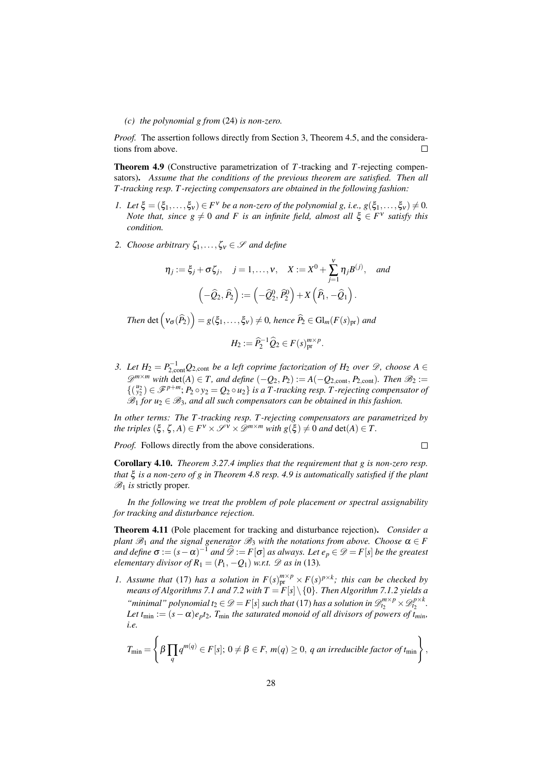#### *(c) the polynomial g from* [\(24\)](#page-26-0) *is non-zero.*

*Proof.* The assertion follows directly from Section [3,](#page-6-0) Theorem [4.5,](#page-23-3) and the considerations from above.  $\Box$ 

<span id="page-27-0"></span>Theorem 4.9 (Constructive parametrization of *T*-tracking and *T*-rejecting compensators). *Assume that the conditions of the previous theorem are satisfied. Then all T -tracking resp. T -rejecting compensators are obtained in the following fashion:*

- *1. Let*  $\xi = (\xi_1, \ldots, \xi_v) \in F^v$  *be a non-zero of the polynomial g, i.e.,*  $g(\xi_1, \ldots, \xi_v) \neq 0$ *. Note that, since*  $g \neq 0$  *and F is an infinite field, almost all*  $\xi \in F^v$  *satisfy this condition.*
- *2. Choose arbitrary*  $\zeta_1, \ldots, \zeta_v \in \mathcal{S}$  *and define*

$$
\eta_j := \xi_j + \sigma \zeta_j, \quad j = 1, \dots, v, \quad X := X^0 + \sum_{j=1}^v \eta_j B^{(j)}, \quad \text{and}
$$

$$
\left(-\widehat{Q}_2, \widehat{P}_2\right) := \left(-\widehat{Q}_2^0, \widehat{P}_2^0\right) + X\left(\widehat{P}_1, -\widehat{Q}_1\right).
$$

 $\mathcal{F}$ *Ihen* det  $(\mathcal{V}_{\sigma}(\widehat{P}_2)) = g(\xi_1,\ldots,\xi_\mathcal{V}) \neq 0$ , hence  $\widehat{P}_2 \in \mathrm{Gl}_m(F(s)_{\mathrm{pr}})$  and

$$
H_2 := \widehat{P}_2^{-1} \widehat{Q}_2 \in F(s)_{\text{pr}}^{m \times p}.
$$

*3.* Let  $H_2 = P_{2,\text{cont}}^{-1}Q_{2,\text{cont}}$  be a left coprime factorization of  $H_2$  over  $\mathscr{D}$ , choose A  $\in$  $\mathscr{D}^{m \times m}$  with  $\det(A) \in T$ , and define  $(-Q_2, P_2) := A(-Q_{2,\text{cont}}, P_{2,\text{cont}})$ *. Then*  $\mathscr{B}_2 :=$  $\{(\begin{smallmatrix} u_2 \\ y_2 \end{smallmatrix}) \in \mathscr{F}^{p+m}; P_2 \circ y_2 = Q_2 \circ u_2\}$  *is a T-tracking resp. T-rejecting compensator of*  $\mathscr{B}_1$  *for u*<sub>2</sub>  $\in \mathscr{B}_3$ *, and all such compensators can be obtained in this fashion.* 

*In other terms: The T -tracking resp. T -rejecting compensators are parametrized by the triples*  $(\xi, \zeta, A) \in F^{\vee} \times \mathcal{S}^{\vee} \times \mathcal{D}^{m \times m}$  *with*  $g(\xi) \neq 0$  *and* det(*A*)  $\in T$ .

*Proof.* Follows directly from the above considerations.

 $\Box$ 

Corollary 4.10. *Theorem [3.27](#page-19-2)[.4](#page-20-0) implies that the requirement that g is non-zero resp. that* ξ *is a non-zero of g in Theorem [4.8](#page-26-1) resp. [4.9](#page-27-0) is automatically satisfied if the plant*  $\mathscr{B}_1$  *is* strictly proper.

*In the following we treat the problem of pole placement or spectral assignability for tracking and disturbance rejection.*

<span id="page-27-2"></span>Theorem 4.11 (Pole placement for tracking and disturbance rejection). *Consider a plant*  $\mathcal{B}_1$  *and the signal generator*  $\mathcal{B}_3$  *with the notations from above. Choose*  $\alpha \in F$ *and define*  $\sigma := (s - \alpha)^{-1}$  *and*  $\widehat{\mathscr{D}} := F[\sigma]$  *as always. Let*  $e_p \in \mathscr{D} = F[s]$  *be the greatest elementary divisor of*  $R_1 = (P_1, -Q_1)$  *w.r.t.*  $\mathscr D$  *as in* [\(13\)](#page-14-1)*.* 

<span id="page-27-1"></span>*1.* Assume that [\(17\)](#page-25-0) has a solution in  $F(s)_{\text{pr}}^{m \times p} \times F(s)^{p \times k}$ ; this can be checked by *means of Algorithms [7.1](#page-0-0) and [7.2](#page-33-0) with T* = *F*[*s*]\ {0}*. Then Algorithm [7.1](#page-0-0)[.2](#page-33-1) yields a "minimal" polynomial*  $t_2 \in \mathcal{D} = F[s]$  *such that* [\(17\)](#page-25-0) *has a solution in*  $\mathcal{D}_{t_2}^{m \times p} \times \mathcal{D}_{t_2}^{p \times k}$ . *Let*  $t_{\min} := (s - \alpha)e_p t_2$ ,  $T_{\min}$  the saturated monoid of all divisors of powers of  $\tilde{t}_{\min}$ , *i.e.*

$$
T_{\min} = \left\{\beta \prod_q q^{m(q)} \in F[s]; 0 \neq \beta \in F, m(q) \geq 0, q \text{ an irreducible factor of } t_{\min} \right\},\
$$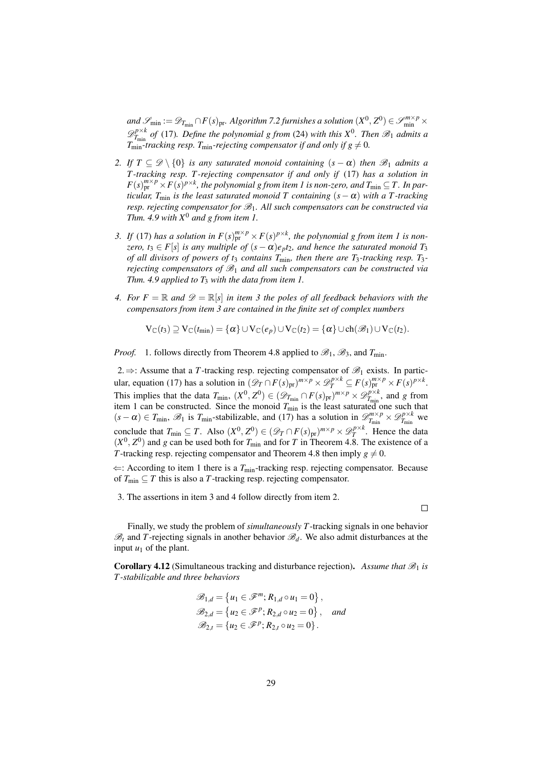$and$   $\mathscr{S}_{\min} := \mathscr{D}_{T_{\min}} \cap F(s)_{\text{pr}}$ *. Algorithm* [7.2](#page-33-0) *furnishes a solution*  $(X^0, Z^0) \in \mathscr{S}_{\min}^{m \times p} \times$  $\mathscr{D}^{p\times k}_{T_{\min}}$  $T_{\text{min}}^{p \times k}$  *of* [\(17\)](#page-25-0). Define the polynomial g from [\(24\)](#page-26-0) *with this*  $X^0$ *. Then*  $\mathscr{B}_1$  *admits a*  $T_{\min}^{\min}$ -tracking resp.  $T_{\min}$ -rejecting compensator if and only if  $g \neq 0$ .

- <span id="page-28-2"></span>*2. If*  $T \subseteq \mathcal{D} \setminus \{0\}$  *is any saturated monoid containing*  $(s - \alpha)$  *then*  $\mathcal{B}_1$  *admits a T -tracking resp. T -rejecting compensator if and only if* [\(17\)](#page-25-0) *has a solution in*  $F(s)_{\text{pr}}^{m \times p} \times F(s)^{p \times k}$ , the polynomial g from item [1](#page-27-1) is non-zero, and  $T_{\text{min}} \subseteq T$ . In par*ticular, T*<sub>min</sub> *is the least saturated monoid T containing*  $(s - \alpha)$  *with a T-tracking resp. rejecting compensator for*  $\mathcal{B}_1$ *. All such compensators can be constructed via Thm. [4.9](#page-27-0) with X*<sup>0</sup> *and g from item [1.](#page-27-1)*
- <span id="page-28-0"></span>*3.* If [\(17\)](#page-25-0) has a solution in  $F(s)_{pr}^{m \times p} \times F(s)^{p \times k}$ , the polynomial g from item [1](#page-27-1) is non*zero,*  $t_3 \in F[s]$  *is any multiple of*  $(s - \alpha)e_p t_2$ *, and hence the saturated monoid*  $T_3$ *of all divisors of powers of t*<sup>3</sup> *contains T*min*, then there are T*3*-tracking resp. T*3 *rejecting compensators of*  $\mathcal{B}_1$  *and all such compensators can be constructed via Thm. [4.9](#page-27-0) applied to T*<sup>3</sup> *with the data from item [1.](#page-27-1)*
- <span id="page-28-1"></span>*4.* For  $F = \mathbb{R}$  and  $\mathcal{D} = \mathbb{R}[s]$  in item [3](#page-28-0) the poles of all feedback behaviors with the *compensators from item [3](#page-28-0) are contained in the finite set of complex numbers*

$$
V_{\mathbb{C}}(t_3) \supseteq V_{\mathbb{C}}(t_{\min}) = \{\alpha\} \cup V_{\mathbb{C}}(e_p) \cup V_{\mathbb{C}}(t_2) = \{\alpha\} \cup ch(\mathscr{B}_1) \cup V_{\mathbb{C}}(t_2).
$$

*Proof.* 1. follows directly from Theorem [4.8](#page-26-1) applied to  $\mathcal{B}_1$ ,  $\mathcal{B}_3$ , and  $T_{\text{min}}$ .

2.  $\Rightarrow$ : Assume that a *T*-tracking resp. rejecting compensator of  $\mathscr{B}_1$  exists. In partic-ular, equation [\(17\)](#page-25-0) has a solution in  $(\mathscr{D}_T \cap F(s)_{pr})^{m \times p} \times \mathscr{D}_T^{p \times k} \subseteq F(s)_{pr}^{m \times p} \times F(s)^{p \times k}$ . This implies that the data  $T_{\min}$ ,  $(X^0, Z^0) \in (\mathscr{D}_{T_{\min}} \cap F(s)_{\text{pr}})^{m \times p} \times \mathscr{D}_{T_{\min}}^{p \times k}$  $T_{\min}^{p \times \kappa}$ , and *g* from item [1](#page-27-1) can be constructed. Since the monoid *T*min is the least saturated one such that  $(s - \alpha) \in T_{\min}$ ,  $\mathscr{B}_1$  is  $T_{\min}$ -stabilizable, and [\(17\)](#page-25-0) has a solution in  $\mathscr{D}^{m \times p}_{T_{\min}}$  $\mathbb{Z}_{T_{\text{min}}}^{m \times p} \times \mathscr{D}_{T_{\text{min}}}^{p \times k}$  $T_{\min}^{p \times \kappa}$  we conclude that  $T_{\min} \subseteq T$ . Also  $(X^0, Z^0) \in (\mathscr{D}_T \cap F(s)_{\text{pr}})^{m \times p} \times \mathscr{D}_T^{p \times k}$ . Hence the data  $(X^0, Z^0)$  and *g* can be used both for  $T_{\text{min}}$  and for *T* in Theorem [4.8.](#page-26-1) The existence of a *T*-tracking resp. rejecting compensator and Theorem [4.8](#page-26-1) then imply  $g \neq 0$ .

 $\Leftarrow$ : According to item [1](#page-27-1) there is a  $T_{\text{min}}$ -tracking resp. rejecting compensator. Because of  $T_{\text{min}} \subseteq T$  this is also a *T*-tracking resp. rejecting compensator.

3. The assertions in item [3](#page-28-0) and [4](#page-28-1) follow directly from item [2.](#page-28-2)

 $\Box$ 

Finally, we study the problem of *simultaneously T*-tracking signals in one behavior  $\mathcal{B}_t$  and *T*-rejecting signals in another behavior  $\mathcal{B}_d$ . We also admit disturbances at the input  $u_1$  of the plant.

<span id="page-28-3"></span>**Corollary 4.12** (Simultaneous tracking and disturbance rejection). Assume that  $\mathcal{B}_1$  is *T -stabilizable and three behaviors*

$$
\mathcal{B}_{1,d} = \{u_1 \in \mathcal{F}^m; R_{1,d} \circ u_1 = 0\},\n\mathcal{B}_{2,d} = \{u_2 \in \mathcal{F}^p; R_{2,d} \circ u_2 = 0\}, and\n\mathcal{B}_{2,t} = \{u_2 \in \mathcal{F}^p; R_{2,t} \circ u_2 = 0\}.
$$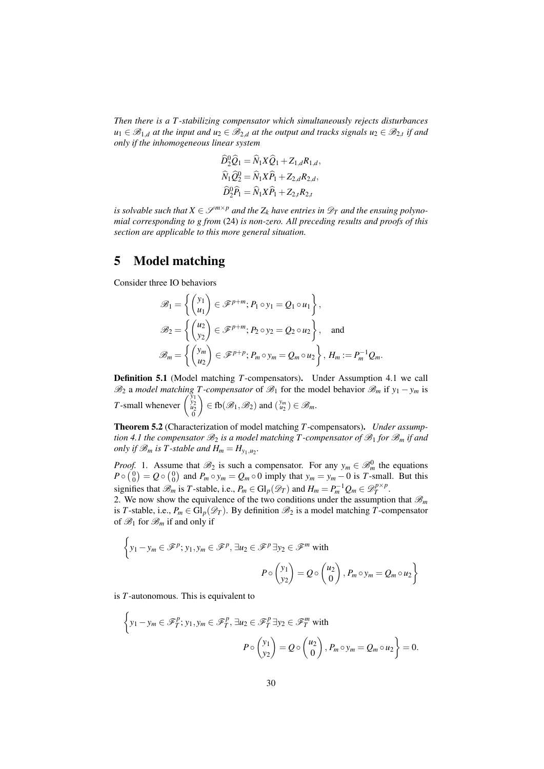*Then there is a T -stabilizing compensator which simultaneously rejects disturbances*  $u_1 \in \mathscr{B}_{1,d}$  at the input and  $u_2 \in \mathscr{B}_{2,d}$  at the output and tracks signals  $u_2 \in \mathscr{B}_{2,t}$  if and *only if the inhomogeneous linear system*

$$
\widehat{D}_2^0 \widehat{Q}_1 = \widehat{N}_1 X \widehat{Q}_1 + Z_{1,d} R_{1,d},
$$
  

$$
\widehat{N}_1 \widehat{Q}_2^0 = \widehat{N}_1 X \widehat{P}_1 + Z_{2,d} R_{2,d},
$$
  

$$
\widehat{D}_2^0 \widehat{P}_1 = \widehat{N}_1 X \widehat{P}_1 + Z_{2,d} R_{2,d},
$$

*is solvable such that*  $X \in \mathcal{S}^{m \times p}$  *and the*  $Z_k$  *have entries in*  $\mathcal{D}_T$  *and the ensuing polynomial corresponding to g from* [\(24\)](#page-26-0) *is non-zero. All preceding results and proofs of this section are applicable to this more general situation.*

### 5 Model matching

Consider three IO behaviors

$$
\mathcal{B}_1 = \left\{ \begin{pmatrix} y_1 \\ u_1 \end{pmatrix} \in \mathcal{F}^{p+m}; P_1 \circ y_1 = Q_1 \circ u_1 \right\},
$$
  

$$
\mathcal{B}_2 = \left\{ \begin{pmatrix} u_2 \\ v_2 \end{pmatrix} \in \mathcal{F}^{p+m}; P_2 \circ y_2 = Q_2 \circ u_2 \right\}, \text{ and}
$$
  

$$
\mathcal{B}_m = \left\{ \begin{pmatrix} y_m \\ u_2 \end{pmatrix} \in \mathcal{F}^{p+p}; P_m \circ y_m = Q_m \circ u_2 \right\}, H_m := P_m^{-1} Q_m.
$$

Definition 5.1 (Model matching *T*-compensators). Under Assumption [4.1](#page-22-2) we call  $\mathscr{B}_2$  a *model matching T-compensator* of  $\mathscr{B}_1$  for the model behavior  $\mathscr{B}_m$  if *y*<sub>1</sub> − *y<sub>m</sub>* is *T*-small whenever  $\begin{pmatrix} y_1 \\ y_2 \\ u_2 \\ 0 \end{pmatrix}$  $\Big) \in \text{fb}(\mathcal{B}_1, \mathcal{B}_2)$  and  $\binom{y_m}{u_2} \in \mathcal{B}_m$ .

<span id="page-29-0"></span>Theorem 5.2 (Characterization of model matching *T*-compensators). *Under assumption* [4.1](#page-22-2) the compensator  $\mathcal{B}_2$  *is a model matching* T-compensator of  $\mathcal{B}_1$  for  $\mathcal{B}_m$  *if and only if*  $\mathcal{B}_m$  *is*  $T$ -stable and  $H_m = H_{y_1,u_2}$ .

*Proof.* 1. Assume that  $\mathcal{B}_2$  is such a compensator. For any  $y_m \in \mathcal{B}_m^0$  the equations  $P \circ {0 \choose 0} = Q \circ {0 \choose 0}$  and  $P_m \circ y_m = Q_m \circ 0$  imply that  $y_m = y_m - 0$  is *T*-small. But this signifies that  $\mathscr{B}_m$  is *T*-stable, i.e.,  $P_m \in \mathrm{Gl}_p(\mathscr{D}_T)$  and  $H_m = P_m^{-1}Q_m \in \mathscr{D}_T^{p \times p}$ .

2. We now show the equivalence of the two conditions under the assumption that  $\mathcal{B}_m$ is *T*-stable, i.e.,  $P_m \in Gl_p(\mathcal{D}_T)$ . By definition  $\mathcal{B}_2$  is a model matching *T*-compensator of  $\mathscr{B}_1$  for  $\mathscr{B}_m$  if and only if

$$
\left\{ y_1 - y_m \in \mathcal{F}^p; y_1, y_m \in \mathcal{F}^p, \exists u_2 \in \mathcal{F}^p \exists y_2 \in \mathcal{F}^m \text{ with }
$$

$$
P \circ \begin{pmatrix} y_1 \\ y_2 \end{pmatrix} = Q \circ \begin{pmatrix} u_2 \\ 0 \end{pmatrix}, P_m \circ y_m = Q_m \circ u_2 \right\}
$$

is *T*-autonomous. This is equivalent to

 $\overline{\phantom{a}}$ 

$$
\left\{ y_1 - y_m \in \mathcal{F}_T^p; y_1, y_m \in \mathcal{F}_T^p, \exists u_2 \in \mathcal{F}_T^p \exists y_2 \in \mathcal{F}_T^m \text{ with }
$$

$$
P \circ \begin{pmatrix} y_1 \\ y_2 \end{pmatrix} = Q \circ \begin{pmatrix} u_2 \\ 0 \end{pmatrix}, P_m \circ y_m = Q_m \circ u_2 \right\} = 0.
$$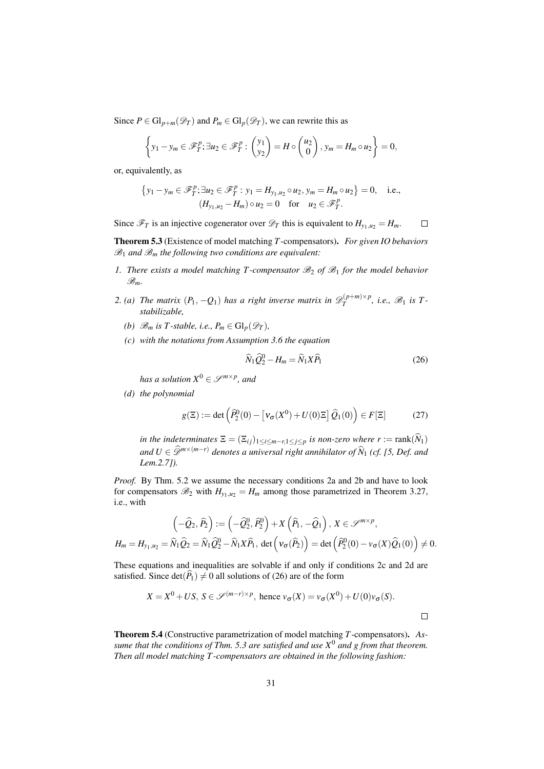Since  $P \in \mathrm{Gl}_{p+m}(\mathcal{D}_T)$  and  $P_m \in \mathrm{Gl}_p(\mathcal{D}_T)$ , we can rewrite this as

$$
\left\{y_1 - y_m \in \mathscr{F}_T^p; \exists u_2 \in \mathscr{F}_T^p : \begin{pmatrix}y_1\\y_2\end{pmatrix} = H \circ \begin{pmatrix}u_2\\0\end{pmatrix}, y_m = H_m \circ u_2\right\} = 0,
$$

or, equivalently, as

$$
\{y_1 - y_m \in \mathscr{F}_T^p; \exists u_2 \in \mathscr{F}_T^p : y_1 = H_{y_1, u_2} \circ u_2, y_m = H_m \circ u_2\} = 0, \quad \text{i.e.,}
$$

$$
(H_{y_1, u_2} - H_m) \circ u_2 = 0 \quad \text{for} \quad u_2 \in \mathscr{F}_T^p.
$$

Since  $\mathcal{F}_T$  is an injective cogenerator over  $\mathcal{D}_T$  this is equivalent to  $H_{y_1,u_2} = H_m$ .  $\Box$ 

<span id="page-30-5"></span>Theorem 5.3 (Existence of model matching *T*-compensators). *For given IO behaviors*

*1. There exists a model matching T-compensator*  $\mathcal{B}_2$  *of*  $\mathcal{B}_1$  *for the model behavior* B*m.*

- <span id="page-30-2"></span><span id="page-30-1"></span><span id="page-30-0"></span>2. (a) The matrix  $(P_1, -Q_1)$  has a right inverse matrix in  $\mathscr{D}_T^{(p+m)\times p}$  $T$ <sup> $j(T^{p+m)\times p}$ </sup>, i.e.,  $\mathscr{B}_1$  is T*stabilizable,*
	- *(b)*  $\mathscr{B}_m$  *is T*-stable, *i.e.*,  $P_m \in \mathrm{Gl}_p(\mathscr{D}_T)$ ,
	- *(c) with the notations from Assumption [3.6](#page-8-0) the equation*

 $\mathscr{B}_1$  and  $\mathscr{B}_m$  the following two conditions are equivalent:

<span id="page-30-4"></span>
$$
\widehat{N}_1 \widehat{Q}_2^0 - H_m = \widehat{N}_1 X \widehat{P}_1 \tag{26}
$$

 $\Box$ 

 $has\ a\ solution\ X^0\in \mathscr S^{m\times p},\ and$ 

<span id="page-30-3"></span>*(d) the polynomial*

<span id="page-30-6"></span>
$$
g(\Xi) := \det \left( \widehat{P}_2^0(0) - \left[ \mathbf{v}_{\sigma}(X^0) + U(0)\Xi \right] \widehat{Q}_1(0) \right) \in F[\Xi] \tag{27}
$$

*in the indeterminates*  $\Xi = (\Xi_{ij})_{1 \leq i \leq m-r, 1 \leq j \leq p}$  *is non-zero where*  $r := \text{rank}(\widehat{N}_1)$ *and*  $U$  ∈  $\widehat{\mathscr{D}}^{m \times (m-r)}$  *denotes a universal right annihilator of*  $\widehat{N}_1$  (*cf. [\[5,](#page-38-6) Def. and Lem.2.7]).*

*Proof.* By Thm. [5.2](#page-29-0) we assume the necessary conditions [2a](#page-30-0) and [2b](#page-30-1) and have to look for compensators  $\mathcal{B}_2$  with  $H_{y_1,u_2} = H_m$  among those parametrized in Theorem [3.27,](#page-19-2) i.e., with

$$
\left(-\widehat{Q}_2, \widehat{P}_2\right) := \left(-\widehat{Q}_2^0, \widehat{P}_2^0\right) + X\left(\widehat{P}_1, -\widehat{Q}_1\right), X \in \mathscr{S}^{m \times p},
$$
  

$$
H_m = H_{y_1, u_2} = \widehat{N}_1 \widehat{Q}_2 = \widehat{N}_1 \widehat{Q}_2^0 - \widehat{N}_1 X \widehat{P}_1, \text{ det}\left(\mathbf{v}_{\sigma}(\widehat{P}_2)\right) = \text{det}\left(\widehat{P}_2^0(0) - \mathbf{v}_{\sigma}(X)\widehat{Q}_1(0)\right) \neq 0.
$$

These equations and inequalities are solvable if and only if conditions [2c](#page-30-2) and [2d](#page-30-3) are satisfied. Since  $det(\widehat{P}_1) \neq 0$  all solutions of [\(26\)](#page-30-4) are of the form

$$
X = X^0 + US, S \in \mathcal{S}^{(m-r) \times p}, \text{ hence } v_{\sigma}(X) = v_{\sigma}(X^0) + U(0)v_{\sigma}(S).
$$

<span id="page-30-7"></span>Theorem 5.4 (Constructive parametrization of model matching *T*-compensators). *Assume that the conditions of Thm. [5.3](#page-30-5) are satisfied and use X*<sup>0</sup> *and g from that theorem. Then all model matching T -compensators are obtained in the following fashion:*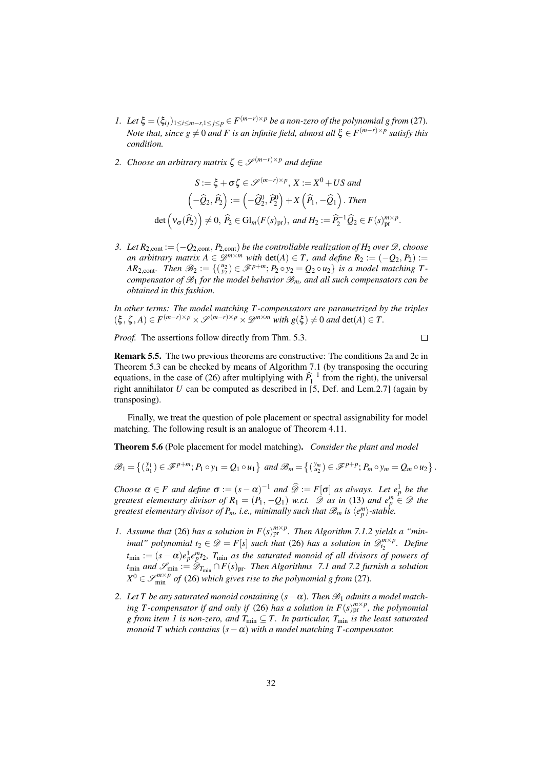- *1. Let*  $\xi = (\xi_{ij})_{1 \leq i \leq m-r, 1 \leq j \leq p} \in F^{(m-r) \times p}$  *be a non-zero of the polynomial g from* [\(27\)](#page-30-6)*. Note that, since g*  $\neq$  0 *and F is an infinite field, almost all*  $\xi$   $\in$   $F^{(m-r)\times p}$  *satisfy this condition.*
- *2. Choose an arbitrary matrix*  $\zeta \in \mathcal{S}^{(m-r)\times p}$  *and define*

$$
S := \xi + \sigma \zeta \in \mathcal{S}^{(m-r)\times p}, X := X^0 + US \text{ and}
$$

$$
\left(-\hat{Q}_2, \hat{P}_2\right) := \left(-\hat{Q}_2^0, \hat{P}_2^0\right) + X\left(\hat{P}_1, -\hat{Q}_1\right). \text{ Then}
$$

$$
\det\left(\nu_{\sigma}(\hat{P}_2)\right) \neq 0, \ \hat{P}_2 \in \text{Gl}_m(F(s)_{\text{pr}}), \text{ and } H_2 := \hat{P}_2^{-1}\hat{Q}_2 \in F(s)_{\text{pr}}^{m \times p}.
$$

*3. Let*  $R_{2,\text{cont}} := (-Q_{2,\text{cont}}, P_{2,\text{cont}})$  *be the controllable realization of*  $H_2$  *over*  $\mathcal{D}$ *, choose an arbitrary matrix A*  $\in \mathcal{D}^{m \times m}$  *with* det(*A*)  $\in T$ *, and define*  $R_2 := (-Q_2, P_2) :=$ *AR*<sub>2,cont</sub>. Then  $\mathscr{B}_2 := \{(\begin{smallmatrix} u_2 \\ y_2 \end{smallmatrix}) \in \mathscr{F}^{p+m}; P_2 \circ y_2 = Q_2 \circ u_2\}$  is a model matching T*compensator of*  $\mathcal{B}_1$  *for the model behavior*  $\mathcal{B}_m$ *, and all such compensators can be obtained in this fashion.*

*In other terms: The model matching T -compensators are parametrized by the triples*  $(\xi, \zeta, A) \in F^{(m-r)\times p} \times \mathcal{S}^{(m-r)\times p} \times \mathcal{D}^{m \times m}$  *with*  $g(\xi) \neq 0$  *and* det(*A*)  $\in T$ .

*Proof.* The assertions follow directly from Thm. [5.3.](#page-30-5)

 $\Box$ 

.

Remark 5.5. The two previous theorems are constructive: The conditions [2a](#page-30-0) and [2c](#page-30-2) in Theorem [5.3](#page-30-5) can be checked by means of Algorithm [7.1](#page-0-0) (by transposing the occuring equations, in the case of [\(26\)](#page-30-4) after multiplying with  $\hat{P}_1^{-1}$  from the right), the universal right annihilator  $U$  can be computed as described in [\[5,](#page-38-6) Def. and Lem.2.7] (again by transposing).

Finally, we treat the question of pole placement or spectral assignability for model matching. The following result is an analogue of Theorem [4.11.](#page-27-2)

Theorem 5.6 (Pole placement for model matching). *Consider the plant and model*

$$
\mathscr{B}_1 = \left\{ \begin{pmatrix} y_1 \\ u_1 \end{pmatrix} \in \mathscr{F}^{p+m}; P_1 \circ y_1 = Q_1 \circ u_1 \right\} \text{ and } \mathscr{B}_m = \left\{ \begin{pmatrix} y_m \\ u_2 \end{pmatrix} \in \mathscr{F}^{p+p}; P_m \circ y_m = Q_m \circ u_2 \right\}
$$

*Choose*  $\alpha \in F$  *and define*  $\sigma := (s - \alpha)^{-1}$  *and*  $\widehat{\mathscr{D}} := F[\sigma]$  *as always. Let*  $e_p^1$  *be the greatest elementary divisor of*  $R_1 = (P_1, -Q_1)$  *w.r.t.*  $\mathscr{D}$  *as in* [\(13\)](#page-14-1) *and*  $e_p^m \in \mathscr{D}$  *the greatest elementary divisor of*  $P_m$ *, i.e., minimally such that*  $\mathscr{B}_m$  *is*  $\langle e_p^m \rangle$ *-stable.* 

- <span id="page-31-0"></span>*1.* Assume that [\(26\)](#page-30-4) has a solution in  $F(s)_{pr}^{m \times p}$ . Then Algorithm [7.1](#page-0-0)[.2](#page-33-1) yields a "min*imal" polynomial*  $t_2 \in \mathcal{D} = F[s]$  *such that* [\(26\)](#page-30-4) *has a solution in*  $\mathcal{D}_{t_2}^{m \times p}$ *. Define*  $t_{\min} := (s - \alpha)e_p^1e_p^m t_2$ ,  $T_{\min}$  as the saturated monoid of all divisors of powers of *t*<sub>min</sub> *and*  $\mathcal{S}_{min}$  :=  $\mathcal{D}_{T_{min}} \cap F(s)_{pr}$ *. Then Algorithms* [7.1](#page-0-0) *and* [7.2](#page-33-0) *furnish a solution*  $X^0 \in \mathcal{S}_{\min}^{m \times p}$  *of* [\(26\)](#page-30-4) *which gives rise to the polynomial g from* [\(27\)](#page-30-6)*.*
- 2. Let T be any saturated monoid containing  $(s \alpha)$ . Then  $\mathcal{B}_1$  admits a model match*ing T-compensator if and only if* [\(26\)](#page-30-4) *has a solution in*  $F(s)_{pr}^{m \times p}$ *, the polynomial g* from item [1](#page-31-0) is non-zero, and  $T_{\text{min}} \subseteq T$ . In particular,  $T_{\text{min}}$  is the least saturated *monoid T which contains*  $(s - \alpha)$  *with a model matching T-compensator.*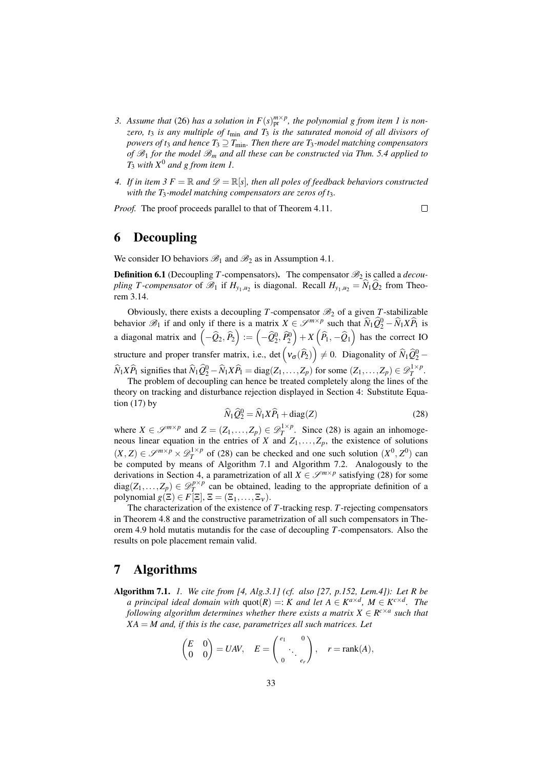- <span id="page-32-2"></span>*3.* Assume that [\(26\)](#page-30-4) has a solution in  $F(s)_{pr}^{m \times p}$ , the polynomial g from item [1](#page-31-0) is non*zero, t*<sup>3</sup> *is any multiple of t*min *and T*<sup>3</sup> *is the saturated monoid of all divisors of powers of t<sub>3</sub> and hence*  $T_3 \supseteq T_{\text{min}}$ *. Then there are T<sub>3</sub>-model matching compensators of*  $\mathscr{B}_1$  *for the model*  $\mathscr{B}_m$  *and all these can be constructed via Thm.* [5.4](#page-30-7) *applied to T*<sup>3</sup> *with X*<sup>0</sup> *and g from item [1.](#page-31-0)*
- *4.* If in item [3](#page-32-2)  $F = \mathbb{R}$  and  $\mathcal{D} = \mathbb{R}[s]$ , then all poles of feedback behaviors constructed *with the T*3*-model matching compensators are zeros of t*3*.*

*Proof.* The proof proceeds parallel to that of Theorem [4.11.](#page-27-2)

 $\Box$ 

# <span id="page-32-0"></span>6 Decoupling

We consider IO behaviors  $\mathcal{B}_1$  and  $\mathcal{B}_2$  as in Assumption [4.1.](#page-22-2)

**Definition 6.1** (Decoupling *T*-compensators). The compensator  $\mathcal{B}_2$  is called a *decoupling T-compensator* of  $\mathcal{B}_1$  if  $H_{y_1,u_2}$  is diagonal. Recall  $H_{y_1,u_2} = N_1 Q_2$  from Theorem [3.14.](#page-13-1)

Obviously, there exists a decoupling *T*-compensator  $\mathcal{B}_2$  of a given *T*-stabilizable behavior  $\mathscr{B}_1$  if and only if there is a matrix  $X \in \mathscr{S}^{m \times p}$  such that  $\widehat{N}_1 \widehat{Q}_2^0 - \widehat{N}_1 X \widehat{P}_1$  is a diagonal matrix and  $\left(-\hat{Q}_2, \hat{P}_2\right) := \left(-\hat{Q}_2^0, \hat{P}_2^0\right) + X\left(\hat{P}_1, -\hat{Q}_1\right)$  has the correct IO structure and proper transfer matrix, i.e., det  $(\nu_{\sigma}(\widehat{P}_2)) \neq 0$ . Diagonality of  $\widehat{N}_1 \widehat{Q}_2^0$  –  $\widehat{N}_1 X \widehat{P}_1$  signifies that  $\widehat{N}_1 \widehat{Q}_2^0 - \widehat{N}_1 X \widehat{P}_1 = \text{diag}(Z_1, \dots, Z_p)$  for some  $(Z_1, \dots, Z_p) \in \mathscr{D}_T^{1 \times p}$ .

The problem of decoupling can hence be treated completely along the lines of the theory on tracking and disturbance rejection displayed in Section [4:](#page-22-0) Substitute Equation  $(17)$  by

<span id="page-32-3"></span>
$$
\widehat{N}_1 \widehat{Q}_2^0 = \widehat{N}_1 X \widehat{P}_1 + \text{diag}(Z) \tag{28}
$$

where  $X \in \mathcal{S}^{m \times p}$  and  $Z = (Z_1, ..., Z_p) \in \mathcal{D}_T^{1 \times p}$ . Since [\(28\)](#page-32-3) is again an inhomogeneous linear equation in the entries of *X* and  $Z_1, \ldots, Z_p$ , the existence of solutions  $(X, Z) \in \mathscr{S}^{m \times p} \times \mathscr{D}_T^{1 \times p}$  of [\(28\)](#page-32-3) can be checked and one such solution  $(X^0, Z^0)$  can be computed by means of Algorithm [7.1](#page-0-0) and Algorithm [7.2.](#page-33-0) Analogously to the derivations in Section [4,](#page-22-0) a parametrization of all  $X \in \mathcal{S}^{m \times p}$  satisfying [\(28\)](#page-32-3) for some diag( $Z_1, \ldots, Z_p$ )  $\in \mathcal{D}_T^{p \times p}$  can be obtained, leading to the appropriate definition of a polynomial  $g(\tilde{\Xi}) \in F[\Xi], \Xi = (\Xi_1, \ldots, \Xi_{\nu}).$ 

The characterization of the existence of *T*-tracking resp. *T*-rejecting compensators in Theorem [4.8](#page-26-1) and the constructive parametrization of all such compensators in Theorem [4.9](#page-27-0) hold mutatis mutandis for the case of decoupling *T*-compensators. Also the results on pole placement remain valid.

#### <span id="page-32-1"></span>7 Algorithms

<span id="page-32-4"></span>Algorithm 7.1. *1. We cite from [\[4,](#page-38-4) Alg.3.1] (cf. also [\[27,](#page-40-0) p.152, Lem.4]): Let R be a principal ideal domain with*  $\text{quot}(R) =: K$  *and let*  $A \in K^{a \times d}$ ,  $M \in K^{c \times d}$ . The *following algorithm determines whether there exists a matrix*  $X \in R^{c \times a}$  *such that*  $XA = M$  and, if this is the case, parametrizes all such matrices. Let

$$
\begin{pmatrix} E & 0 \\ 0 & 0 \end{pmatrix} = UAV, \quad E = \begin{pmatrix} e_1 & 0 \\ 0 & \ddots \\ 0 & e_r \end{pmatrix}, \quad r = \text{rank}(A),
$$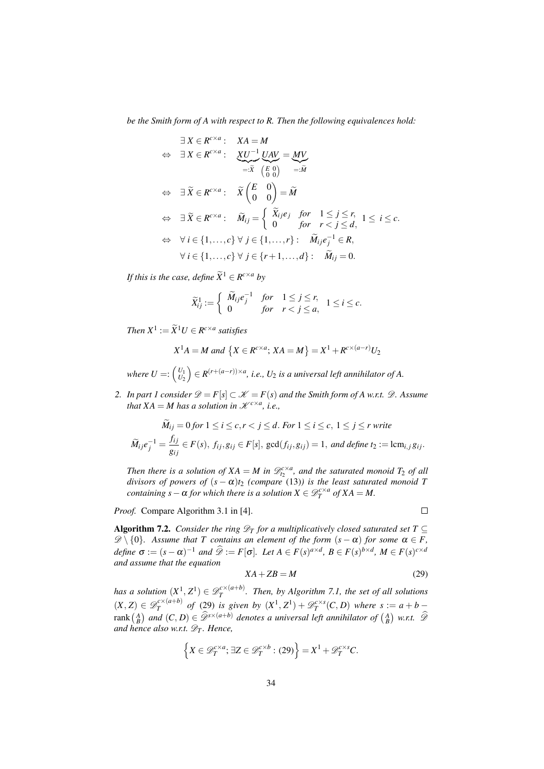*be the Smith form of A with respect to R. Then the following equivalences hold:*

$$
\exists X \in R^{c \times a}: \quad XA = M
$$
\n
$$
\Leftrightarrow \quad \exists X \in R^{c \times a}: \quad \underbrace{XU^{-1}}_{=: \tilde{X}} \underbrace{UAV}_{:=: \tilde{X}} = \underbrace{MV}_{:= \tilde{M}}
$$
\n
$$
\Leftrightarrow \quad \exists \, \tilde{X} \in R^{c \times a}: \quad \tilde{X} \begin{pmatrix} E & 0 \\ 0 & 0 \end{pmatrix} = \tilde{M}
$$
\n
$$
\Leftrightarrow \quad \exists \, \tilde{X} \in R^{c \times a}: \quad \widetilde{M}_{ij} = \begin{cases} \tilde{X}_{ij}e_j & \text{for} \quad 1 \le j \le r, \\ 0 & \text{for} \quad r < j \le d, \end{cases} \quad 1 \le i \le c.
$$
\n
$$
\Leftrightarrow \quad \forall \, i \in \{1, \ldots, c\} \forall \, j \in \{1, \ldots, r\}: \quad \tilde{M}_{ij}e_j^{-1} \in R,
$$
\n
$$
\forall \, i \in \{1, \ldots, c\} \forall \, j \in \{r+1, \ldots, d\}: \quad \tilde{M}_{ij} = 0.
$$

*If this is the case, define*  $\widetilde{X}^1 \in R^{c \times a}$  *by* 

$$
\widetilde{X}_{ij}^1 := \left\{ \begin{array}{ll} \widetilde{M}_{ij}e_j^{-1} & \text{for} \quad 1 \leq j \leq r, \\ 0 & \text{for} \quad r < j \leq a, \end{array} \right. 1 \leq i \leq c.
$$

*Then*  $X^1 := \widetilde{X}^1 U \in R^{c \times a}$  satisfies

$$
X^{1}A = M \text{ and } \{X \in R^{c \times a}; XA = M\} = X^{1} + R^{c \times (a-r)}U_{2}
$$

where  $U =: \begin{pmatrix} U_1 \ U_2 \end{pmatrix} \in R^{(r + (a - r)) \times a}$ , i.e.,  $U_2$  is a universal left annihilator of A.

<span id="page-33-1"></span>*2. In part [1](#page-32-4) consider*  $\mathcal{D} = F[s] \subset \mathcal{K} = F(s)$  *and the Smith form of A w.r.t.*  $\mathcal{D}$ *. Assume that*  $XA = M$  *has a solution in*  $\mathcal{K}^{c \times a}$ *, i.e.*,

$$
\widetilde{M}_{ij} = 0 \text{ for } 1 \le i \le c, r < j \le d. \text{ For } 1 \le i \le c, 1 \le j \le r \text{ write}
$$
\n
$$
\widetilde{M}_{ij}e_j^{-1} = \frac{f_{ij}}{g_{ij}} \in F(s), \ f_{ij}, g_{ij} \in F[s], \ \gcd(f_{ij}, g_{ij}) = 1, \ \text{and define } t_2 := \text{lcm}_{i,j} g_{ij}.
$$

*Then there is a solution of*  $XA = M$  *in*  $\mathscr{D}_{t_2}^{c \times a}$ *, and the saturated monoid*  $T_2$  *of all divisors of powers of* (*s* − α)*t*<sup>2</sup> *(compare* [\(13\)](#page-14-1)*) is the least saturated monoid T containing*  $s - \alpha$  *for which there is a solution*  $X \in \mathscr{D}_T^{c \times a}$  *of*  $XA = M$ .

*Proof.* Compare Algorithm 3.1 in [\[4\]](#page-38-4).

 $\Box$ 

<span id="page-33-0"></span>Algorithm 7.2. *Consider the ring*  $\mathscr{D}_T$  *for a multiplicatively closed saturated set*  $T \subseteq$  $\mathscr{D}\setminus\{0\}$ . Assume that T contains an element of the form  $(s - \alpha)$  for some  $\alpha \in F$ , *define*  $\sigma := (s - \alpha)^{-1}$  *and*  $\widehat{\mathscr{D}} := F[\sigma]$ *. Let*  $A \in F(s)^{a \times d}$ *,*  $B \in F(s)^{b \times d}$ *,*  $M \in F(s)^{c \times d}$ *and assume that the equation*

<span id="page-33-2"></span>
$$
XA + ZB = M \tag{29}
$$

*has a solution*  $(X^1, Z^1) \in \mathscr{D}_T^{c \times (a+b)}$ *T . Then, by Algorithm [7.1,](#page-0-0) the set of all solutions*  $(X, Z) \in \mathscr{D}_T^{c \times (a+b)}$  $T_T^{c \times (a+b)}$  *of* [\(29\)](#page-33-2) *is given by*  $(X^1, Z^1) + \mathscr{D}_T^{c \times s}(C, D)$  *where*  $s := a + b$ rank  $\binom{A}{B}$  and  $(C, D) \in \widehat{\mathcal{D}}^{s \times (a+b)}$  denotes a universal left annihilator of  $\binom{A}{B}$  w.r.t.  $\widehat{\mathcal{D}}$ *and hence also w.r.t.*  $\mathscr{D}_T$ *. Hence,* 

$$
\left\{ X \in \mathscr{D}_T^{c \times a}; \, \exists Z \in \mathscr{D}_T^{c \times b} : (29) \right\} = X^1 + \mathscr{D}_T^{c \times s} C.
$$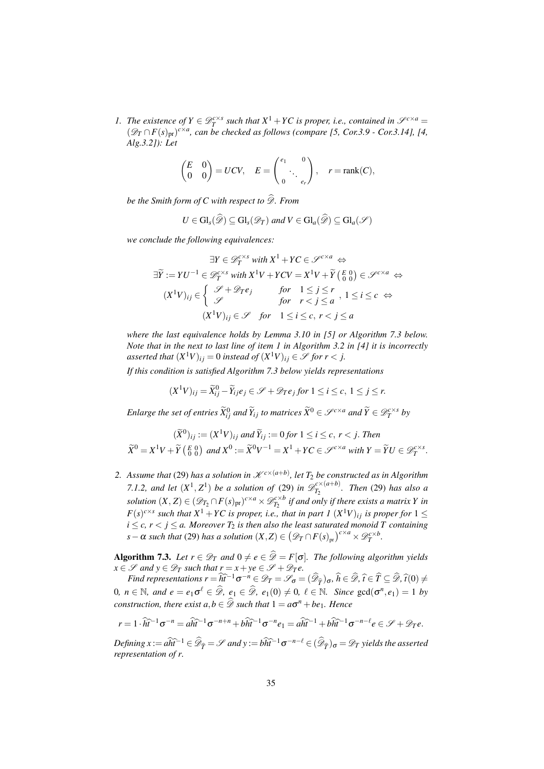<span id="page-34-1"></span>*1. The existence of*  $Y \in \mathcal{D}_T^{c \times s}$  *such that*  $X^1 + YC$  *is proper, i.e., contained in*  $\mathcal{S}^{c \times a}$  =  $(\mathscr{D}_T \cap F(s)_{\text{pr}})^{c \times a}$ , can be checked as follows (compare [\[5,](#page-38-6) Cor.3.9 - Cor.3.14], [\[4,](#page-38-4) *Alg.3.2]): Let*

$$
\begin{pmatrix} E & 0 \\ 0 & 0 \end{pmatrix} = UCV, \quad E = \begin{pmatrix} e_1 & 0 \\ 0 & \ddots \\ 0 & e_r \end{pmatrix}, \quad r = \text{rank}(C),
$$

*be the Smith form of C with respect to*  $\widehat{\mathcal{D}}$ *. From* 

$$
U \in \mathrm{Gl}_s(\widehat{\mathscr{D}}) \subseteq \mathrm{Gl}_s(\mathscr{D}_T) \text{ and } V \in \mathrm{Gl}_a(\widehat{\mathscr{D}}) \subseteq \mathrm{Gl}_a(\mathscr{S})
$$

*we conclude the following equivalences:*

$$
\exists Y \in \mathcal{D}_T^{c \times s} \text{ with } X^1 + YC \in \mathcal{S}^{c \times a} \Leftrightarrow
$$

$$
\exists \widetilde{Y} := YU^{-1} \in \mathcal{D}_T^{c \times s} \text{ with } X^1V + YCV = X^1V + \widetilde{Y} \left(\begin{smallmatrix} E & 0 \\ 0 & 0 \end{smallmatrix}\right) \in \mathcal{S}^{c \times a} \Leftrightarrow
$$

$$
(X^1V)_{ij} \in \begin{cases} \mathcal{S} + \mathcal{D}_T e_j & \text{for } 1 \leq j \leq r \\ \mathcal{S} & \text{for } r < j \leq a \end{cases}, 1 \leq i \leq c \Leftrightarrow
$$

$$
(X^1V)_{ij} \in \mathcal{S} \text{ for } 1 \leq i \leq c, r < j \leq a
$$

*where the last equivalence holds by Lemma 3.10 in [\[5\]](#page-38-6) or Algorithm [7.3](#page-34-0) below. Note that in the next to last line of item 1 in Algorithm 3.2 in [\[4\]](#page-38-4) it is incorrectly* asserted that  $(X^1V)_{ij} = 0$  instead of  $(X^1V)_{ij} \in \mathscr{S}$  for  $r < j$ .

*If this condition is satisfied Algorithm [7.3](#page-34-0) below yields representations*

$$
(X^1V)_{ij} = \widetilde{X}_{ij}^0 - \widetilde{Y}_{ij}e_j \in \mathscr{S} + \mathscr{D}_T e_j \text{ for } 1 \le i \le c, \ 1 \le j \le r.
$$

*Enlarge the set of entries*  $\widetilde{X}_{ij}^0$  *and*  $\widetilde{Y}_{ij}$  *to matrices*  $\widetilde{X}^0\in\mathscr{S}^{c\times a}$  *and*  $\widetilde{Y}\in\mathscr{D}^{c\times s}_T$  *by* 

$$
(\widetilde{X}^0)_{ij} := (X^1 V)_{ij} \text{ and } \widetilde{Y}_{ij} := 0 \text{ for } 1 \le i \le c, r < j. \text{ Then}
$$
  

$$
\widetilde{X}^0 = X^1 V + \widetilde{Y} \begin{pmatrix} E & 0 \\ 0 & 0 \end{pmatrix} \text{ and } X^0 := \widetilde{X}^0 V^{-1} = X^1 + Y C \in \mathcal{S}^{c \times a} \text{ with } Y = \widetilde{Y} U \in \mathcal{D}_T^{c \times s}.
$$

2. Assume that [\(29\)](#page-33-2) has a solution in  $\mathscr{K}^{c \times (a+b)}$ , let  $T_2$  be constructed as in Algorithm *[7.1](#page-0-0)[.2,](#page-33-1)* and let  $(X^1, Z^1)$  be a solution of [\(29\)](#page-33-2) in  $\mathscr{D}_{T_2}^{c \times (a+b)}$  $T_2^{(c \times (a+b))}$ . Then [\(29\)](#page-33-2) has also a *solution*  $(X, Z) \in (\mathscr{D}_{T_2} \cap F(s)_{pr})^{c \times a} \times \mathscr{D}^{c \times b}_{T_2}$  *if and only if there exists a matrix Y in F*(*s*)<sup>*c*×*s*</sup> such that  $X^1 + YC$  is proper, i.e., that in part [1](#page-34-1)  $(X^1V)_{ij}$  is proper for  $1 \leq$  $i \leq c$ ,  $r < j \leq a$ . Moreover  $T_2$  is then also the least saturated monoid T containing  $s - \alpha$  *such that* [\(29\)](#page-33-2) *has a solution*  $(X,Z) \in (\mathscr{D}_T \cap F(s)_{pr})^{c \times a} \times \mathscr{D}_T^{c \times b}$ .

<span id="page-34-0"></span>**Algorithm 7.3.** Let  $r \in \mathcal{D}_T$  and  $0 \neq e \in \widehat{\mathcal{D}} = F[\sigma]$ . The following algorithm yields  $x \in \mathscr{S}$  *and*  $y \in \mathscr{D}_T$  *such that*  $r = x + ye \in \mathscr{S} + \mathscr{D}_T e$ .

*Find representations r* =  $\widehat{h}\widehat{t}^{-1}\sigma^{-n} \in \mathscr{D}_T = \mathscr{S}_{\sigma} = (\widehat{\mathscr{D}}_{\widehat{T}})_{\sigma}, \widehat{h} \in \widehat{\mathscr{D}}, \widehat{t} \in \widehat{T} \subseteq \widehat{\mathscr{D}}, \widehat{t}(0) \neq$  $0, n \in \mathbb{N}$ , and  $e = e_1 \sigma^{\ell} \in \widehat{\mathscr{D}}, e_1 \in \widehat{\mathscr{D}}, e_1(0) \neq 0, \ell \in \mathbb{N}$ . Since  $gcd(\sigma^n, e_1) = 1$  by  $constraint$ , there exist  $a, b \in \mathcal{D}$  such that  $1 = a\sigma^n + b\epsilon_1$ . Hence

$$
r=1\cdot\widehat{h}\widehat{t}^{-1}\sigma^{-n}=a\widehat{h}\widehat{t}^{-1}\sigma^{-n+n}+b\widehat{h}\widehat{t}^{-1}\sigma^{-n}e_1=a\widehat{h}\widehat{t}^{-1}+b\widehat{h}\widehat{t}^{-1}\sigma^{-n-\ell}e\in\mathscr{S}+\mathscr{D}_T e.
$$

*Defining x* :=  $a\widehat{ht}^{-1} \in \widehat{\mathscr{D}}_{\widehat{T}} = \mathscr{S}$  and y :=  $b\widehat{ht}^{-1}\sigma^{-n-\ell} \in (\widehat{\mathscr{D}}_{\widehat{T}})_{\sigma} = \mathscr{D}_T$  yields the asserted *representation of r.*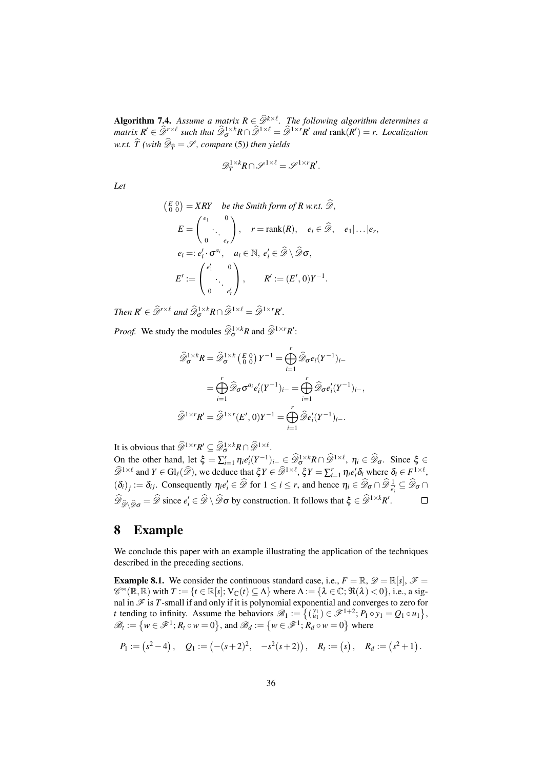<span id="page-35-1"></span>**Algorithm 7.4.** *Assume a matrix*  $R \in \widehat{Q}^{k \times l}$ . *The following algorithm determines a*<br> $R' \in \widehat{Q}^{k \times k}$  *and*  $\widehat{Q}^{k \times k}$  *alorgeneral alorgeneral alorgeneral alorgeneral alorgeneral alorgeneral alo*  $\hat{M}$   $R' \in \hat{\mathcal{D}}^{r \times \ell}$  such that  $\hat{\mathcal{D}}^{1 \times k}_{\sigma} R \cap \hat{\mathcal{D}}^{1 \times \ell} = \hat{\mathcal{D}}^{1 \times r} R'$  and  $\text{rank}(R') = r$ . Localization *w.r.t. T* (with  $\mathscr{D}_{\widehat{T}} = \mathscr{S}$ , compare [\(5\)](#page-8-4)) then yields

$$
\mathscr{D}_T^{1\times k}R\cap \mathscr{S}^{1\times \ell}=\mathscr{S}^{1\times r}R'.
$$

*Let*

$$
\begin{aligned}\n\left(\begin{matrix} E & 0 \\ 0 & 0 \end{matrix}\right) &= XRY & \text{be the Smith form of } R \text{ w.r.t. } \widehat{\mathscr{D}}, \\
E &= \begin{pmatrix} e_1 & 0 \\ \cdot & \cdot \\ 0 & e_r \end{pmatrix}, \quad r = \text{rank}(R), \quad e_i \in \widehat{\mathscr{D}}, \quad e_1 | \dots | e_r, \\
e_i &= : e_i' \cdot \sigma^{a_i}, \quad a_i \in \mathbb{N}, e_i' \in \widehat{\mathscr{D}} \setminus \widehat{\mathscr{D}} \sigma, \\
E' &:= \begin{pmatrix} e_1' & 0 \\ \cdot & \cdot \\ 0 & e_r' \end{pmatrix}, \qquad R' := (E', 0)Y^{-1}.\n\end{aligned}
$$

*Then*  $R' \in \widehat{\mathscr{D}}^{r \times \ell}$  *and*  $\widehat{\mathscr{D}}_{\sigma}^{1 \times k} R \cap \widehat{\mathscr{D}}^{1 \times \ell} = \widehat{\mathscr{D}}^{1 \times r} R'.$ 

*Proof.* We study the modules  $\widehat{\mathscr{D}}_{\sigma}^{1 \times k}R$  and  $\widehat{\mathscr{D}}^{1 \times r}R'$ :

$$
\widehat{\mathscr{D}}_{\sigma}^{1 \times k} R = \widehat{\mathscr{D}}_{\sigma}^{1 \times k} \left( \begin{smallmatrix} E & 0 \\ 0 & 0 \end{smallmatrix} \right) Y^{-1} = \bigoplus_{i=1}^{r} \widehat{\mathscr{D}}_{\sigma} e_{i} (Y^{-1})_{i-}
$$
\n
$$
= \bigoplus_{i=1}^{r} \widehat{\mathscr{D}}_{\sigma} \sigma^{a_{i}} e'_{i} (Y^{-1})_{i-} = \bigoplus_{i=1}^{r} \widehat{\mathscr{D}}_{\sigma} e'_{i} (Y^{-1})_{i-},
$$
\n
$$
\widehat{\mathscr{D}}^{1 \times r} R' = \widehat{\mathscr{D}}^{1 \times r} (E', 0) Y^{-1} = \bigoplus_{i=1}^{r} \widehat{\mathscr{D}} e'_{i} (Y^{-1})_{i-}.
$$

It is obvious that  $\widehat{\mathscr{D}}^{1\times r}R' \subseteq \widehat{\mathscr{D}}_{\sigma}^{1\times k}R \cap \widehat{\mathscr{D}}^{1\times \ell}$ .

On the other hand, let  $\xi = \sum_{i=1}^r \eta_i e_i'(Y^{-1})_{i-1} \in \widehat{\mathcal{Q}}_0^{1 \times k} R \cap \widehat{\mathcal{D}}^{1 \times \ell}, \ \eta_i \in \widehat{\mathcal{Q}}_0$ . Since  $\xi \in \widehat{\mathcal{Q}}_0$  $\widehat{\mathscr{D}}^{1\times\ell}$  and  $Y \in Gl_{\ell}(\widehat{\mathscr{D}})$ , we deduce that  $\xi Y \in \widehat{\mathscr{D}}^{1\times\ell}$ ,  $\xi Y = \sum_{i=1}^r \eta_i e_i' \delta_i$  where  $\delta_i \in F^{1\times\ell}$ ,  $(\delta_i)_j := \delta_{ij}$ . Consequently  $\eta_i e'_i \in \widehat{\mathscr{D}}$  for  $1 \le i \le r$ , and hence  $\eta_i \in \widehat{\mathscr{D}}_{\sigma} \cap \widehat{\mathscr{D}}_{\overline{e'_i}} \subseteq \widehat{\mathscr{D}}_{\sigma} \cap$  $\widehat{\mathscr{D}}_{\widehat{\mathscr{D}}\setminus\widehat{\mathscr{D}}}\sigma = \widehat{\mathscr{D}}$  since  $e'_i \in \widehat{\mathscr{D}} \setminus \widehat{\mathscr{D}}\sigma$  by construction. It follows that  $\xi \in \widehat{\mathscr{D}}^{1\times k}R'.$  $\Box$ 

#### <span id="page-35-0"></span>8 Example

We conclude this paper with an example illustrating the application of the techniques described in the preceding sections.

**Example 8.1.** We consider the continuous standard case, i.e.,  $F = \mathbb{R}, \mathcal{D} = \mathbb{R}[s], \mathcal{F} =$  $\mathscr{C}^{\infty}(\mathbb{R}, \mathbb{R})$  with  $T := \{t \in \mathbb{R}[s]; \, \text{V}_{\mathbb{C}}(t) \subseteq \Lambda\}$  where  $\Lambda := \{\lambda \in \mathbb{C}; \, \Re(\lambda) < 0\}$ , i.e., a signal in  $\mathscr F$  is  $T$ -small if and only if it is polynomial exponential and converges to zero for *t* tending to infinity. Assume the behaviors  $\mathscr{B}_1 := \{(\begin{smallmatrix} y_1 \\ u_1 \end{smallmatrix}) \in \mathscr{F}^{1+2} : P_1 \circ y_1 = Q_1 \circ u_1\}$ ,  $\mathscr{B}_t := \{ w \in \mathscr{F}^1 : R_t \circ w = 0 \}$ , and  $\mathscr{B}_d := \{ w \in \mathscr{F}^1 : R_d \circ w = 0 \}$  where

$$
P_1 := (s^2 - 4), \quad Q_1 := (-(s+2)^2, \quad -s^2(s+2)), \quad R_t := (s), \quad R_d := (s^2 + 1).
$$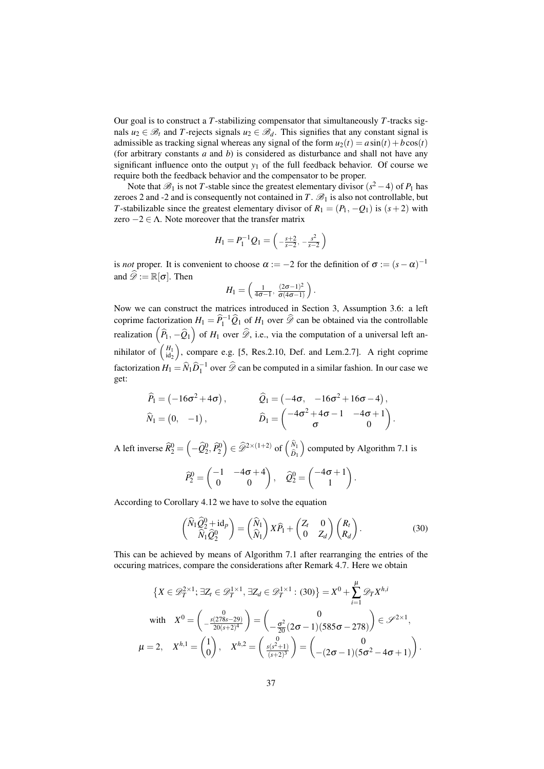Our goal is to construct a *T*-stabilizing compensator that simultaneously *T*-tracks signals  $u_2 \in \mathcal{B}_t$  and *T*-rejects signals  $u_2 \in \mathcal{B}_d$ . This signifies that any constant signal is admissible as tracking signal whereas any signal of the form  $u_2(t) = a \sin(t) + b \cos(t)$ (for arbitrary constants *a* and *b*) is considered as disturbance and shall not have any significant influence onto the output  $y_1$  of the full feedback behavior. Of course we require both the feedback behavior and the compensator to be proper.

Note that  $\mathscr{B}_1$  is not *T*-stable since the greatest elementary divisor  $(s^2 - 4)$  of  $P_1$  has zeroes 2 and -2 and is consequently not contained in  $T \mathcal{B}_1$  is also not controllable, but *T*-stabilizable since the greatest elementary divisor of  $R_1 = (P_1, -Q_1)$  is  $(s+2)$  with zero  $-2 \in \Lambda$ . Note moreover that the transfer matrix

$$
H_1 = P_1^{-1} Q_1 = \left(-\frac{s+2}{s-2}, -\frac{s^2}{s-2}\right)
$$

is *not* proper. It is convenient to choose  $\alpha := -2$  for the definition of  $\sigma := (s - \alpha)^{-1}$ and  $\widehat{\mathscr{D}} := \mathbb{R}[\sigma]$ . Then

$$
H_1=\left(\tfrac{1}{4\sigma-1},\tfrac{(2\sigma-1)^2}{\sigma(4\sigma-1)}\right).
$$

Now we can construct the matrices introduced in Section [3,](#page-6-0) Assumption [3.6:](#page-8-0) a left coprime factorization  $H_1 = \hat{P}_1^{-1} \hat{Q}_1$  of  $H_1$  over  $\hat{\mathscr{D}}$  can be obtained via the controllable realization  $(\widehat{P}_1, -\widehat{Q}_1)$  of  $H_1$  over  $\widehat{\mathscr{D}}$ , i.e., via the computation of a universal left annihilator of  $\binom{H_1}{\text{id}_2}$ , compare e.g. [\[5,](#page-38-6) Res.2.10, Def. and Lem.2.7]. A right coprime factorization  $H_1 = \widehat{N}_1 \widehat{D}_1^{-1}$  over  $\widehat{\mathscr{D}}$  can be computed in a similar fashion. In our case we get:

$$
\widehat{P}_1 = (-16\sigma^2 + 4\sigma), \qquad \widehat{Q}_1 = (-4\sigma, -16\sigma^2 + 16\sigma - 4), \n\widehat{N}_1 = (0, -1), \qquad \widehat{D}_1 = \begin{pmatrix} -4\sigma^2 + 4\sigma - 1 & -4\sigma + 1 \\ \sigma & 0 \end{pmatrix}.
$$

A left inverse  $\widehat{R}_2^0 = \left(-\widehat{Q}_2^0, \widehat{P}_2^0\right) \in \widehat{\mathscr{D}}^{2 \times (1+2)}$  of  $\begin{pmatrix} \widehat{N}_1 \\ \widehat{D}_1 \end{pmatrix}$ computed by Algorithm [7.1](#page-0-0) is

$$
\widehat{P}_2^0 = \begin{pmatrix} -1 & -4\sigma + 4 \\ 0 & 0 \end{pmatrix}, \quad \widehat{Q}_2^0 = \begin{pmatrix} -4\sigma + 1 \\ 1 \end{pmatrix}.
$$

According to Corollary [4.12](#page-28-3) we have to solve the equation

<span id="page-36-0"></span>
$$
\begin{pmatrix} \widehat{N}_1 \widehat{Q}_2^0 + \mathrm{id}_p \\ \widehat{N}_1 \widehat{Q}_2^0 \end{pmatrix} = \begin{pmatrix} \widehat{N}_1 \\ \widehat{N}_1 \end{pmatrix} X \widehat{P}_1 + \begin{pmatrix} Z_t & 0 \\ 0 & Z_d \end{pmatrix} \begin{pmatrix} R_t \\ R_d \end{pmatrix} . \tag{30}
$$

This can be achieved by means of Algorithm [7.1](#page-0-0) after rearranging the entries of the occuring matrices, compare the considerations after Remark [4.7.](#page-24-1) Here we obtain

$$
\{X \in \mathscr{D}_{T}^{2 \times 1}; \exists Z_{t} \in \mathscr{D}_{T}^{1 \times 1}, \exists Z_{d} \in \mathscr{D}_{T}^{1 \times 1} : (30)\} = X^{0} + \sum_{i=1}^{\mu} \mathscr{D}_{T} X^{h,i}
$$
\nwith\n
$$
X^{0} = \begin{pmatrix} 0 \\ -\frac{s(278s - 29)}{20(s + 2)^{4}} \end{pmatrix} = \begin{pmatrix} 0 \\ -\frac{\sigma^{2}}{20}(2\sigma - 1)(585\sigma - 278) \end{pmatrix} \in \mathscr{S}^{2 \times 1},
$$
\n
$$
\mu = 2, \quad X^{h,1} = \begin{pmatrix} 1 \\ 0 \end{pmatrix}, \quad X^{h,2} = \begin{pmatrix} 0 \\ \frac{s(s^{2} + 1)}{(s + 2)^{3}} \end{pmatrix} = \begin{pmatrix} 0 \\ -(2\sigma - 1)(5\sigma^{2} - 4\sigma + 1) \end{pmatrix}.
$$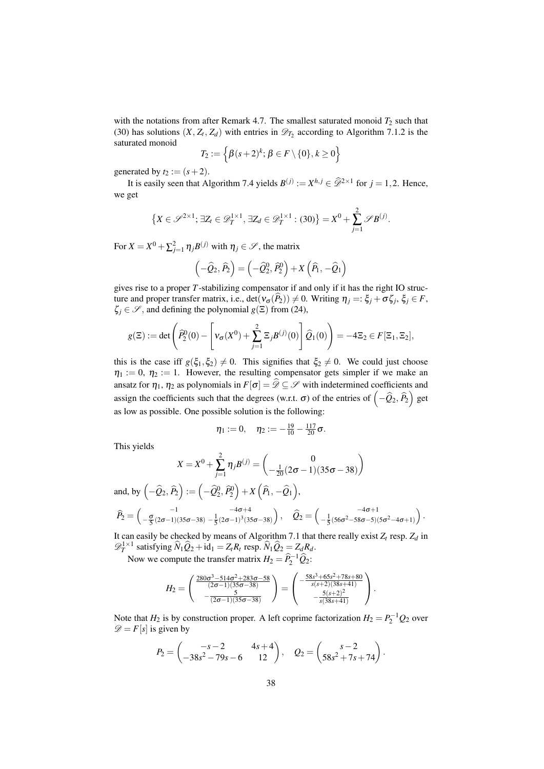with the notations from after Remark [4.7.](#page-24-1) The smallest saturated monoid  $T_2$  such that [\(30\)](#page-36-0) has solutions  $(X, Z_t, Z_d)$  with entries in  $\mathscr{D}_{T_2}$  $\mathscr{D}_{T_2}$  $\mathscr{D}_{T_2}$  according to Algorithm [7.1.](#page-0-0)2 is the saturated monoid

$$
T_2:=\left\{\beta(s+2)^k; \beta\in F\setminus\{0\}, k\geq 0\right\}
$$

generated by  $t_2 := (s+2)$ .

It is easily seen that Algorithm [7.4](#page-35-1) yields  $B^{(j)} := X^{h,j} \in \widehat{\mathscr{D}}^{2 \times 1}$  for  $j = 1, 2$ . Hence, we get

$$
\left\{X\in\mathscr{S}^{2\times 1};\,\exists Z_t\in\mathscr{D}_T^{1\times 1},\,\exists Z_d\in\mathscr{D}_T^{1\times 1}:\,(30)\right\}=X^0+\sum_{j=1}^2\mathscr{S}B^{(j)}.
$$

For  $X = X^0 + \sum_{j=1}^2 \eta_j B^{(j)}$  with  $\eta_j \in \mathscr{S}$ , the matrix

$$
\left(-\widehat{Q}_{2},\widehat{P}_{2}\right)=\left(-\widehat{Q}_{2}^{0},\widehat{P}_{2}^{0}\right)+X\left(\widehat{P}_{1},-\widehat{Q}_{1}\right)
$$

gives rise to a proper *T*-stabilizing compensator if and only if it has the right IO structure and proper transfer matrix, i.e.,  $\det(v_{\sigma}(P_2)) \neq 0$ . Writing  $\eta_j =: \xi_j + \sigma \zeta_j$ ,  $\xi_j \in F$ ,  $\zeta_j \in \mathscr{S}$ , and defining the polynomial  $g(\Xi)$  from [\(24\)](#page-26-0),

$$
g(\Xi) := \det \left( \widehat{P}_2^0(0) - \left[ \mathbf{v}_{\sigma}(X^0) + \sum_{j=1}^2 \Xi_j B^{(j)}(0) \right] \widehat{Q}_1(0) \right) = -4\Xi_2 \in F[\Xi_1, \Xi_2],
$$

this is the case iff  $g(\xi_1, \xi_2) \neq 0$ . This signifies that  $\xi_2 \neq 0$ . We could just choose  $\eta_1 := 0$ ,  $\eta_2 := 1$ . However, the resulting compensator gets simpler if we make an ansatz for  $\eta_1$ ,  $\eta_2$  as polynomials in  $F[\sigma] = \widehat{\mathscr{D}} \subseteq \mathscr{S}$  with indetermined coefficients and assign the coefficients such that the degrees (w.r.t.  $\sigma$ ) of the entries of  $(-\hat{Q}_2, \hat{P}_2)$  get as low as possible. One possible solution is the following:

$$
\eta_1:=0, \quad \eta_2:=-\tfrac{19}{10}-\tfrac{117}{20}\sigma.
$$

This yields

$$
X = X^{0} + \sum_{j=1}^{2} \eta_{j} B^{(j)} = \begin{pmatrix} 0 \\ -\frac{1}{20} (2\sigma - 1)(35\sigma - 38) \end{pmatrix}
$$

and, by  $\left(-\widehat{Q}_2, \widehat{P}_2\right) := \left(-\widehat{Q}_2^0, \widehat{P}_2^0\right) + X\left(\widehat{P}_1, -\widehat{Q}_1\right),$  $\widehat{P}_2 = \begin{pmatrix} -1 & -4\sigma+4 \\ -\frac{\sigma}{5}(2\sigma-1)(35\sigma-38) & -\frac{1}{5}(2\sigma-1)^3(35\sigma-38) \end{pmatrix}, \quad \widehat{Q}_2 = \begin{pmatrix} -4\sigma+1 \\ -\frac{1}{5}(56\sigma^2-58\sigma-5)(5\sigma^2-4\sigma+1) \end{pmatrix}.$ 

It can easily be checked by means of Algorithm [7.1](#page-0-0) that there really exist  $Z_t$  resp.  $Z_d$  in  $\mathscr{D}_T^{1\times 1}$  satisfying  $\widehat{N}_1\widehat{Q}_2 + id_1 = Z_tR_t$  resp.  $\widehat{N}_1\widehat{Q}_2 = Z_dR_d$ .

Now we compute the transfer matrix  $H_2 = \hat{P}_2^{-1} \hat{Q}_2$ :

$$
H_2 = \begin{pmatrix} \frac{280\sigma^3 - 514\sigma^2 + 283\sigma - 58}{(2\sigma - 1)(35\sigma - 38)} \\ -\frac{5}{(2\sigma - 1)(35\sigma - 38)} \end{pmatrix} = \begin{pmatrix} -\frac{58s^3 + 65s^2 + 78s + 80}{s(s+2)(38s+41)} \\ -\frac{5}{s(38s+41)} \end{pmatrix}.
$$

Note that  $H_2$  is by construction proper. A left coprime factorization  $H_2 = P_2^{-1}Q_2$  over  $\mathscr{D} = F[s]$  is given by

$$
P_2 = \begin{pmatrix} -s - 2 & 4s + 4 \\ -38s^2 - 79s - 6 & 12 \end{pmatrix}, \quad Q_2 = \begin{pmatrix} s - 2 \\ 58s^2 + 7s + 74 \end{pmatrix}.
$$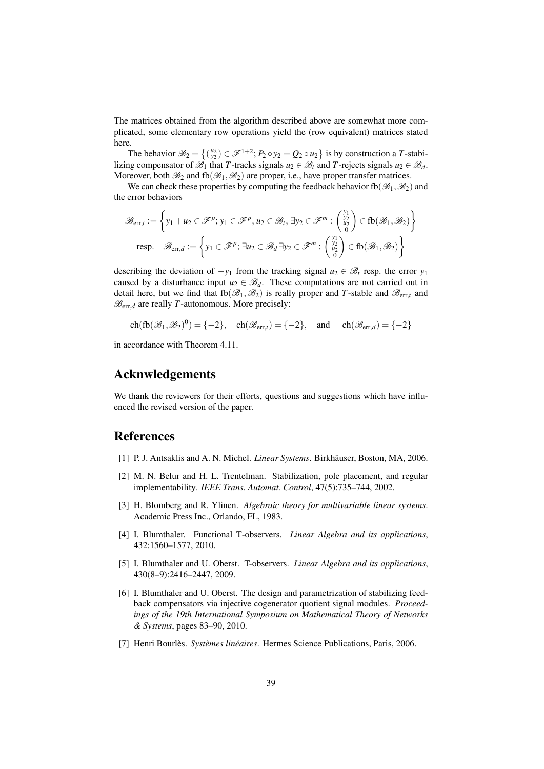The matrices obtained from the algorithm described above are somewhat more complicated, some elementary row operations yield the (row equivalent) matrices stated here.

The behavior  $\mathscr{B}_2 = \{(\begin{smallmatrix} u_2 \\ y_2 \end{smallmatrix}) \in \mathscr{F}^{1+2}; P_2 \circ y_2 = Q_2 \circ u_2\}$  is by construction a *T*-stabilizing compensator of  $\mathscr{B}_1$  that *T*-tracks signals  $u_2 \in \mathscr{B}_t$  and *T*-rejects signals  $u_2 \in \mathscr{B}_d$ . Moreover, both  $\mathcal{B}_2$  and  $fb(\mathcal{B}_1,\mathcal{B}_2)$  are proper, i.e., have proper transfer matrices.

We can check these properties by computing the feedback behavior fb( $\mathscr{B}_1,\mathscr{B}_2$ ) and the error behaviors

$$
\mathscr{B}_{err,t} := \left\{ y_1 + u_2 \in \mathscr{F}^p; y_1 \in \mathscr{F}^p, u_2 \in \mathscr{B}_t, \exists y_2 \in \mathscr{F}^m : \begin{pmatrix} y_1 \\ y_2 \\ u_2 \\ 0 \end{pmatrix} \in \text{fb}(\mathscr{B}_1, \mathscr{B}_2) \right\}
$$
  
resp. 
$$
\mathscr{B}_{err,d} := \left\{ y_1 \in \mathscr{F}^p; \exists u_2 \in \mathscr{B}_d \exists y_2 \in \mathscr{F}^m : \begin{pmatrix} y_1 \\ y_2 \\ u_2 \\ 0 \end{pmatrix} \in \text{fb}(\mathscr{B}_1, \mathscr{B}_2) \right\}
$$

describing the deviation of  $-y_1$  from the tracking signal  $u_2 \in \mathcal{B}_t$  resp. the error  $y_1$ caused by a disturbance input  $u_2 \in \mathcal{B}_d$ . These computations are not carried out in detail here, but we find that  $fb(\mathcal{B}_1,\mathcal{B}_2)$  is really proper and *T*-stable and  $\mathcal{B}_{err,t}$  and  $\mathcal{B}_{err,d}$  are really *T*-autonomous. More precisely:

 $\text{ch}(\text{fb}(\mathcal{B}_1, \mathcal{B}_2)^0) = \{-2\}, \quad \text{ch}(\mathcal{B}_{\text{err},t}) = \{-2\}, \quad \text{and} \quad \text{ch}(\mathcal{B}_{\text{err},d}) = \{-2\}$ 

in accordance with Theorem [4.11.](#page-27-2)

#### Acknwledgements

We thank the reviewers for their efforts, questions and suggestions which have influenced the revised version of the paper.

#### References

- <span id="page-38-1"></span>[1] P. J. Antsaklis and A. N. Michel. *Linear Systems*. Birkhäuser, Boston, MA, 2006.
- <span id="page-38-5"></span>[2] M. N. Belur and H. L. Trentelman. Stabilization, pole placement, and regular implementability. *IEEE Trans. Automat. Control*, 47(5):735–744, 2002.
- <span id="page-38-2"></span>[3] H. Blomberg and R. Ylinen. *Algebraic theory for multivariable linear systems*. Academic Press Inc., Orlando, FL, 1983.
- <span id="page-38-4"></span>[4] I. Blumthaler. Functional T-observers. *Linear Algebra and its applications*, 432:1560–1577, 2010.
- <span id="page-38-6"></span>[5] I. Blumthaler and U. Oberst. T-observers. *Linear Algebra and its applications*, 430(8–9):2416–2447, 2009.
- <span id="page-38-0"></span>[6] I. Blumthaler and U. Oberst. The design and parametrization of stabilizing feedback compensators via injective cogenerator quotient signal modules. *Proceedings of the 19th International Symposium on Mathematical Theory of Networks & Systems*, pages 83–90, 2010.
- <span id="page-38-3"></span>[7] Henri Bourlès. *Systèmes linéaires*. Hermes Science Publications, Paris, 2006.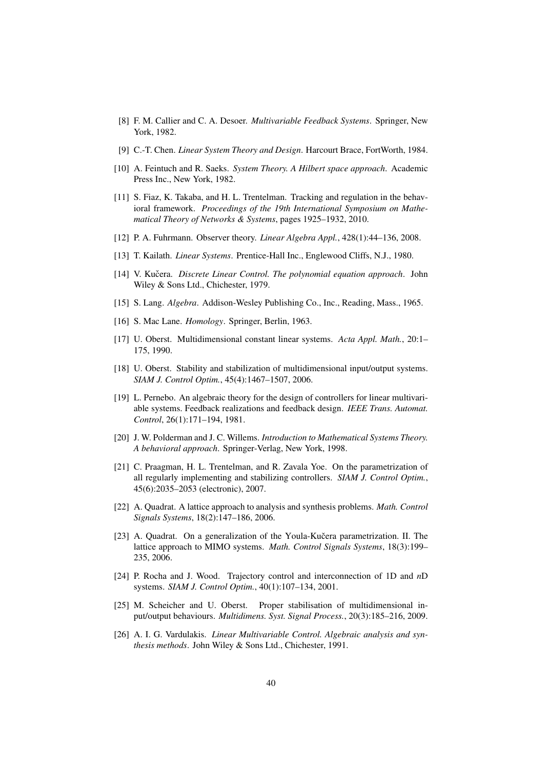- <span id="page-39-0"></span>[8] F. M. Callier and C. A. Desoer. *Multivariable Feedback Systems*. Springer, New York, 1982.
- <span id="page-39-1"></span>[9] C.-T. Chen. *Linear System Theory and Design*. Harcourt Brace, FortWorth, 1984.
- <span id="page-39-2"></span>[10] A. Feintuch and R. Saeks. *System Theory. A Hilbert space approach*. Academic Press Inc., New York, 1982.
- <span id="page-39-11"></span>[11] S. Fiaz, K. Takaba, and H. L. Trentelman. Tracking and regulation in the behavioral framework. *Proceedings of the 19th International Symposium on Mathematical Theory of Networks & Systems*, pages 1925–1932, 2010.
- <span id="page-39-7"></span>[12] P. A. Fuhrmann. Observer theory. *Linear Algebra Appl.*, 428(1):44–136, 2008.
- <span id="page-39-3"></span>[13] T. Kailath. *Linear Systems*. Prentice-Hall Inc., Englewood Cliffs, N.J., 1980.
- <span id="page-39-4"></span>[14] V. Kučera. *Discrete Linear Control. The polynomial equation approach.* John Wiley & Sons Ltd., Chichester, 1979.
- <span id="page-39-17"></span>[15] S. Lang. *Algebra*. Addison-Wesley Publishing Co., Inc., Reading, Mass., 1965.
- <span id="page-39-14"></span>[16] S. Mac Lane. *Homology*. Springer, Berlin, 1963.
- <span id="page-39-18"></span>[17] U. Oberst. Multidimensional constant linear systems. *Acta Appl. Math.*, 20:1– 175, 1990.
- <span id="page-39-8"></span>[18] U. Oberst. Stability and stabilization of multidimensional input/output systems. *SIAM J. Control Optim.*, 45(4):1467–1507, 2006.
- <span id="page-39-5"></span>[19] L. Pernebo. An algebraic theory for the design of controllers for linear multivariable systems. Feedback realizations and feedback design. *IEEE Trans. Automat. Control*, 26(1):171–194, 1981.
- <span id="page-39-12"></span>[20] J. W. Polderman and J. C. Willems. *Introduction to Mathematical Systems Theory. A behavioral approach*. Springer-Verlag, New York, 1998.
- <span id="page-39-10"></span>[21] C. Praagman, H. L. Trentelman, and R. Zavala Yoe. On the parametrization of all regularly implementing and stabilizing controllers. *SIAM J. Control Optim.*, 45(6):2035–2053 (electronic), 2007.
- <span id="page-39-15"></span>[22] A. Quadrat. A lattice approach to analysis and synthesis problems. *Math. Control Signals Systems*, 18(2):147–186, 2006.
- <span id="page-39-16"></span>[23] A. Quadrat. On a generalization of the Youla-Kučera parametrization. II. The lattice approach to MIMO systems. *Math. Control Signals Systems*, 18(3):199– 235, 2006.
- <span id="page-39-9"></span>[24] P. Rocha and J. Wood. Trajectory control and interconnection of 1D and *n*D systems. *SIAM J. Control Optim.*, 40(1):107–134, 2001.
- <span id="page-39-13"></span>[25] M. Scheicher and U. Oberst. Proper stabilisation of multidimensional input/output behaviours. *Multidimens. Syst. Signal Process.*, 20(3):185–216, 2009.
- <span id="page-39-6"></span>[26] A. I. G. Vardulakis. *Linear Multivariable Control. Algebraic analysis and synthesis methods*. John Wiley & Sons Ltd., Chichester, 1991.